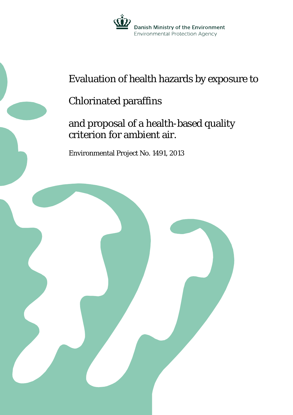

# Evaluation of health hazards by exposure to

## Chlorinated paraffins

## and proposal of a health-based quality criterion for ambient air.

Environmental Project No. 1491, 2013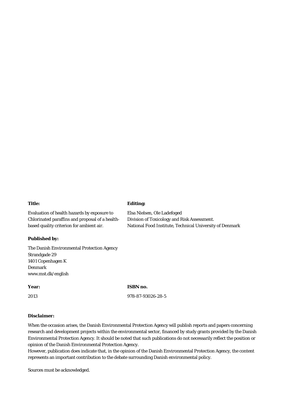#### **Title:**

Evaluation of health hazards by exposure to Chlorinated paraffins and proposal of a healthbased quality criterion for ambient air.

#### **Published by:**

The Danish Environmental Protection Agency Strandgade 29 1401 Copenhagen K Denmark www.mst.dk/english

#### **Year:**

**ISBN no.**

2013

978-87-93026-28-5

#### **Disclaimer:**

When the occasion arises, the Danish Environmental Protection Agency will publish reports and papers concerning research and development projects within the environmental sector, financed by study grants provided by the Danish Environmental Protection Agency. It should be noted that such publications do not necessarily reflect the position or opinion of the Danish Environmental Protection Agency.

However, publication does indicate that, in the opinion of the Danish Environmental Protection Agency, the content represents an important contribution to the debate surrounding Danish environmental policy.

Sources must be acknowledged.

#### **Editing:**

Elsa Nielsen, Ole Ladefoged Division of Toxicology and Risk Assessment. National Food Institute, Technical University of Denmark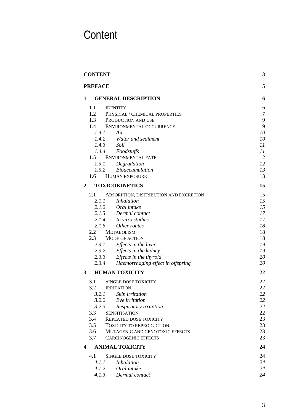# <span id="page-2-0"></span>**Content**

| <b>CONTENT</b>                                                | 3              |
|---------------------------------------------------------------|----------------|
| <b>PREFACE</b>                                                | 5              |
| <b>GENERAL DESCRIPTION</b><br>1                               | 6              |
| $1.1 -$<br><b>IDENTITY</b>                                    | 6              |
| 1.2<br>PHYSICAL / CHEMICAL PROPERTIES                         | $\overline{7}$ |
| 1.3<br>PRODUCTION AND USE                                     | 9              |
| 1.4<br>ENVIRONMENTAL OCCURRENCE                               | 9              |
| Air<br>1.4.1                                                  | 10             |
| 1.4.2 Water and sediment                                      | 10             |
| 1.4.3<br>Soil                                                 | 11             |
| 1.4.4 Foodstuffs                                              | 11             |
| 1.5 ENVIRONMENTAL FATE<br>1.5.1 Degradation                   | 12<br>12       |
| 1.5.2 Bioaccumulation                                         | 13             |
| <b>HUMAN EXPOSURE</b><br>1.6                                  | 13             |
|                                                               |                |
| <b>TOXICOKINETICS</b><br>2                                    | 15             |
| 2.1<br>ABSORPTION, DISTRIBUTION AND EXCRETION                 | 15             |
| 2.1.1<br><i>Inhalation</i>                                    | 15             |
| 2.1.2 Oral intake                                             | 15             |
| 2.1.3 Dermal contact                                          | 17             |
| 2.1.4 In vitro studies                                        | 17             |
| 2.1.5<br>Other routes                                         | 18             |
| 2.2<br><b>METABOLISM</b>                                      | 18             |
| 2.3<br><b>MODE OF ACTION</b><br>Effects in the liver<br>2.3.1 | 18<br>19       |
| 2.3.2 Effects in the kidney                                   | 19             |
| 2.3.3 Effects in the thyroid                                  | 20             |
| 2.3.4 Haemorrhaging effect in offspring                       | 20             |
| <b>HUMAN TOXICITY</b><br>3                                    | 22             |
|                                                               |                |
| 3.1<br><b>SINGLE DOSE TOXICITY</b>                            | 22             |
| 3.2<br><b>IRRITATION</b><br>3.2.1 Skin irritation             | 22<br>22       |
| 3.2.2<br>Eye irritation                                       | 22             |
| 3.2.3<br>Respiratory irritation                               | 22             |
| 3.3<br><b>SENSITISATION</b>                                   | 22             |
| 3.4<br>REPEATED DOSE TOXICITY                                 | 23             |
| 3.5<br><b>TOXICITY TO REPRODUCTION</b>                        | 23             |
| 3.6<br>MUTAGENIC AND GENOTOXIC EFFECTS                        | 23             |
| 3.7<br><b>CARCINOGENIC EFFECTS</b>                            | 23             |
| <b>ANIMAL TOXICITY</b><br>4                                   | 24             |
| 4.1<br><b>SINGLE DOSE TOXICITY</b>                            | 24             |
| <b>Inhalation</b><br>4.1.1                                    | 24             |
| 4.1.2<br>Oral intake                                          | 24             |
| 4.1.3<br>Dermal contact                                       | 24             |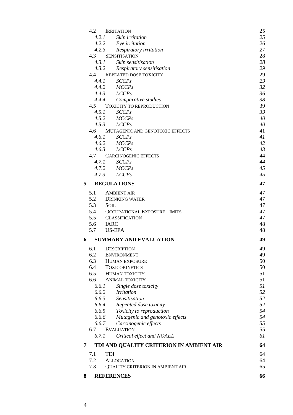|                | 4.2 IRRITATION                           | 25 |
|----------------|------------------------------------------|----|
| 4.2.1          | Skin irritation                          | 25 |
|                | 4.2.2 Eye irritation                     | 26 |
|                | 4.2.3 Respiratory irritation             | 27 |
| 4.3            | <b>SENSITISATION</b>                     | 28 |
| 4.3.1          | Skin sensitisation                       | 28 |
| 4.3.2          | Respiratory sensitisation                | 29 |
|                | 4.4 REPEATED DOSE TOXICITY               | 29 |
| 4.4.1          | SCCPs                                    | 29 |
|                | $4.4.2$ $MCCPs$                          | 32 |
|                | $4.4.3$ LCCPs                            | 36 |
|                | 4.4.4 Comparative studies                | 38 |
|                | 4.5 TOXICITY TO REPRODUCTION             | 39 |
| 4.5.1          | <b>SCCPs</b>                             | 39 |
|                | $4.5.2$ $MCCPs$                          | 40 |
| 4.5.3          | LCCPs                                    | 40 |
| 4.6            | MUTAGENIC AND GENOTOXIC EFFECTS          | 41 |
| 4.6.1          | <b>SCCPs</b>                             | 41 |
|                | $4.6.2$ $MCCPs$                          | 42 |
| 4.6.3          | LCCPs                                    | 43 |
|                | 4.7 CARCINOGENIC EFFECTS                 | 44 |
| 4.7.1          | SCCPs                                    | 44 |
|                | 4.7.2 MCCPs                              | 45 |
|                | $4.7.3$ $LCCPs$                          | 45 |
| 5 <sup>5</sup> | <b>REGULATIONS</b>                       | 47 |
| 5.1            | <b>AMBIENT AIR</b>                       | 47 |
|                | 5.2 DRINKING WATER                       | 47 |
| 5.3            | <b>SOIL</b>                              | 47 |
| 5.4            | OCCUPATIONAL EXPOSURE LIMITS             | 47 |
|                | 5.5 CLASSIFICATION                       | 47 |
| 5.6 IARC       |                                          | 48 |
| 5.7            | <b>US-EPA</b>                            | 48 |
| 6              | <b>SUMMARY AND EVALUATION</b>            | 49 |
| 6.1            | <b>DESCRIPTION</b>                       | 49 |
| 6.2            | <b>ENVIRONMENT</b>                       | 49 |
| 6.3            | <b>HUMAN EXPOSURE</b>                    | 50 |
| 6.4            | <b>TOXICOKINETICS</b>                    | 50 |
| 6.5            | <b>HUMAN TOXICITY</b>                    | 51 |
| 6.6            | <b>ANIMAL TOXICITY</b>                   | 51 |
| 6.6.1          | Single dose toxicity                     | 51 |
| 6.6.2          | <i>Irritation</i>                        | 52 |
| 6.6.3          | Sensitisation                            | 52 |
| 6.6.4          | Repeated dose toxicity                   | 52 |
| 6.6.5          | Toxicity to reproduction                 | 54 |
| 6.6.6          | Mutagenic and genotoxic effects          | 54 |
| 6.6.7          | Carcinogenic effects                     | 55 |
| 6.7            | <b>EVALUATION</b>                        | 55 |
| 6.7.1          | Critical effect and NOAEL                | 61 |
| 7              | TDI AND QUALITY CRITERION IN AMBIENT AIR | 64 |
| 7.1            | <b>TDI</b>                               | 64 |
| 7.2            | <b>ALLOCATION</b>                        | 64 |
| 7.3            | QUALITY CRITERION IN AMBIENT AIR         | 65 |
| 8              | <b>REFERENCES</b>                        | 66 |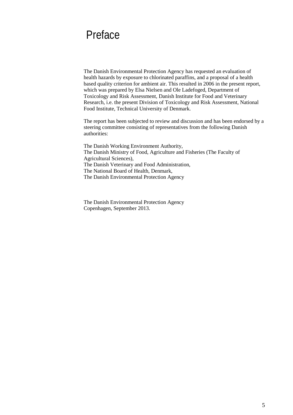## <span id="page-4-0"></span>Preface

The Danish Environmental Protection Agency has requested an evaluation of health hazards by exposure to chlorinated paraffins, and a proposal of a health based quality criterion for ambient air. This resulted in 2006 in the present report, which was prepared by Elsa Nielsen and Ole Ladefoged, Department of Toxicology and Risk Assessment, Danish Institute for Food and Veterinary Research, i.e. the present Division of Toxicology and Risk Assessment, National Food Institute, Technical University of Denmark.

The report has been subjected to review and discussion and has been endorsed by a steering committee consisting of representatives from the following Danish authorities:

The Danish Working Environment Authority, The Danish Ministry of Food, Agriculture and Fisheries (The Faculty of Agricultural Sciences), The Danish Veterinary and Food Administration, The National Board of Health, Denmark, The Danish Environmental Protection Agency

The Danish Environmental Protection Agency Copenhagen, September 2013.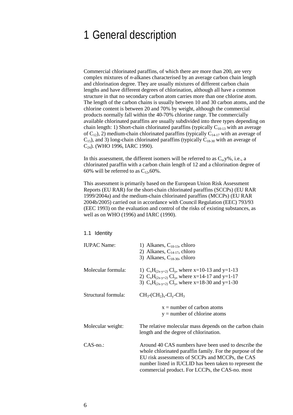## <span id="page-5-0"></span>1 General description

Commercial chlorinated paraffins, of which there are more than 200, are very complex mixtures of *n*-alkanes characterised by an average carbon chain length and chlorination degree. They are usually mixtures of different carbon chain lengths and have different degrees of chlorination, although all have a common structure in that no secondary carbon atom carries more than one chlorine atom. The length of the carbon chains is usually between 10 and 30 carbon atoms, and the chlorine content is between 20 and 70% by weight, although the commercial products normally fall within the 40-70% chlorine range. The commercially available chlorinated paraffins are usually subdivided into three types depending on chain length: 1) Short-chain chlorinated paraffins (typically  $C_{10-13}$  with an average of  $C_{12}$ ), 2) medium-chain chlorinated paraffins (typically  $C_{14-17}$  with an average of  $C_{15}$ ), and 3) long-chain chlorinated paraffins (typically  $C_{18-30}$  with an average of C<sub>24</sub>). (WHO 1996, IARC 1990).

In this assessment, the different isomers will be referred to as  $C_x$ , y%, i.e., a chlorinated paraffin with a carbon chain length of 12 and a chlorination degree of 60% will be referred to as  $C_{12}$ , 60%.

This assessment is primarily based on the European Union Risk Assessment Reports (EU RAR) for the short-chain chlorinated paraffins (SCCPs) (EU RAR 1999/2004a) and the medium-chain chlorinated paraffins (MCCPs) (EU RAR 2004b/2005) carried out in accordance with Council Regulation (EEC) 793/93 (EEC 1993) on the evaluation and control of the risks of existing substances, as well as on WHO (1996) and IARC (1990).

#### <span id="page-5-1"></span>1.1 Identity

| <b>IUPAC</b> Name:  | 1) Alkanes, $C_{10-13}$ , chloro<br>2) Alkanes, $C_{14-17}$ , chloro<br>3) Alkanes, $C_{18-30}$ , chloro                                                                                                                                                                           |
|---------------------|------------------------------------------------------------------------------------------------------------------------------------------------------------------------------------------------------------------------------------------------------------------------------------|
| Molecular formula:  | 1) $C_xH_{(2x-y+2)}Cl_y$ , where x=10-13 and y=1-13<br>2) $C_xH_{(2x-y+2)}Cl_y$ , where x=14-17 and y=1-17<br>3) $C_xH_{(2x-y+2)}Cl_y$ , where x=18-30 and y=1-30                                                                                                                  |
| Structural formula: | $CH_3$ - $CH_2$ <sub>x</sub> - $Cl_v$ - $CH_3$                                                                                                                                                                                                                                     |
|                     | $x =$ number of carbon atoms<br>$y =$ number of chlorine atoms                                                                                                                                                                                                                     |
| Molecular weight:   | The relative molecular mass depends on the carbon chain<br>length and the degree of chlorination.                                                                                                                                                                                  |
| $CAS$ -no.:         | Around 40 CAS numbers have been used to describe the<br>whole chlorinated paraffin family. For the purpose of the<br>EU risk assessments of SCCPs and MCCPs, the CAS<br>number listed in IUCLID has been taken to represent the<br>commercial product. For LCCPs, the CAS-no. most |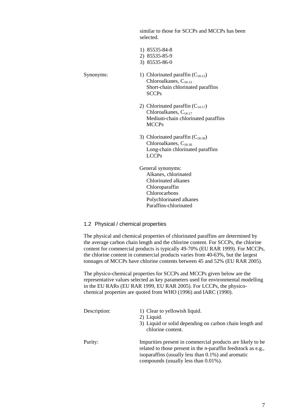similar to those for SCCPs and MCCPs has been selected.

- 1) 85535-84-8 2) 85535-85-9 3) 85535-86-0
- Synonyms: 1) Chlorinated paraffin  $(C_{10-13})$ Chloroalkanes,  $C_{10-13}$ Short-chain chlorinated paraffins SCCPs
	- 2) Chlorinated paraffin  $(C_{14-17})$ Chloroalkanes,  $C_{14-17}$ Medium-chain chlorinated paraffins MCCPs
	- 3) Chlorinated paraffin  $(C_{18-30})$ Chloroalkanes, C<sub>18-30</sub> Long-chain chlorinated paraffins LCCPs
	- General synonyms: Alkanes, chlorinated Chlorinated alkanes Chloroparaffin Chlorocarbons Polychlorinated alkanes Paraffins-chlorinated

## <span id="page-6-0"></span>1.2 Physical / chemical properties

The physical and chemical properties of chlorinated paraffins are determined by the average carbon chain length and the chlorine content. For SCCPs, the chlorine content for commercial products is typically 49-70% (EU RAR 1999). For MCCPs, the chlorine content in commercial products varies from 40-63%, but the largest tonnages of MCCPs have chlorine contents between 45 and 52% (EU RAR 2005).

The physico-chemical properties for SCCPs and MCCPs given below are the representative values selected as key parameters used for environmental modelling in the EU RARs (EU RAR 1999, EU RAR 2005). For LCCPs, the physicochemical properties are quoted from WHO (1996) and IARC (1990).

| Description: | 1) Clear to yellowish liquid.<br>2) Liquid.<br>3) Liquid or solid depending on carbon chain length and<br>chlorine content.                                                                                                           |
|--------------|---------------------------------------------------------------------------------------------------------------------------------------------------------------------------------------------------------------------------------------|
| Purity:      | Impurities present in commercial products are likely to be<br>related to those present in the <i>n</i> -paraffin feedstock as e.g.,<br>isoparaffins (usually less than $0.1\%$ ) and aromatic<br>compounds (usually less than 0.01%). |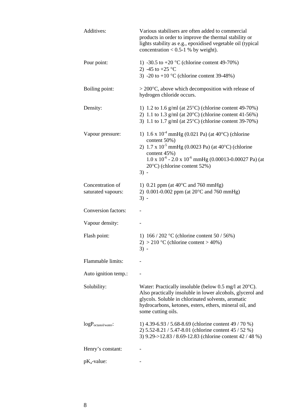| Additives:                             | Various stabilisers are often added to commercial<br>products in order to improve the thermal stability or<br>lights stability as e.g., epoxidised vegetable oil (typical<br>concentration < $0.5-1$ % by weight).                                                                     |
|----------------------------------------|----------------------------------------------------------------------------------------------------------------------------------------------------------------------------------------------------------------------------------------------------------------------------------------|
| Pour point:                            | 1) -30.5 to +20 °C (chlorine content 49-70%)<br>2) -45 to +25 °C<br>3) -20 to +10 $\textdegree$ C (chlorine content 39-48%)                                                                                                                                                            |
|                                        |                                                                                                                                                                                                                                                                                        |
| Boiling point:                         | $>$ 200 $\degree$ C, above which decomposition with release of<br>hydrogen chloride occurs.                                                                                                                                                                                            |
| Density:                               | 1) 1.2 to 1.6 g/ml (at $25^{\circ}$ C) (chlorine content 49-70%)<br>2) 1.1 to 1.3 g/ml (at $20^{\circ}$ C) (chlorine content 41-56%)<br>3) 1.1 to 1.7 g/ml (at $25^{\circ}$ C) (chlorine content 39-70%)                                                                               |
| Vapour pressure:                       | 1) $1.6 \times 10^{-4}$ mmHg (0.021 Pa) (at 40°C) (chlorine                                                                                                                                                                                                                            |
|                                        | content 50%)<br>2) $1.7 \times 10^{-5}$ mmHg (0.0023 Pa) (at 40°C) (chlorine<br>content 45%)                                                                                                                                                                                           |
|                                        | $1.0 \times 10^{-6}$ - 2.0 x $10^{-6}$ mmHg (0.00013-0.00027 Pa) (at<br>$20^{\circ}$ C) (chlorine content 52%)                                                                                                                                                                         |
|                                        | $3) -$                                                                                                                                                                                                                                                                                 |
| Concentration of<br>saturated vapours: | 1) 0.21 ppm (at $40^{\circ}$ C and 760 mmHg)<br>2) 0.001-0.002 ppm (at $20^{\circ}$ C and 760 mmHg)<br>$3) -$                                                                                                                                                                          |
| Conversion factors:                    |                                                                                                                                                                                                                                                                                        |
| Vapour density:                        |                                                                                                                                                                                                                                                                                        |
| Flash point:                           | 1) $166 / 202$ °C (chlorine content 50 / 56%)<br>$2) > 210$ °C (chlorine content > 40%)<br>$3) -$                                                                                                                                                                                      |
| Flammable limits:                      |                                                                                                                                                                                                                                                                                        |
| Auto ignition temp.:                   |                                                                                                                                                                                                                                                                                        |
| Solubility:                            | Water: Practically insoluble (below $0.5 \text{ mg/l}$ at $20^{\circ}\text{C}$ ).<br>Also practically insoluble in lower alcohols, glycerol and<br>glycols. Soluble in chlorinated solvents, aromatic<br>hydrocarbons, ketones, esters, ethers, mineral oil, and<br>some cutting oils. |
| $logP_{octanol/water}$                 | 1) 4.39-6.93 / 5.68-8.69 (chlorine content 49 / 70 %)<br>2) 5.52-8.21 / 5.47-8.01 (chlorine content 45 / 52 %)<br>3) 9.29->12.83 / 8.69-12.83 (chlorine content 42 / 48 %)                                                                                                             |
| Henry's constant:                      |                                                                                                                                                                                                                                                                                        |
| $pK_a$ -value:                         |                                                                                                                                                                                                                                                                                        |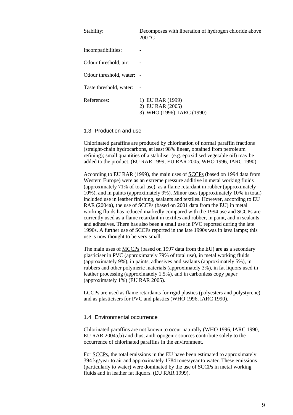| Stability:                | Decomposes with liberation of hydrogen chloride above<br>200 °C    |
|---------------------------|--------------------------------------------------------------------|
| Incompatibilities:        | -                                                                  |
| Odour threshold, air:     |                                                                    |
| Odour threshold, water: - |                                                                    |
| Taste threshold, water:   |                                                                    |
| References:               | 1) EU RAR (1999)<br>2) EU RAR (2005)<br>3) WHO (1996), IARC (1990) |

#### <span id="page-8-0"></span>1.3 Production and use

Chlorinated paraffins are produced by chlorination of normal paraffin fractions (straight-chain hydrocarbons, at least 98% linear, obtained from petroleum refining); small quantities of a stabiliser (e.g. epoxidised vegetable oil) may be added to the product. (EU RAR 1999, EU RAR 2005, WHO 1996, IARC 1990).

According to EU RAR (1999), the main uses of SCCPs (based on 1994 data from Western Europe) were as an extreme pressure additive in metal working fluids (approximately 71% of total use), as a flame retardant in rubber (approximately 10%), and in paints (approximately 9%). Minor uses (approximately 10% in total) included use in leather finishing, sealants and textiles. However, according to EU RAR (2004a), the use of SCCPs (based on 2001 data from the EU) in metal working fluids has reduced markedly compared with the 1994 use and SCCPs are currently used as a flame retardant in textiles and rubber, in paint, and in sealants and adhesives. There has also been a small use in PVC reported during the late 1990s. A further use of SCCPs reported in the late 1990s was in lava lamps; this use is now thought to be very small.

The main uses of MCCPs (based on 1997 data from the EU) are as a secondary plasticiser in PVC (approximately 79% of total use), in metal working fluids (approximately 9%), in paints, adhesives and sealants (approximately 5%), in rubbers and other polymeric materials (approximately 3%), in fat liquors used in leather processing (approximately 1.5%), and in carbonless copy paper (approximately 1%) (EU RAR 2005).

LCCPs are used as flame retardants for rigid plastics (polyesters and polystyrene) and as plasticisers for PVC and plastics (WHO 1996, IARC 1990).

## <span id="page-8-1"></span>1.4 Environmental occurrence

Chlorinated paraffins are not known to occur naturally (WHO 1996, IARC 1990, EU RAR 2004a,b) and thus, anthropogenic sources contribute solely to the occurrence of chlorinated paraffins in the environment.

For SCCPs, the total emissions in the EU have been estimated to approximately 394 kg/year to air and approximately 1784 tones/year to water. These emissions (particularly to water) were dominated by the use of SCCPs in metal working fluids and in leather fat liquors. (EU RAR 1999).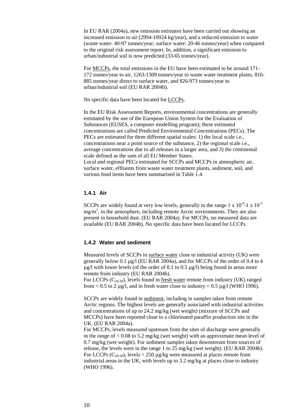In EU RAR (2004a), new emission estimates have been carried out showing an increased emission to air (2994-10924 kg/year), and a reduced emission to water (waste water: 40-97 tonnes/year; surface water: 20-46 tonnes/year) when compared to the original risk assessment report. In, addition, a significant emission to urban/industrial soil is now predicted (33-65 tonnes/year).

For MCCPs, the total emissions in the EU have been estimated to be around 171- 172 tonnes/year to air, 1263-1309 tonnes/year to waste water treatment plants, 816- 885 tonnes/year direct to surface water, and 826-973 tonnes/year to urban/industrial soil (EU RAR 2004b).

No specific data have been located for LCCPs.

In the EU Risk Assessment Reports, environmental concentrations are generally estimated by the use of the European Union System for the Evaluation of Substances (EUSES, a computer modelling program); these estimated concentrations are called Predicted Environmental Concentrations (PECs). The PECs are estimated for three different spatial scales: 1) the local scale i.e., concentrations near a point source of the substance, 2) the regional scale i.e., average concentrations due to all releases in a larger area, and 3) the continental scale defined as the sum of all EU Member States. Local and regional PECs estimated for SCCPs and MCCPs in atmospheric air, surface water, effluents from waste water treatment plants, sediment, soil, and various food items have been summarised in Table 1.4.

## <span id="page-9-0"></span>**1.4.1 Air**

SCCPs are widely found at very low levels, generally in the range  $1 \times 10^{-9}$ -1 x  $10^{-5}$  $mg/m<sup>3</sup>$ , in the atmosphere, including remote Arctic environments. They are also present in household dust. (EU RAR 2004a). For MCCPs, no measured data are available (EU RAR 2004b). No specific data have been located for LCCPs.

## <span id="page-9-1"></span>**1.4.2 Water and sediment**

Measured levels of SCCPs in surface water close to industrial activity (UK) were generally below 0.1 µg/l (EU RAR 2004a), and for MCCPs of the order of 0.4 to 4  $\mu$ g/l with lower levels (of the order of 0.1 to 0.5  $\mu$ g/l) being found in areas more remote from industry (EU RAR 2004b).

For LCCPs  $(C_{20-30})$ , levels found in fresh water remote from industry (UK) ranged from  $< 0.5$  to 2 µg/l, and in fresh water close to industry  $< 0.5$  µg/l (WHO 1996).

SCCPs are widely found in sediment, including in samples taken from remote Arctic regions. The highest levels are generally associated with industrial activities and concentrations of up to 24.2 mg/kg (wet weight) (mixture of SCCPs and MCCPs) have been reported close to a chlorinated paraffin production site in the UK. (EU RAR 2004a).

For MCCPs, levels measured upstream from the sites of discharge were generally in the range of  $< 0.08$  to 5.2 mg/kg (wet weight) with an approximate mean level of 0.7 mg/kg (wet weight). For sediment samples taken downstream from sources of release, the levels were in the range 1 to 25 mg/kg (wet weight). (EU RAR 2004b). For LCCPs  $(C_{20-30})$ , levels < 250 µg/kg were measured at places remote from industrial areas in the UK, with levels up to 3.2 mg/kg at places close to industry (WHO 1996).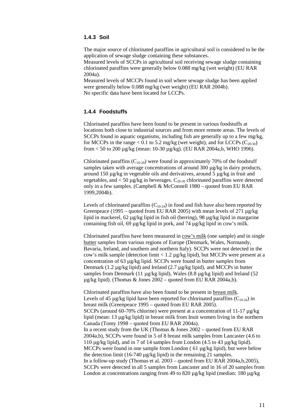## <span id="page-10-0"></span>**1.4.3 Soil**

The major source of chlorinated paraffins in agricultural soil is considered to be the application of sewage sludge containing these substances.

Measured levels of SCCPs in agricultural soil receiving sewage sludge containing chlorinated paraffins were generally below 0.088 mg/kg (wet weight) (EU RAR 2004a).

Measured levels of MCCPs found in soil where sewage sludge has been applied were generally below 0.088 mg/kg (wet weight) (EU RAR 2004b). No specific data have been located for LCCPs.

## <span id="page-10-1"></span>**1.4.4 Foodstuffs**

Chlorinated paraffins have been found to be present in various foodstuffs at locations both close to industrial sources and from more remote areas. The levels of SCCPs found in aquatic organisms, including fish are generally up to a few mg/kg, for MCCPs in the range < 0.1 to 5.2 mg/kg (wet weight), and for LCCPs  $(C_{20-30})$ from < 50 to 200 µg/kg (mean: 10-30 µg/kg). (EU RAR 2004a,b, WHO 1996).

Chlorinated paraffins  $(C_{10-20})$  were found in approximately 70% of the foodstuff samples taken with average concentrations of around 300 µg/kg in dairy products, around 150 µg/kg in vegetable oils and derivatives, around 5 µg/kg in fruit and vegetables, and  $<$  50 µg/kg in beverages.  $C_{20-30}$  chlorinated paraffins were detected only in a few samples. (Campbell & McConnell 1980 – quoted from EU RAR 1999,2004b).

Levels of chlorinated paraffins  $(C_{10-24})$  in food and fish have also been reported by Greenpeace (1995 – quoted from EU RAR 2005) with mean levels of 271  $\mu$ g/kg lipid in mackerel, 62 µg/kg lipid in fish oil (herring), 98 µg/kg lipid in margarine containing fish oil, 69 µg/kg lipid in pork, and 74 µg/kg lipid in cow's milk.

Chlorinated paraffins have been measured in cow's milk (one sample) and in single butter samples from various regions of Europe (Denmark, Wales, Normandy, Bavaria, Ireland, and southern and northern Italy). SCCPs were not detected in the cow's milk sample (detection limit < 1.2 µg/kg lipid), but MCCPs were present at a concentration of 63 µg/kg lipid. SCCPs were found in butter samples from Denmark (1.2 µg/kg lipid) and Ireland (2.7 µg/kg lipid), and MCCPs in butter samples from Denmark (11  $\mu$ g/kg lipid), Wales (8.8  $\mu$ g/kg lipid) and Ireland (52 µg/kg lipid). (Thomas & Jones 2002 – quoted from EU RAR 2004a,b).

Chlorinated paraffins have also been found to be present in breast milk. Levels of 45  $\mu$ g/kg lipid have been reported for chlorinated paraffins (C<sub>10-24</sub>) in breast milk (Greenpeace 1995 – quoted from EU RAR 2005). SCCPs (around 60-70% chlorine) were present at a concentration of 11-17  $\mu$ g/kg lipid (mean: 13 µg/kg lipid) in breast milk from Inuit women living in the northern Canada (Tomy 1998 – quoted from EU RAR 2004a). In a recent study from the UK (Thomas & Jones 2002 – quoted from EU RAR 2004a,b), SCCPs were found in 5 of 8 breast milk samples from Lancaster (4.6 to 110 µg/kg lipid), and in 7 of 14 samples from London (4.5 to 43 µg/kg lipid). MCCPs were found in one sample from London (61 µg/kg lipid), but were below the detection limit (16-740 µg/kg lipid) in the remaining 21 samples. In a follow-up study (Thomas et al.  $2003 -$  quoted from EU RAR 2004a,b,2005), SCCPs were detected in all 5 samples from Lancaster and in 16 of 20 samples from London at concentrations ranging from 49 to 820  $\mu$ g/kg lipid (median: 180  $\mu$ g/kg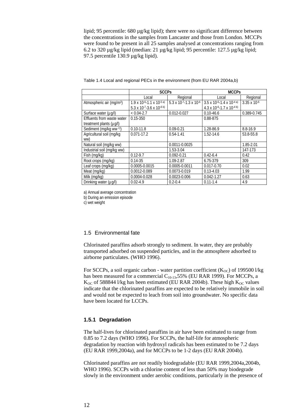lipid; 95 percentile: 680 µg/kg lipid); there were no significant difference between the concentrations in the samples from Lancaster and those from London. MCCPs were found to be present in all 25 samples analysed at concentrations ranging from 6.2 to 320 µg/kg lipid (median: 21 µg/kg lipid; 95 percentile: 127.5 µg/kg lipid; 97.5 percentile 130.9 µg/kg lipid).

|                                      | <b>SCCPs</b>                                 |                                                | <b>MCCPs</b>                                      |                       |  |
|--------------------------------------|----------------------------------------------|------------------------------------------------|---------------------------------------------------|-----------------------|--|
|                                      | Local                                        | Regional                                       |                                                   | Regional              |  |
| Atmospheric air (mg/m <sup>3</sup> ) | $1.9 \times 10^{-6} - 1.1 \times 10^{-5}$ a) | 5.3 x 10 <sup>-7</sup> -1.3 x 10 <sup>-6</sup> | $3.5 \times 10^{-6} - 1.4 \times 10^{-4}$ a)      | $3.35 \times 10^{-6}$ |  |
|                                      | 5.3 x 10-7-3.6 x 10-6 b)                     |                                                | 4.3 x 10 <sup>-6</sup> -1.7 x 10 <sup>-4 b)</sup> |                       |  |
| Surface water (µg/l)                 | $< 0.04 - 2.7$                               | 0.012-0.027                                    | $0.10 - 46.6$                                     | 0.389-0.745           |  |
| Effluents from waste water           | $0.15 - 350$                                 |                                                | 0.88-875                                          |                       |  |
| treatment plants (µg/l)              |                                              |                                                |                                                   |                       |  |
| Sediment (mg/kg ww c)                | $0.10 - 11.8$                                | $0.09 - 0.21$                                  | 1.28-86.9                                         | 8.8-16.9              |  |
| Agricultural soil (mg/kg             | $0.071 - 17.2$                               | $0.54 - 1.41$                                  | 1.52-14.6                                         | 53.8-55.8             |  |
| ww)                                  |                                              |                                                |                                                   |                       |  |
| Natural soil (mg/kg ww)              |                                              | 0.0011-0.0025                                  |                                                   | 1.85-2.01             |  |
| Industrial soil (mg/kg ww)           |                                              | 1.53-3.04                                      |                                                   | 147-173               |  |
| Fish (mg/kg)                         | $0.12 - 9.7$                                 | $0.092 - 0.21$                                 | $0.42 - 6.4$                                      | 0.42                  |  |
| Root crops (mg/kg)                   | $0.14 - 35$                                  | 1.09-2.87                                      | 6.75-379                                          | 309                   |  |
| Leaf crops (mg/kg)                   | 0.0005-0.0015                                | 0.0005-0.0011                                  | $0.017 - 0.70$                                    | 0.02                  |  |
| Meat (mg/kg)                         | 0.0012-0.089                                 | 0.0073-0.019                                   | $0.13 - 4.03$                                     | 1.99                  |  |
| Milk (mg/kg)                         | 0.0004-0.028                                 | 0.0023-0.006                                   | $0.042 - 1.27$                                    | 0.63                  |  |
| Drinking water (µg/l)                | $0.02 - 4.9$                                 | $0.2 - 0.4$                                    | $0.11 - 1.4$                                      | 4.9                   |  |

Table 1.4 Local and regional PECs in the environment (from EU RAR 2004a,b)

a) Annual average concentration

b) During an emission episode

c) wet weight

## <span id="page-11-0"></span>1.5 Environmental fate

Chlorinated paraffins adsorb strongly to sediment. In water, they are probably transported adsorbed on suspended particles, and in the atmosphere adsorbed to airborne particulates. (WHO 1996).

For SCCPs, a soil organic carbon - water partition coefficient  $(K_{OC})$  of 199500 l/kg has been measured for a commercial  $C_{10-13}$ ,55% (EU RAR 1999). For MCCPs, a  $K_{OC}$  of 588844 l/kg has been estimated (EU RAR 2004b). These high  $K_{OC}$  values indicate that the chlorinated paraffins are expected to be relatively immobile in soil and would not be expected to leach from soil into groundwater. No specific data have been located for LCCPs.

## <span id="page-11-1"></span>**1.5.1 Degradation**

The half-lives for chlorinated paraffins in air have been estimated to range from 0.85 to 7.2 days (WHO 1996). For SCCPs, the half-life for atmospheric degradation by reaction with hydroxyl radicals has been estimated to be 7.2 days (EU RAR 1999,2004a), and for MCCPs to be 1-2 days (EU RAR 2004b).

Chlorinated paraffins are not readily biodegradable (EU RAR 1999,2004a,2004b, WHO 1996). SCCPs with a chlorine content of less than 50% may biodegrade slowly in the environment under aerobic conditions, particularly in the presence of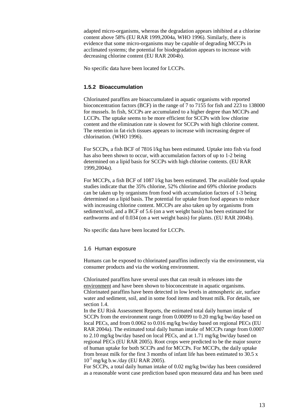adapted micro-organisms, whereas the degradation appears inhibited at a chlorine content above 58% (EU RAR 1999,2004a, WHO 1996). Similarly, there is evidence that some micro-organisms may be capable of degrading MCCPs in acclimated systems; the potential for biodegradation appears to increase with decreasing chlorine content (EU RAR 2004b).

No specific data have been located for LCCPs.

## <span id="page-12-0"></span>**1.5.2 Bioaccumulation**

Chlorinated paraffins are bioaccumulated in aquatic organisms with reported bioconcentration factors (BCF) in the range of 7 to 7155 for fish and 223 to 138000 for mussels. In fish, SCCPs are accumulated to a higher degree than MCCPs and LCCPs. The uptake seems to be more efficient for SCCPs with low chlorine content and the elimination rate is slowest for SCCPs with high chlorine content. The retention in fat-rich tissues appears to increase with increasing degree of chlorination. (WHO 1996).

For SCCPs, a fish BCF of 7816 l/kg has been estimated. Uptake into fish via food has also been shown to occur, with accumulation factors of up to 1-2 being determined on a lipid basis for SCCPs with high chlorine contents. (EU RAR 1999,2004a).

For MCCPs, a fish BCF of 1087 l/kg has been estimated. The available food uptake studies indicate that the 35% chlorine, 52% chlorine and 69% chlorine products can be taken up by organisms from food with accumulation factors of 1-3 being determined on a lipid basis. The potential for uptake from food appears to reduce with increasing chlorine content. MCCPs are also taken up by organisms from sediment/soil, and a BCF of 5.6 (on a wet weight basis) has been estimated for earthworms and of 0.034 (on a wet weight basis) for plants. (EU RAR 2004b).

No specific data have been located for LCCPs.

## <span id="page-12-1"></span>1.6 Human exposure

Humans can be exposed to chlorinated paraffins indirectly via the environment, via consumer products and via the working environment.

Chlorinated paraffins have several uses that can result in releases into the environment and have been shown to bioconcentrate in aquatic organisms. Chlorinated paraffins have been detected in low levels in atmospheric air, surface water and sediment, soil, and in some food items and breast milk. For details, see section 1.4.

In the EU Risk Assessment Reports, the estimated total daily human intake of SCCPs from the environment range from 0.00099 to 0.20 mg/kg bw/day based on local PECs, and from 0.0062 to 0.016 mg/kg bw/day based on regional PECs (EU RAR 2004a). The estimated total daily human intake of MCCPs range from 0.0007 to 2.10 mg/kg bw/day based on local PECs, and at 1.71 mg/kg bw/day based on regional PECs (EU RAR 2005). Root crops were predicted to be the major source of human uptake for both SCCPs and for MCCPs. For MCCPs, the daily uptake from breast milk for the first 3 months of infant life has been estimated to 30.5 x  $10^{-5}$  mg/kg b.w./day (EU RAR 2005).

For SCCPs, a total daily human intake of 0.02 mg/kg bw/day has been considered as a reasonable worst case prediction based upon measured data and has been used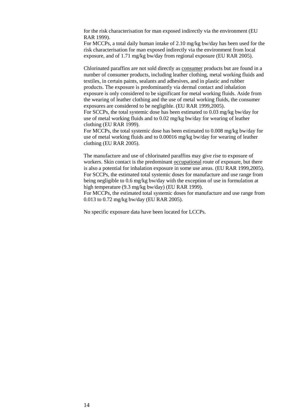for the risk characterisation for man exposed indirectly via the environment (EU RAR 1999).

For MCCPs, a total daily human intake of 2.10 mg/kg bw/day has been used for the risk characterisation for man exposed indirectly via the environment from local exposure, and of 1.71 mg/kg bw/day from regional exposure (EU RAR 2005).

Chlorinated paraffins are not sold directly as consumer products but are found in a number of consumer products, including leather clothing, metal working fluids and textiles, in certain paints, sealants and adhesives, and in plastic and rubber products. The exposure is predominantly via dermal contact and inhalation exposure is only considered to be significant for metal working fluids. Aside from the wearing of leather clothing and the use of metal working fluids, the consumer exposures are considered to be negligible. (EU RAR 1999,2005).

For SCCPs, the total systemic dose has been estimated to 0.03 mg/kg bw/day for use of metal working fluids and to 0.02 mg/kg bw/day for wearing of leather clothing (EU RAR 1999).

For MCCPs, the total systemic dose has been estimated to 0.008 mg/kg bw/day for use of metal working fluids and to 0.00016 mg/kg bw/day for wearing of leather clothing (EU RAR 2005).

The manufacture and use of chlorinated paraffins may give rise to exposure of workers. Skin contact is the predominant occupational route of exposure, but there is also a potential for inhalation exposure in some use areas. (EU RAR 1999,2005). For SCCPs, the estimated total systemic doses for manufacture and use range from being negligible to 0.6 mg/kg bw/day with the exception of use in formulation at high temperature (9.3 mg/kg bw/day) (EU RAR 1999).

For MCCPs, the estimated total systemic doses for manufacture and use range from 0.013 to 0.72 mg/kg bw/day (EU RAR 2005).

No specific exposure data have been located for LCCPs.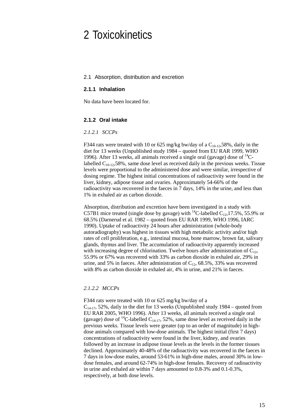## <span id="page-14-0"></span>2 Toxicokinetics

#### <span id="page-14-1"></span>2.1 Absorption, distribution and excretion

### <span id="page-14-2"></span>**2.1.1 Inhalation**

No data have been located for.

## <span id="page-14-3"></span>**2.1.2 Oral intake**

#### *2.1.2.1 SCCPs*

F344 rats were treated with 10 or 625 mg/kg bw/day of a  $C_{10-12}$ ,58%, daily in the diet for 13 weeks (Unpublished study 1984 – quoted from EU RAR 1999, WHO 1996). After 13 weeks, all animals received a single oral (gavage) dose of  $^{14}$ Clabelled  $C_{10-12}$ , 58%, same dose level as received daily in the previous weeks. Tissue levels were proportional to the administered dose and were similar, irrespective of dosing regime. The highest initial concentrations of radioactivity were found in the liver, kidney, adipose tissue and ovaries. Approximately 54-66% of the radioactivity was recovered in the faeces in 7 days, 14% in the urine, and less than 1% in exhaled air as carbon dioxide.

Absorption, distribution and excretion have been investigated in a study with C57B1 mice treated (single dose by gavage) with <sup>14</sup>C-labelled C<sub>12</sub>,17.5%, 55.9% or 68.5% (Darnerud et al. 1982 – quoted from EU RAR 1999, WHO 1996, IARC 1990). Uptake of radioactivity 24 hours after administration (whole-body autoradiography) was highest in tissues with high metabolic activity and/or high rates of cell proliferation, e.g., intestinal mucosa, bone marrow, brown fat, salivary glands, thymus and liver. The accumulation of radioactivity apparently increased with increasing degree of chlorination. Twelve hours after administration of  $C_{12}$ , 55.9% or 67% was recovered with 33% as carbon dioxide in exhaled air, 29% in urine, and 5% in faeces. After administration of  $C_{12}$ , 68.5%, 33% was recovered with 8% as carbon dioxide in exhaled air, 4% in urine, and 21% in faeces.

## *2.1.2.2 MCCPs*

F344 rats were treated with 10 or 625 mg/kg bw/day of a  $C_{14-17}$ , 52%, daily in the diet for 13 weeks (Unpublished study 1984 – quoted from EU RAR 2005, WHO 1996). After 13 weeks, all animals received a single oral (gavage) dose of <sup>14</sup>C-labelled C<sub>14-17</sub>, 52%, same dose level as received daily in the previous weeks. Tissue levels were greater (up to an order of magnitude) in highdose animals compared with low-dose animals. The highest initial (first 7 days) concentrations of radioactivity were found in the liver, kidney, and ovaries followed by an increase in adipose tissue levels as the levels in the former tissues declined. Approximately 40-48% of the radioactivity was recovered in the faeces in 7 days in low-dose males, around 53-61% in high-dose males, around 30% in lowdose females, and around 62-74% in high-dose females. Recovery of radioactivity in urine and exhaled air within 7 days amounted to 0.8-3% and 0.1-0.3%, respectively, at both dose levels.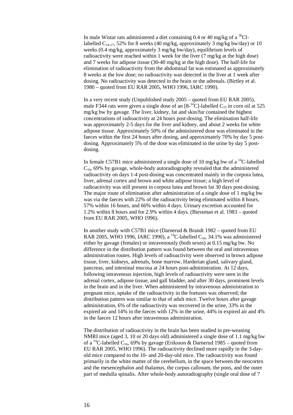In male Wistar rats administered a diet containing 0.4 or 40 mg/kg of a  ${}^{36}$ Cllabelled  $C_{14-17}$ , 52% for 8 weeks (40 mg/kg, approximately 3 mg/kg bw/day) or 10 weeks (0.4 mg/kg, approximately 3 mg/kg bw/day), equilibrium levels of radioactivity were reached within 1 week for the liver (7 mg/kg at the high dose) and 7 weeks for adipose tissue (30-40 mg/kg at the high dose). The half-life for elimination of radioactivity from the abdominal fat was estimated as approximately 8 weeks at the low dose; no radioactivity was detected in the liver at 1 week after dosing. No radioactivity was detected in the brain or the adrenals. (Birtley et al. 1980 – quoted from EU RAR 2005, WHO 1996, IARC 1990).

In a very recent study (Unpublished study 2005 – quoted from EU RAR 2005), male F344 rats were given a single dose of an  $[8^{-14}C]$ -labelled  $C_{15}$  in corn oil at 525 mg/kg bw by gavage. The liver, kidney, fat and skin/fur contained the highest concentrations of radioactivity at 24 hours post-dosing. The elimination half-life was approximately 2-5 days for the liver and kidney, and about 2 weeks for white adipose tissue. Approximately 50% of the administered dose was eliminated in the faeces within the first 24 hours after dosing, and approximately 70% by day 5 postdosing. Approximately 5% of the dose was eliminated in the urine by day 5 postdosing.

In female C57B1 mice administered a single dose of 10 mg/kg bw of a  $^{14}$ C-labelled  $C_{16}$ , 69% by gavage, whole-body autoradiography revealed that the administered radioactivity on days 1-4 post-dosing was concentrated mainly in the corpora lutea, liver, adrenal cortex and brown and white adipose tissue; a high level of radioactivity was still present in corpora lutea and brown fat 30 days post-dosing. The major route of elimination after administration of a single dose of 1 mg/kg bw was via the faeces with 22% of the radioactivity being eliminated within 8 hours, 57% within 16 hours, and 66% within 4 days. Urinary excretion accounted for 1.2% within 8 hours and for 2.9% within 4 days. (Biessman et al. 1983 – quoted from EU RAR 2005, WHO 1996).

In another study with C57B1 mice (Darnerud & Brandt 1982 – quoted from EU RAR 2005, WHO 1996, IARC 1990), a <sup>14</sup>C-labelled C<sub>16</sub>, 34.1% was administered either by gavage (females) or intravenously (both sexes) at 0.15 mg/kg bw. No difference in the distribution pattern was found between the oral and intravenous administration routes. High levels of radioactivity were observed in brown adipose tissue, liver, kidneys, adrenals, bone marrow, Harderian gland, salivary gland, pancreas, and intestinal mucosa at 24 hours post-administration. At 12 days, following intravenous injection, high levels of radioactivity were seen in the adrenal cortex, adipose tissue, and gall bladder, and after 30 days, prominent levels in the brain and in the liver. When administered by intravenous administration to pregnant mice, uptake of the radioactivity in the foetuses was observed; the distribution pattern was similar to that of adult mice. Twelve hours after gavage administration, 6% of the radioactivity was recovered in the urine, 33% in the expired air and 14% in the faeces with 12% in the urine, 44% in expired air and 4% in the faeces 12 hours after intravenous administration.

The distribution of radioactivity in the brain has been studied in pre-weaning NMRI mice (aged 3, 10 or 20 days old) administered a single dose of 1.1 mg/kg bw of a <sup>14</sup>C-labelled C<sub>16</sub>, 69% by gavage (Eriksson & Darnerud 1985 – quoted from EU RAR 2005, WHO 1996). The radioactivity declined more rapidly in the 3-dayold mice compared to the 10- and 20-day-old mice. The radioactivity was found primarily in the white matter of the cerebellum, in the space between the neocortex and the mesencephalon and thalamus, the corpus callosum, the pons, and the outer part of medulla spinalis. After whole-body autoradiography (single oral dose of 7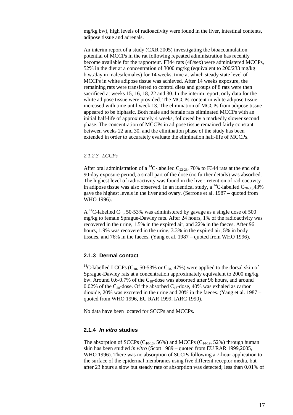mg/kg bw), high levels of radioactivity were found in the liver, intestinal contents, adipose tissue and adrenals.

An interim report of a study (CXR 2005) investigating the bioaccumulation potential of MCCPs in the rat following repeated administration has recently become available for the rapporteur. F344 rats (48/sex) were administered MCCPs, 52% in the diet at a concentration of 3000 mg/kg (equivalent to 200/233 mg/kg b.w./day in males/females) for 14 weeks, time at which steady state level of MCCPs in white adipose tissue was achieved. After 14 weeks exposure, the remaining rats were transferred to control diets and groups of 8 rats were then sacrificed at weeks 15, 16, 18, 22 and 30. In the interim report, only data for the white adipose tissue were provided. The MCCPs content in white adipose tissue increased with time until week 13. The elimination of MCCPs from adipose tissue appeared to be biphasic. Both male and female rats eliminated MCCPs with an initial half-life of approximately 4 weeks, followed by a markedly slower second phase. The concentration of MCCPs in adipose tissue remained fairly constant between weeks 22 and 30, and the elimination phase of the study has been extended in order to accurately evaluate the elimination half-life of MCCPs.

## *2.1.2.3 LCCPs*

After oral administration of a <sup>14</sup>C-labelled C<sub>22-26</sub>, 70% to F344 rats at the end of a 90-day exposure period, a small part of the dose (no further details) was absorbed. The highest level of radioactivity was found in the liver; retention of radioactivity in adipose tissue was also observed. In an identical study, a <sup>14</sup>C-labelled C<sub>20-30</sub>,43% gave the highest levels in the liver and ovary. (Serrone et al. 1987 – quoted from WHO 1996).

A <sup>14</sup>C-labelled C<sub>18</sub>, 50-53% was administered by gavage as a single dose of 500 mg/kg to female Sprague-Dawley rats. After 24 hours, 1% of the radioactivity was recovered in the urine, 1.5% in the expired air, and 22% in the faeces. After 96 hours, 1.9% was recovered in the urine, 3.3% in the expired air, 5% in body tissues, and 76% in the faeces. (Yang et al. 1987 – quoted from WHO 1996).

## <span id="page-16-0"></span>**2.1.3 Dermal contact**

<sup>14</sup>C-labelled LCCPs (C<sub>18</sub>, 50-53% or C<sub>28</sub>, 47%) were applied to the dorsal skin of Sprague-Dawley rats at a concentration approximately equivalent to 2000 mg/kg bw. Around 0.6-0.7% of the  $C_{18}$ -dose was absorbed after 96 hours, and around 0.02% of the  $C_{28}$ -dose. Of the absorbed  $C_{18}$ -dose, 40% was exhaled as carbon dioxide, 20% was excreted in the urine and 20% in the faeces. (Yang et al. 1987 – quoted from WHO 1996, EU RAR 1999, IARC 1990).

No data have been located for SCCPs and MCCPs.

#### <span id="page-16-1"></span>**2.1.4** *In vitro* **studies**

The absorption of SCCPs ( $C_{10-13}$ , 56%) and MCCPs ( $C_{14-19}$ , 52%) through human skin has been studied *in vitro* (Scott 1989 – quoted from EU RAR 1999,2005, WHO 1996). There was no absorption of SCCPs following a 7-hour application to the surface of the epidermal membranes using five different receptor media, but after 23 hours a slow but steady rate of absorption was detected; less than 0.01% of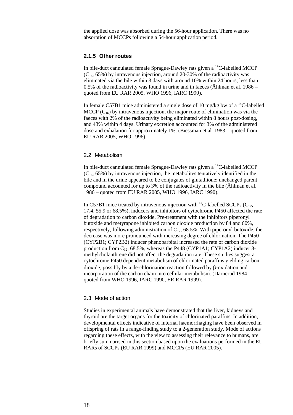the applied dose was absorbed during the 56-hour application. There was no absorption of MCCPs following a 54-hour application period.

### <span id="page-17-0"></span>**2.1.5 Other routes**

In bile-duct cannulated female Sprague-Dawley rats given a  $^{14}$ C-labelled MCCP  $(C<sub>16</sub>, 65%)$  by intravenous injection, around 20-30% of the radioactivity was eliminated via the bile within 3 days with around 10% within 24 hours; less than 0.5% of the radioactivity was found in urine and in faeces (Åhlman et al. 1986 – quoted from EU RAR 2005, WHO 1996, IARC 1990).

In female C57B1 mice administered a single dose of 10 mg/kg bw of a  $\mathrm{^{14}C}\text{-}labeled$ MCCP  $(C_{16})$  by intravenous injection, the major route of elimination was via the faeces with 2% of the radioactivity being eliminated within 8 hours post-dosing, and 43% within 4 days. Urinary excretion accounted for 3% of the administered dose and exhalation for approximately 1%. (Biessman et al. 1983 – quoted from EU RAR 2005, WHO 1996).

### <span id="page-17-1"></span>2.2 Metabolism

In bile-duct cannulated female Sprague-Dawley rats given a  $^{14}$ C-labelled MCCP  $(C_{16}, 65\%)$  by intravenous injection, the metabolites tentatively identified in the bile and in the urine appeared to be conjugates of glutathione; unchanged parent compound accounted for up to 3% of the radioactivity in the bile (Åhlman et al. 1986 – quoted from EU RAR 2005, WHO 1996, IARC 1990).

In C57B1 mice treated by intravenous injection with <sup>14</sup>C-labelled SCCPs ( $C_{12}$ , 17.4, 55.9 or 68.5%), inducers and inhibitors of cytochrome P450 affected the rate of degradation to carbon dioxide. Pre-treatment with the inhibitors piperonyl butoxide and metyrapone inhibited carbon dioxide production by 84 and 60%, respectively, following administration of  $C_{12}$ , 68.5%. With piperonyl butoxide, the decrease was more pronounced with increasing degree of chlorination. The P450 (CYP2B1; CYP2B2) inducer phenobarbital increased the rate of carbon dioxide production from  $C_{12}$ , 68.5%, whereas the P448 (CYP1A1; CYP1A2) inducer 3methylcholanthrene did not affect the degradation rate. These studies suggest a cytochrome P450 dependent metabolism of chlorinated paraffins yielding carbon dioxide, possibly by a de-chlorination reaction followed by β-oxidation and incorporation of the carbon chain into cellular metabolism. (Darnerud 1984 – quoted from WHO 1996, IARC 1990, ER RAR 1999).

#### <span id="page-17-2"></span>2.3 Mode of action

Studies in experimental animals have demonstrated that the liver, kidneys and thyroid are the target organs for the toxicity of chlorinated paraffins. In addition, developmental effects indicative of internal haemorrhaging have been observed in offspring of rats in a range-finding study to a 2-generation study. Mode of actions regarding these effects, with the view to assessing their relevance to humans, are briefly summarised in this section based upon the evaluations performed in the EU RARs of SCCPs (EU RAR 1999) and MCCPs (EU RAR 2005).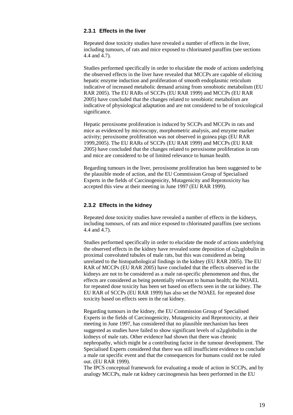## <span id="page-18-0"></span>**2.3.1 Effects in the liver**

Repeated dose toxicity studies have revealed a number of effects in the liver, including tumours, of rats and mice exposed to chlorinated paraffins (see sections 4.4 and 4.7).

Studies performed specifically in order to elucidate the mode of actions underlying the observed effects in the liver have revealed that MCCPs are capable of eliciting hepatic enzyme induction and proliferation of smooth endoplasmic reticulum indicative of increased metabolic demand arising from xenobiotic metabolism (EU RAR 2005). The EU RARs of SCCPs (EU RAR 1999) and MCCPs (EU RAR 2005) have concluded that the changes related to xenobiotic metabolism are indicative of physiological adaptation and are not considered to be of toxicological significance.

Hepatic peroxisome proliferation is induced by SCCPs and MCCPs in rats and mice as evidenced by microscopy, morphometric analysis, and enzyme marker activity; peroxisome proliferation was not observed in guinea pigs (EU RAR 1999,2005). The EU RARs of SCCPs (EU RAR 1999) and MCCPs (EU RAR 2005) have concluded that the changes related to peroxisome proliferation in rats and mice are considered to be of limited relevance to human health.

Regarding tumours in the liver, peroxisome proliferation has been suggested to be the plausible mode of action, and the EU Commission Group of Specialised Experts in the fields of Carcinogenicity, Mutagenicity and Reprotoxicity has accepted this view at their meeting in June 1997 (EU RAR 1999).

## <span id="page-18-1"></span>**2.3.2 Effects in the kidney**

Repeated dose toxicity studies have revealed a number of effects in the kidneys, including tumours, of rats and mice exposed to chlorinated paraffins (see sections 4.4 and 4.7).

Studies performed specifically in order to elucidate the mode of actions underlying the observed effects in the kidney have revealed some deposition of  $\alpha$ 2µglobulin in proximal convoluted tubules of male rats, but this was considered as being unrelated to the histopathological findings in the kidney (EU RAR 2005). The EU RAR of MCCPs (EU RAR 2005) have concluded that the effects observed in the kidneys are not to be considered as a male rat-specific phenomenon and thus, the effects are considered as being potentially relevant to human health; the NOAEL for repeated dose toxicity has been set based on effects seen in the rat kidney. The EU RAR of SCCPs (EU RAR 1999) has also set the NOAEL for repeated dose toxicity based on effects seen in the rat kidney.

Regarding tumours in the kidney, the EU Commission Group of Specialised Experts in the fields of Carcinogenicity, Mutagenicity and Reprotoxicity, at their meeting in June 1997, has considered that no plausible mechanism has been suggested as studies have failed to show significant levels of  $\alpha$ 2µglobulin in the kidneys of male rats. Other evidence had shown that there was chronic nephropathy, which might be a contributing factor in the tumour development. The Specialised Experts considered that there was still insufficient evidence to conclude a male rat specific event and that the consequences for humans could not be ruled out. (EU RAR 1999).

The IPCS conceptual framework for evaluating a mode of action in SCCPs, and by analogy MCCPs, male rat kidney carcinogenesis has been performed in the EU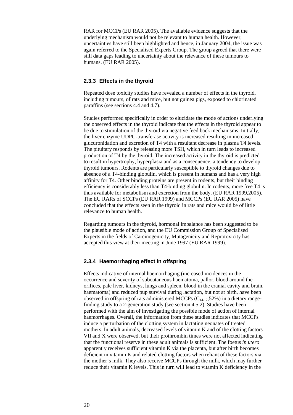RAR for MCCPs (EU RAR 2005). The available evidence suggests that the underlying mechanism would not be relevant to human health. However, uncertainties have still been highlighted and hence, in January 2004, the issue was again referred to the Specialised Experts Group. The group agreed that there were still data gaps leading to uncertainty about the relevance of these tumours to humans. (EU RAR 2005).

## <span id="page-19-0"></span>**2.3.3 Effects in the thyroid**

Repeated dose toxicity studies have revealed a number of effects in the thyroid, including tumours, of rats and mice, but not guinea pigs, exposed to chlorinated paraffins (see sections 4.4 and 4.7).

Studies performed specifically in order to elucidate the mode of actions underlying the observed effects in the thyroid indicate that the effects in the thyroid appear to be due to stimulation of the thyroid via negative feed back mechanisms. Initially, the liver enzyme UDPG-transferase activity is increased resulting in increased glucuronidation and excretion of T4 with a resultant decrease in plasma T4 levels. The pituitary responds by releasing more TSH, which in turn leads to increased production of T4 by the thyroid. The increased activity in the thyroid is predicted to result in hypertrophy, hyperplasia and as a consequence, a tendency to develop thyroid tumours. Rodents are particularly susceptible to thyroid changes due to absence of a T4-binding globulin, which is present in humans and has a very high affinity for T4. Other binding proteins are present in rodents, but their binding efficiency is considerably less than T4-binding globulin. In rodents, more free T4 is thus available for metabolism and excretion from the body. (EU RAR 1999,2005). The EU RARs of SCCPs (EU RAR 1999) and MCCPs (EU RAR 2005) have concluded that the effects seen in the thyroid in rats and mice would be of little relevance to human health.

Regarding tumours in the thyroid, hormonal imbalance has been suggested to be the plausible mode of action, and the EU Commission Group of Specialised Experts in the fields of Carcinogenicity, Mutagenicity and Reprotoxicity has accepted this view at their meeting in June 1997 (EU RAR 1999).

## <span id="page-19-1"></span>**2.3.4 Haemorrhaging effect in offspring**

Effects indicative of internal haemorrhaging (increased incidences in the occurrence and severity of subcutaneous haematoma, pallor, blood around the orifices, pale liver, kidneys, lungs and spleen, blood in the cranial cavity and brain, haematoma) and reduced pup survival during lactation, but not at birth, have been observed in offspring of rats administered MCCPs  $(C_{14-17}, 52%)$  in a dietary rangefinding study to a 2-generation study (see section 4.5.2). Studies have been performed with the aim of investigating the possible mode of action of internal haemorrhages. Overall, the information from these studies indicates that MCCPs induce a perturbation of the clotting system in lactating neonates of treated mothers. In adult animals, decreased levels of vitamin K and of the clotting factors VII and X were observed, but their prothrombin times were not affected indicating that the functional reserve in these adult animals is sufficient. The foetus *in utero* apparently receives sufficient vitamin K via the placenta, but after birth becomes deficient in vitamin K and related clotting factors when reliant of these factors via the mother's milk. They also receive MCCPs through the milk, which may further reduce their vitamin K levels. This in turn will lead to vitamin K deficiency in the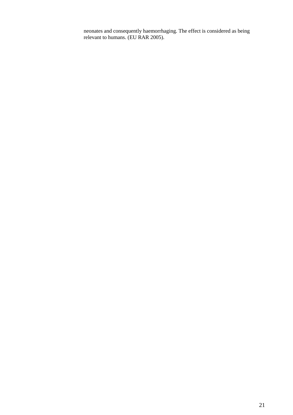neonates and consequently haemorrhaging. The effect is considered as being relevant to humans. (EU RAR 2005).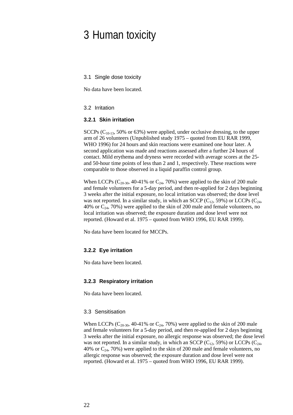## <span id="page-21-0"></span>3 Human toxicity

<span id="page-21-1"></span>3.1 Single dose toxicity

No data have been located.

## <span id="page-21-2"></span>3.2 Irritation

#### <span id="page-21-3"></span>**3.2.1 Skin irritation**

SCCPs  $(C_{10-13}, 50\% \text{ or } 63\%)$  were applied, under occlusive dressing, to the upper arm of 26 volunteers (Unpublished study 1975 – quoted from EU RAR 1999, WHO 1996) for 24 hours and skin reactions were examined one hour later. A second application was made and reactions assessed after a further 24 hours of contact. Mild erythema and dryness were recorded with average scores at the 25 and 50-hour time points of less than 2 and 1, respectively. These reactions were comparable to those observed in a liquid paraffin control group.

When LCCPs ( $C_{20-30}$ , 40-41% or  $C_{24}$ , 70%) were applied to the skin of 200 male and female volunteers for a 5-day period, and then re-applied for 2 days beginning 3 weeks after the initial exposure, no local irritation was observed; the dose level was not reported. In a similar study, in which an SCCP ( $C_{12}$ , 59%) or LCCPs ( $C_{24}$ , 40% or  $C_{24}$ , 70%) were applied to the skin of 200 male and female volunteers, no local irritation was observed; the exposure duration and dose level were not reported. (Howard et al. 1975 – quoted from WHO 1996, EU RAR 1999).

No data have been located for MCCPs.

## <span id="page-21-4"></span>**3.2.2 Eye irritation**

No data have been located.

#### <span id="page-21-5"></span>**3.2.3 Respiratory irritation**

No data have been located.

## <span id="page-21-6"></span>3.3 Sensitisation

When LCCPs ( $C_{20-30}$ , 40-41% or  $C_{24}$ , 70%) were applied to the skin of 200 male and female volunteers for a 5-day period, and then re-applied for 2 days beginning 3 weeks after the initial exposure, no allergic response was observed; the dose level was not reported. In a similar study, in which an SCCP ( $C_{12}$ , 59%) or LCCPs ( $C_{24}$ , 40% or  $C_{24}$ , 70%) were applied to the skin of 200 male and female volunteers, no allergic response was observed; the exposure duration and dose level were not reported. (Howard et al. 1975 – quoted from WHO 1996, EU RAR 1999).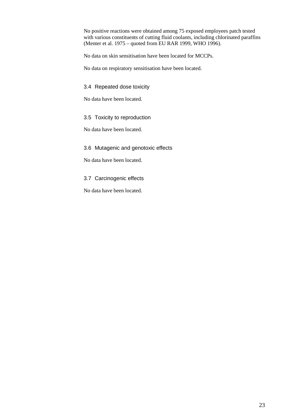No positive reactions were obtained among 75 exposed employees patch tested with various constituents of cutting fluid coolants, including chlorinated paraffins (Menter et al. 1975 – quoted from EU RAR 1999, WHO 1996).

No data on skin sensitisation have been located for MCCPs.

No data on respiratory sensitisation have been located.

<span id="page-22-0"></span>3.4 Repeated dose toxicity

No data have been located.

## <span id="page-22-1"></span>3.5 Toxicity to reproduction

No data have been located.

## <span id="page-22-2"></span>3.6 Mutagenic and genotoxic effects

No data have been located.

## <span id="page-22-3"></span>3.7 Carcinogenic effects

No data have been located.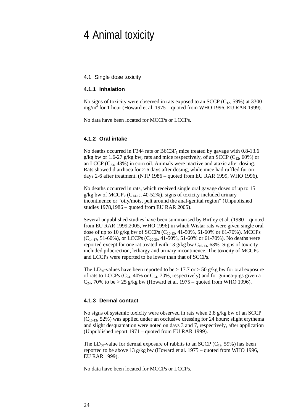## <span id="page-23-0"></span>4 Animal toxicity

#### <span id="page-23-1"></span>4.1 Single dose toxicity

## <span id="page-23-2"></span>**4.1.1 Inhalation**

No signs of toxicity were observed in rats exposed to an SCCP ( $C_{12}$ , 59%) at 3300 mg/m<sup>3</sup> for 1 hour (Howard et al. 1975 – quoted from WHO 1996, EU RAR 1999).

No data have been located for MCCPs or LCCPs.

## <span id="page-23-3"></span>**4.1.2 Oral intake**

No deaths occurred in F344 rats or  $B6C3F<sub>1</sub>$  mice treated by gavage with 0.8-13.6 g/kg bw or 1.6-27 g/kg bw, rats and mice respectively, of an SCCP ( $C_{12}$ , 60%) or an LCCP  $(C_{23}, 43\%)$  in corn oil. Animals were inactive and ataxic after dosing. Rats showed diarrhoea for 2-6 days after dosing, while mice had ruffled fur on days 2-6 after treatment. (NTP 1986 – quoted from EU RAR 1999, WHO 1996).

No deaths occurred in rats, which received single oral gavage doses of up to 15  $g/kg$  bw of MCCPs (C<sub>14-17</sub>, 40-52%), signs of toxicity included urinary incontinence or "oily/moist pelt around the anal-genital region" (Unpublished studies 1978,1986 – quoted from EU RAR 2005).

Several unpublished studies have been summarised by Birtley et al. (1980 – quoted from EU RAR 1999,2005, WHO 1996) in which Wistar rats were given single oral dose of up to 10 g/kg bw of SCCPs (C10-13, 41-50%, 51-60% or 61-70%), MCCPs  $(C_{14-17}, 51-60\%)$ , or LCCPs  $(C_{20-30}, 41-50\% , 51-60\% )$  or 61-70%). No deaths were reported except for one rat treated with 13 g/kg bw  $C_{10-13}$ , 63%. Signs of toxicity included piloerection, lethargy and urinary incontinence. The toxicity of MCCPs and LCCPs were reported to be lower than that of SCCPs.

The LD<sub>50</sub>-values have been reported to be  $> 17.7$  or  $> 50$  g/kg bw for oral exposure of rats to LCCPs  $(C_{24}, 40\% \text{ or } C_{24}, 70\% \text{, respectively})$  and for guinea-pigs given a  $C_{24}$ , 70% to be > 25 g/kg bw (Howard et al. 1975 – quoted from WHO 1996).

## <span id="page-23-4"></span>**4.1.3 Dermal contact**

No signs of systemic toxicity were observed in rats when 2.8 g/kg bw of an SCCP  $(C<sub>10-13</sub>, 52%)$  was applied under an occlusive dressing for 24 hours; slight erythema and slight desquamation were noted on days 3 and 7, respectively, after application (Unpublished report 1971 – quoted from EU RAR 1999).

The LD<sub>50</sub>-value for dermal exposure of rabbits to an SCCP ( $C_{12}$ , 59%) has been reported to be above 13 g/kg bw (Howard et al. 1975 – quoted from WHO 1996, EU RAR 1999).

No data have been located for MCCPs or LCCPs.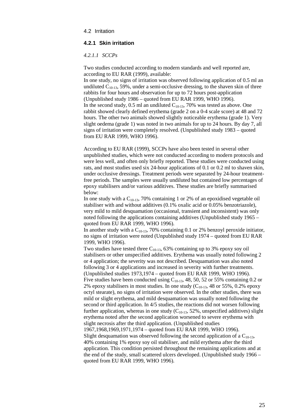#### <span id="page-24-0"></span>4.2 Irritation

## <span id="page-24-1"></span>**4.2.1 Skin irritation**

*4.2.1.1 SCCPs*

Two studies conducted according to modern standards and well reported are, according to EU RAR (1999), available:

In one study, no signs of irritation was observed following application of 0.5 ml an undiluted  $C_{10-13}$ , 59%, under a semi-occlusive dressing, to the shaven skin of three rabbits for four hours and observation for up to 72 hours post-application (Unpublished study 1986 – quoted from EU RAR 1999, WHO 1996). In the second study,  $0.5$  ml an undiluted  $C_{10-13}$ , 70% was tested as above. One rabbit showed clearly defined erythema (grade 2 on a 0-4 scale score) at 48 and 72 hours. The other two animals showed slightly noticeable erythema (grade 1). Very slight oedema (grade 1) was noted in two animals for up to 24 hours. By day 7, all signs of irritation were completely resolved. (Unpublished study 1983 – quoted from EU RAR 1999, WHO 1996).

According to EU RAR (1999), SCCPs have also been tested in several other unpublished studies, which were not conducted according to modern protocols and were less well, and often only briefly reported. These studies were conducted using rats, and most studies used six 24-hour applications of 0.1 or 0.2 ml to shaven skin, under occlusive dressings. Treatment periods were separated by 24-hour treatmentfree periods. The samples were usually undiluted but contained low percentages of epoxy stabilisers and/or various additives. These studies are briefly summarised below:

In one study with a  $C_{10-13}$ , 70% containing 1 or 2% of an epoxidised vegetable oil stabiliser with and without additives (0.1% oxalic acid or 0.05% benzotriazole), very mild to mild desquamation (occasional, transient and inconsistent) was only noted following the applications containing additives (Unpublished study 1965 – quoted from EU RAR 1999, WHO 1996).

In another study with a  $C_{10-13}$ , 70% containing 0.1 or 2% benzoyl peroxide initiator, no signs of irritation were noted (Unpublished study 1974 – quoted from EU RAR 1999, WHO 1996).

Two studies have tested three  $C_{10-13}$ , 63% containing up to 3% epoxy soy oil stabilisers or other unspecified additives. Erythema was usually noted following 2 or 4 application; the severity was not described. Desquamation was also noted following 3 or 4 applications and increased in severity with further treatments. (Unpublished studies 1973,1974 – quoted from EU RAR 1999, WHO 1996). Five studies have been conducted using  $C_{10-13}$ , 48, 50, 52 or 55% containing 0.2 or 2% epoxy stabilisers in most studies. In one study  $(C_{10-13}, 48 \text{ or } 55\%, 0.2\% \text{ epoxy}$ octyl stearate), no signs of irritation were observed. In the other studies, there was mild or slight erythema, and mild desquamation was usually noted following the second or third application. In 4/5 studies, the reactions did not worsen following further application, whereas in one study  $(C<sub>10-13</sub>, 52\%$ , unspecified additives) slight erythema noted after the second application worsened to severe erythema with slight necrosis after the third application. (Unpublished studies 1967,1968,1969,1971,1974 – quoted from EU RAR 1999, WHO 1996). Slight desquamation was observed following the second application of a  $C_{10-13}$ , 40% containing 1% epoxy soy oil stabiliser, and mild erythema after the third application. This condition persisted throughout the remaining applications and at the end of the study, small scattered ulcers developed. (Unpublished study 1966 – quoted from EU RAR 1999, WHO 1996).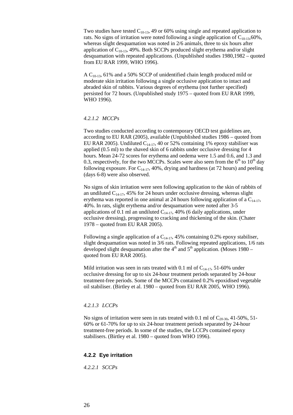Two studies have tested  $C_{10-13}$ , 49 or 60% using single and repeated application to rats. No signs of irritation were noted following a single application of  $C_{10-13}$ , 60%, whereas slight desquamation was noted in 2/6 animals, three to six hours after application of  $C_{10-13}$ , 49%. Both SCCPs produced slight erythema and/or slight desquamation with repeated applications. (Unpublished studies 1980,1982 – quoted from EU RAR 1999, WHO 1996).

A  $C_{10-13}$ , 61% and a 50% SCCP of unidentified chain length produced mild or moderate skin irritation following a single occlusive application to intact and abraded skin of rabbits. Various degrees of erythema (not further specified) persisted for 72 hours. (Unpublished study 1975 – quoted from EU RAR 1999, WHO 1996).

#### *4.2.1.2 MCCPs*

Two studies conducted according to contemporary OECD test guidelines are, according to EU RAR (2005), available (Unpublished studies 1986 – quoted from EU RAR 2005). Undiluted  $C_{14-17}$ , 40 or 52% containing 1% epoxy stabiliser was applied (0.5 ml) to the shaved skin of 6 rabbits under occlusive dressing for 4 hours. Mean 24-72 scores for erythema and oedema were 1.5 and 0.6, and 1.3 and 0.3, respectively, for the two MCCPs. Scales were also seen from the  $6<sup>th</sup>$  to  $10<sup>th</sup>$  day following exposure. For  $C_{14-17}$ , 40%, drying and hardness (at 72 hours) and peeling (days 6-8) were also observed.

No signs of skin irritation were seen following application to the skin of rabbits of an undiluted  $C_{14-17}$ , 45% for 24 hours under occlusive dressing, whereas slight erythema was reported in one animal at 24 hours following application of a  $C_{14-17}$ , 40%. In rats, slight erythema and/or desquamation were noted after 3-5 applications of 0.1 ml an undiluted  $C_{14-17}$ , 40% (6 daily applications, under occlusive dressing), progressing to cracking and thickening of the skin. (Chater 1978 – quoted from EU RAR 2005).

Following a single application of a  $C_{14-17}$ , 45% containing 0.2% epoxy stabiliser, slight desquamation was noted in 3/6 rats. Following repeated applications, 1/6 rats developed slight desquamation after the  $4<sup>th</sup>$  and  $5<sup>th</sup>$  application. (Moses 1980 – quoted from EU RAR 2005).

Mild irritation was seen in rats treated with 0.1 ml of  $C_{14-17}$ , 51-60% under occlusive dressing for up to six 24-hour treatment periods separated by 24-hour treatment-free periods. Some of the MCCPs contained 0.2% epoxidised vegetable oil stabiliser. (Birtley et al. 1980 – quoted from EU RAR 2005, WHO 1996).

## *4.2.1.3 LCCPs*

No signs of irritation were seen in rats treated with 0.1 ml of  $C_{20-30}$ , 41-50%, 51-60% or 61-70% for up to six 24-hour treatment periods separated by 24-hour treatment-free periods. In some of the studies, the LCCPs contained epoxy stabilisers. (Birtley et al. 1980 – quoted from WHO 1996).

## <span id="page-25-0"></span>**4.2.2 Eye irritation**

*4.2.2.1 SCCPs*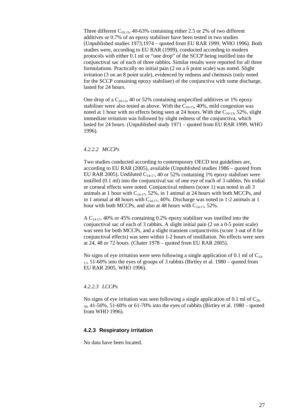Three different  $C_{10-13}$ , 40-63% containing either 2.5 or 2% of two different additives or 0.7% of an epoxy stabiliser have been tested in two studies (Unpublished studies 1973,1974 – quoted from EU RAR 1999, WHO 1996). Both studies were, according to EU RAR (1999), conducted according to modern protocols with either 0.1 ml or "one drop" of the SCCP being instilled into the conjunctival sac of each of three rabbits. Similar results were reported for all three formulations. Practically no initial pain (2 on a 6 point scale) was noted. Slight irritation (3 on an 8 point scale), evidenced by redness and chemosis (only noted for the SCCP containing epoxy stabiliser) of the conjunctiva with some discharge, lasted for 24 hours.

One drop of a  $C_{10-13}$ , 40 or 52% containing unspecified additives or 1% epoxy stabiliser were also tested as above. With the  $C_{10-13}$ , 40%, mild congestion was noted at 1 hour with no effects being seen at 24 hours. With the  $C_{10-13}$ , 52%, slight immediate irritation was followed by slight redness of the conjunctiva, which lasted for 24 hours. (Unpublished study 1971 – quoted from EU RAR 1999, WHO 1996).

#### *4.2.2.2 MCCPs*

Two studies conducted according to contemporary OECD test guidelines are, according to EU RAR (2005), available (Unpublished studies 1986 – quoted from EU RAR 2005). Undiluted  $C_{14-17}$ , 40 or 52% containing 1% epoxy stabiliser were instilled (0.1 ml) into the conjunctival sac of one eye of each of 3 rabbits. No iridial or corneal effects were noted. Conjunctival redness (score 1) was noted in all 3 animals at 1 hour with  $C_{14-17}$ , 52%, in 1 animal at 24 hours with both MCCPs, and in 1 animal at 48 hours with  $C_{14-17}$ , 40%. Discharge was noted in 1-2 animals at 1 hour with both MCCPs, and also at 48 hours with  $C_{14-17}$ , 52%.

A  $C_{14-17}$ , 40% or 45% containing 0.2% epoxy stabiliser was instilled into the conjunctival sac of each of 3 rabbits. A slight initial pain (2 on a 0-5 point scale) was seen for both MCCPs, and a slight transient conjunctivitis (score 3 out of 8 for conjunctival effects) was seen within 1-2 hours of instillation. No effects were seen at 24, 48 or 72 hours. (Chater 1978 – quoted from EU RAR 2005).

No signs of eye irritation were seen following a single application of 0.1 ml of  $C_{14}$ - $17, 51-60\%$  into the eyes of groups of 3 rabbits (Birtley et al. 1980 – quoted from EU RAR 2005, WHO 1996).

#### *4.2.2.3 LCCPs*

No signs of eye irritation was seen following a single application of 0.1 ml of  $C_{20}$  $30, 41-50\%$ , 51-60% or 61-70% into the eyes of rabbits (Birtley et al. 1980 – quoted from WHO 1996).

## <span id="page-26-0"></span>**4.2.3 Respiratory irritation**

No data have been located.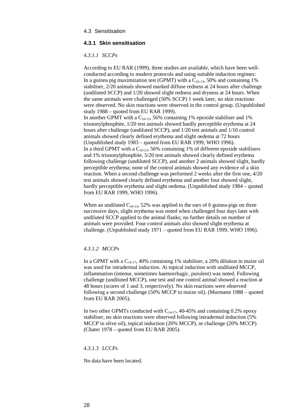### <span id="page-27-0"></span>4.3 Sensitisation

## <span id="page-27-1"></span>**4.3.1 Skin sensitisation**

#### *4.3.1.1 SCCPs*

According to EU RAR (1999), three studies are available, which have been wellconducted according to modern protocols and using suitable induction regimes: In a guinea pig maximization test (GPMT) with a  $C_{10-13}$ , 50% and containing 1% stabiliser, 2/20 animals showed marked diffuse redness at 24 hours after challenge (undiluted SCCP) and 1/20 showed slight redness and dryness at 24 hours. When the same animals were challenged (50% SCCP) 1 week later, no skin reactions were observed. No skin reactions were observed in the control group. (Unpublished study 1988 – quoted from EU RAR 1999). In another GPMT with a  $C_{10-13}$ , 56% containing 1% epoxide stabiliser and 1% trisnonylphosphite, 1/20 test animals showed hardly perceptible erythema at 24 hours after challenge (undiluted SCCP), and 1/20 test animals and 1/10 control animals showed clearly defined erythema and slight oedema at 72 hours (Unpublished study 1983 – quoted from EU RAR 1999, WHO 1996). In a third GPMT with a  $C_{10-13}$ , 56% containing 1% of different epoxide stabilisers and 1% trisnonylphosphite, 5/20 test animals showed clearly defined erythema following challenge (undiluted SCCP), and another 2 animals showed slight, hardly perceptible erythema; none of the control animals showed any evidence of a skin reaction. When a second challenge was performed 2 weeks after the first one, 4/20 test animals showed clearly defined erythema and another four showed slight, hardly perceptible erythema and slight oedema. (Unpublished study 1984 – quoted from EU RAR 1999, WHO 1996).

When an undiluted  $C_{10-13}$ , 52% was applied to the ears of 6 guinea-pigs on three successive days, slight erythema was noted when challenged four days later with undiluted SCCP applied to the animal flanks; no further details on number of animals were provided. Four control animals also showed slight erythema at challenge. (Unpublished study 1971 – quoted from EU RAR 1999, WHO 1996).

#### *4.3.1.2 MCCPs*

In a GPMT with a  $C_{14-17}$ , 40% containing 1% stabiliser, a 20% dilution in maize oil was used for intradermal induction. At topical induction with undiluted MCCP, inflammation (intense, sometimes haemorrhagic, purulent) was noted. Following challenge (undiluted MCCP), one test and one control animal showed a reaction at 48 hours (scores of 1 and 3, respectively). No skin reactions were observed following a second challenge (50% MCCP in maize oil). (Murmann 1988 – quoted from EU RAR 2005).

In two other GPMTs conducted with  $C_{14-17}$ , 40-45% and containing 0.2% epoxy stabiliser, no skin reactions were observed following intradermal induction (5% MCCP in olive oil), topical induction (20% MCCP), or challenge (20% MCCP) (Chater 1978 – quoted from EU RAR 2005).

#### *4.3.1.3 LCCPs*

No data have been located.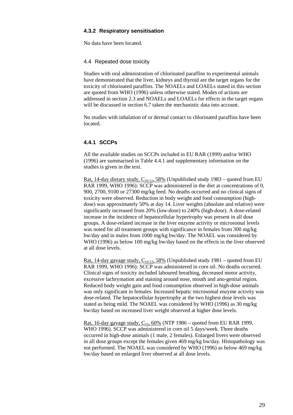## <span id="page-28-0"></span>**4.3.2 Respiratory sensitisation**

No data have been located.

## <span id="page-28-1"></span>4.4 Repeated dose toxicity

Studies with oral administration of chlorinated paraffins to experimental animals have demonstrated that the liver, kidneys and thyroid are the target organs for the toxicity of chlorinated paraffins. The NOAELs and LOAELs stated in this section are quoted from WHO (1996) unless otherwise stated. Modes of actions are addressed in section 2.3 and NOAELs and LOAELs for effects in the target organs will be discussed in section 6.7 taken the mechanistic data into account.

No studies with inhalation of or dermal contact to chlorinated paraffins have been **located** 

## <span id="page-28-2"></span>**4.4.1 SCCPs**

All the available studies on SCCPs included in EU RAR (1999) and/or WHO (1996) are summarised in Table 4.4.1 and supplementary information on the studies is given in the text.

Rat, 14-day dietary study,  $C_{10-12}$ , 58% (Unpublished study 1983 – quoted from EU RAR 1999, WHO 1996): SCCP was administered in the diet at concentrations of 0, 900, 2700, 9100 or 27300 mg/kg feed. No deaths occurred and no clinical signs of toxicity were observed. Reduction in body weight and food consumption (highdose) was approximately 50% at day 14. Liver weights (absolute and relative) were significantly increased from 20% (low-dose) to 240% (high-dose). A dose-related increase in the incidence of hepatocellular hypertrophy was present in all dose groups. A dose-related increase in the liver enzyme activity or microsomal levels was noted for all treatment groups with significance in females from 300 mg/kg bw/day and in males from 1000 mg/kg bw/day. The NOAEL was considered by WHO (1996) as below 100 mg/kg bw/day based on the effects in the liver observed at all dose levels.

<u>Rat, 14-day gavage study, C<sub>10-12</sub>, 58%</u> (Unpublished study 1981 – quoted from EU RAR 1999, WHO 1996): SCCP was administered in corn oil. No deaths occurred. Clinical signs of toxicity included laboured breathing, decreased motor activity, excessive lachrymation and staining around nose, mouth and ano-genital region. Reduced body weight gain and food consumption observed in high-dose animals was only significant in females. Increased hepatic microsomal enzyme activity was dose-related. The hepatocellular hypertrophy at the two highest dose levels was stated as being mild. The NOAEL was considered by WHO (1996) as 30 mg/kg bw/day based on increased liver weight observed at higher dose levels.

Rat, 16-day gavage study,  $C_{12}$ , 60% (NTP 1986 – quoted from EU RAR 1999, WHO 1996). SCCP was administered in corn oil 5 days/week. Three deaths occurred in high-dose animals (1 male, 2 females). Enlarged livers were observed in all dose groups except the females given 469 mg/kg bw/day. Histopathology was not performed. The NOAEL was considered by WHO (1996) as below 469 mg/kg bw/day based on enlarged liver observed at all dose levels.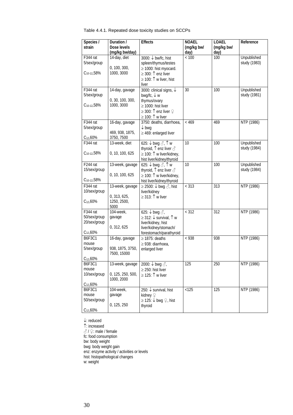| Table 4.4.1. Repeated dose toxicity studies on SCCPs |  |
|------------------------------------------------------|--|
|------------------------------------------------------|--|

| Species /                 | Duration /                      | <b>Effects</b>                                                                                | <b>NOAEL</b> | <b>LOAEL</b> | Reference          |
|---------------------------|---------------------------------|-----------------------------------------------------------------------------------------------|--------------|--------------|--------------------|
| strain                    | Dose levels                     |                                                                                               | (mg/kg bw/   | (mg/kg bw/   |                    |
|                           | (mg/kg bw/day)                  |                                                                                               | day)         | day)         |                    |
| F344 rat                  | 14-day, diet                    | 3000: ↓ bw/fc, hist                                                                           | $<100$       | 100          | <b>Unpublished</b> |
| 5/sex/group               |                                 | spleen/thymus/testes                                                                          |              |              | study (1983)       |
| $C_{10-12}$ , 58%         | 0, 100, 300,<br>1000, 3000      | $\geq$ 1000: hist myocard.                                                                    |              |              |                    |
|                           |                                 | ≥ 300: $\uparrow$ enz liver                                                                   |              |              |                    |
|                           |                                 | ≥ 100: $\uparrow$ w liver, hist                                                               |              |              |                    |
| F344 rat                  | 14-day, gavage                  | liver<br>3000: clinical signs, ↓                                                              | 30           | 100          | Unpublished        |
| 5/sex/group               |                                 | bwg/fc, $\downarrow$ w                                                                        |              |              | study (1981)       |
|                           | 0, 30, 100, 300,                | thymus/ovary                                                                                  |              |              |                    |
| C <sub>10-12</sub> ,58%   | 1000, 3000                      | $\geq$ 1000: hist liver                                                                       |              |              |                    |
|                           |                                 | $\geq$ 300: $\uparrow$ enz liver $\varphi$                                                    |              |              |                    |
|                           |                                 | $\geq$ 100: $\uparrow$ w liver                                                                |              |              |                    |
| F344 rat                  | 16-day, gavage                  | 3750: deaths, diarrhoea,                                                                      | < 469        | 469          | NTP (1986)         |
| 5/sex/group               |                                 | $\downarrow$ bwg                                                                              |              |              |                    |
|                           | 469, 938, 1875,                 | $\geq$ 469: enlarged liver                                                                    |              |              |                    |
| $C_{12,60\%}$<br>F344 rat | 3750, 7500                      |                                                                                               | 10           | 100          | Unpublished        |
|                           | 13-week, diet                   | 625: $\downarrow$ bwg $\triangle$ , $\uparrow$ w<br>thyroid, $\uparrow$ enz liver $\triangle$ |              |              | study (1984)       |
| $C_{10-12}$ , 58%         | 0, 10, 100, 625                 | $\geq$ 100: $\uparrow$ w liver/kidney,                                                        |              |              |                    |
|                           |                                 | hist liver/kidney/thyroid                                                                     |              |              |                    |
| F <sub>244</sub> rat      | 13-week, gavage                 | 625: $\downarrow$ bwg $\oslash$ , $\uparrow$ w                                                | 10           | 100          | Unpublished        |
| 15/sex/group              |                                 | thyroid, $\uparrow$ enz liver $\triangle$                                                     |              |              | study (1984)       |
|                           | 0, 10, 100, 625                 | ≥ 100: 1 w liver/kidney,                                                                      |              |              |                    |
| $C_{10-12}$ , 58%         |                                 | hist liver/kidney/thyroid                                                                     |              |              |                    |
| F344 rat                  | 13-week, gavage                 | $\geq$ 2500: ↓ bwg $\triangle$ , hist                                                         | < 313        | 313          | NTP (1986)         |
| 10/sex/group              |                                 | liver/kidney                                                                                  |              |              |                    |
|                           | 0, 313, 625,                    | $\geq$ 313: $\uparrow$ w liver                                                                |              |              |                    |
| $C_{12,60\%}$             | 1250, 2500,<br>5000             |                                                                                               |              |              |                    |
| F344 rat                  | 104-week,                       | 625: $\downarrow$ bwg $\triangle$ ,                                                           | < 312        | 312          | NTP (1986)         |
| 50/sex/group              | gavage                          | ≥ 312: ↓ survival, ↑ w                                                                        |              |              |                    |
| 20/sex/group              |                                 | liver/kidney, hist                                                                            |              |              |                    |
|                           | 0, 312, 625                     | liver/kidney/stomach/                                                                         |              |              |                    |
| $C_{12}$ ,60%             |                                 | forestomach/parathyroid                                                                       |              |              |                    |
| <b>B6F3C1</b>             | 16-day, gavage                  | $\geq$ 1875: deaths                                                                           | < 938        | 938          | NTP (1986)         |
| mouse                     |                                 | $\geq$ 938: diarrhoea,                                                                        |              |              |                    |
| 5/sex/group               | 938, 1875, 3750,<br>7500, 15000 | enlarged liver                                                                                |              |              |                    |
| $C_{12,60\%}$             |                                 |                                                                                               |              |              |                    |
| <b>B6F3C1</b>             | 13-week, gavage                 | 2000: $\downarrow$ bwg $\triangle$ ,                                                          | 125          | 250          | NTP (1986)         |
| mouse                     |                                 | $\geq$ 250: hist liver                                                                        |              |              |                    |
| 10/sex/group              | 0, 125, 250, 500,               | ≥ 125: $\uparrow$ w liver                                                                     |              |              |                    |
|                           | 1000, 2000                      |                                                                                               |              |              |                    |
| $C_{12,60\%}$             |                                 |                                                                                               |              |              |                    |
| <b>B6F3C1</b>             | 104-week,                       | 250: ↓ survival, hist                                                                         | < 125        | 125          | NTP (1986)         |
| mouse                     | gavage                          | kidney ?                                                                                      |              |              |                    |
| 50/sex/group              | 0, 125, 250                     | $\geq$ 125: ↓ bwg ♀, hist<br>thyroid                                                          |              |              |                    |
| $C_{12,60\%}$             |                                 |                                                                                               |              |              |                    |
|                           |                                 |                                                                                               |              |              |                    |

↓: reduced

↑: increased

 $\beta$  /  $\c\varphi$ : male / female fc: food consumption bw: body weight bwg: body weight gain enz: enzyme activity / activities or levels hist: histopathological changes w: weight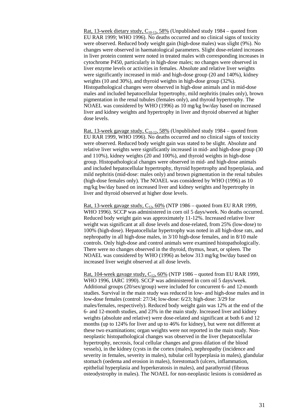<u>Rat, 13-week dietary study,  $C_{10-12}$ , 58%</u> (Unpublished study 1984 – quoted from EU RAR 1999; WHO 1996). No deaths occurred and no clinical signs of toxicity were observed. Reduced body weight gain (high-dose males) was slight (9%). No changes were observed in haematological parameters. Slight dose-related increases in liver protein content were noted in treated males with corresponding increases in cytochrome P450, particularly in high-dose males; no changes were observed in liver enzyme levels or activities in females. Absolute and relative liver weights were significantly increased in mid- and high-dose group (20 and 140%), kidney weights (10 and 30%), and thyroid weights in high-dose group (32%). Histopathological changes were observed in high-dose animals and in mid-dose males and included hepatocellular hypertrophy, mild nephritis (males only), brown pigmentation in the renal tubules (females only), and thyroid hypertrophy. The NOAEL was considered by WHO (1996) as 10 mg/kg bw/day based on increased liver and kidney weights and hypertrophy in liver and thyroid observed at higher dose levels.

<u>Rat, 13-week gavage study, C<sub>10-12</sub>, 58%</u> (Unpublished study 1984 – quoted from EU RAR 1999, WHO 1996). No deaths occurred and no clinical signs of toxicity were observed. Reduced body weight gain was stated to be slight. Absolute and relative liver weights were significantly increased in mid- and high-dose group (30 and 110%), kidney weights (20 and 100%), and thyroid weights in high-dose group. Histopathological changes were observed in mid- and high-dose animals and included hepatocellular hypertrophy, thyroid hypertrophy and hyperplasia, and mild nephritis (mid-dose: males only) and brown pigmentation in the renal tubules (high-dose females only). The NOAEL was considered by WHO (1996) as 10 mg/kg bw/day based on increased liver and kidney weights and hypertrophy in liver and thyroid observed at higher dose levels.

Rat, 13-week gavage study,  $C_{12}$ , 60% (NTP 1986 – quoted from EU RAR 1999, WHO 1996). SCCP was administered in corn oil 5 days/week. No deaths occurred. Reduced body weight gain was approximately 11-12%. Increased relative liver weight was significant at all dose levels and dose-related, from 25% (low-dose) to 100% (high-dose). Hepatocellular hypertrophy was noted in all high-dose rats, and nephropathy in all high-dose males, in 3/10 high-dose females, and in 8/10 male controls. Only high-dose and control animals were examined histopathologically. There were no changes observed in the thyroid, thymus, heart, or spleen. The NOAEL was considered by WHO (1996) as below 313 mg/kg bw/day based on increased liver weight observed at all dose levels.

Rat, 104-week gavage study,  $C_{12}$ , 60% (NTP 1986 – quoted from EU RAR 1999, WHO 1996, IARC 1990). SCCP was administered in corn oil 5 days/week. Additional groups (20/sex/group) were included for concurrent 6- and 12-month studies. Survival in the main study was reduced in low- and high-dose males and in low-dose females (control: 27/34; low-dose: 6/23; high-dose: 3/29 for males/females, respectively). Reduced body weight gain was 12% at the end of the 6- and 12-month studies, and 23% in the main study. Increased liver and kidney weights (absolute and relative) were dose-related and significant at both 6 and 12 months (up to 124% for liver and up to 46% for kidney), but were not different at these two examinations; organ weights were not reported in the main study. Nonneoplastic histopathological changes was observed in the liver (hepatocellular hypertrophy, necrosis, focal cellular changes and gross dilation of the blood vessels), in the kidney (cysts in the cortex (males), nephropathy (incidence and severity in females, severity in males), tubular cell hyperplasia in males), glandular stomach (oedema and erosion in males), forestomach (ulcers, inflammation, epithelial hyperplasia and hyperkeratosis in males), and parathyroid (fibrous osteodystrophy in males). The NOAEL for non-neoplastic lesions is considered as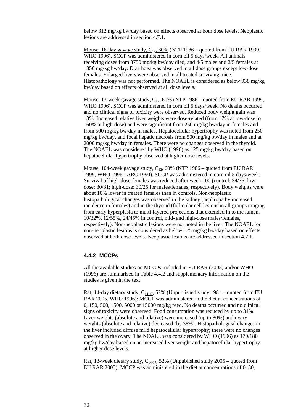below 312 mg/kg bw/day based on effects observed at both dose levels. Neoplastic lesions are addressed in section 4.7.1.

Mouse, 16-day gavage study,  $C_{12}$ , 60% (NTP 1986 – quoted from EU RAR 1999, WHO 1996). SCCP was administered in corn oil 5 days/week. All animals receiving doses from 3750 mg/kg bw/day died, and 4/5 males and 2/5 females at 1850 mg/kg bw/day. Diarrhoea was observed in all dose groups except low-dose females. Enlarged livers were observed in all treated surviving mice. Histopathology was not performed. The NOAEL is considered as below 938 mg/kg bw/day based on effects observed at all dose levels.

Mouse, 13-week gavage study,  $C_{12}$ , 60% (NTP 1986 – quoted from EU RAR 1999, WHO 1996). SCCP was administered in corn oil 5 days/week. No deaths occurred and no clinical signs of toxicity were observed. Reduced body weight gain was 13%. Increased relative liver weights were dose-related (from 17% at low-dose to 160% at high-dose) and were significant from 250 mg/kg bw/day in females and from 500 mg/kg bw/day in males. Hepatocellular hypertrophy was noted from 250 mg/kg bw/day, and focal hepatic necrosis from 500 mg/kg bw/day in males and at 2000 mg/kg bw/day in females. There were no changes observed in the thyroid. The NOAEL was considered by WHO (1996) as 125 mg/kg bw/day based on hepatocellular hypertrophy observed at higher dose levels.

Mouse, 104-week gavage study,  $C_{12}$ , 60% (NTP 1986 – quoted from EU RAR 1999, WHO 1996, IARC 1990). SCCP was administered in corn oil 5 days/week. Survival of high-dose females was reduced after week 100 (control: 34/35; lowdose: 30/31; high-dose: 30/25 for males/females, respectively). Body weights were about 10% lower in treated females than in controls. Non-neoplastic histopathological changes was observed in the kidney (nephropathy increased incidence in females) and in the thyroid (follicular cell lesions in all groups ranging from early hyperplasia to multi-layered projections that extended in to the lumen, 10/32%, 12/55%, 24/45% in control, mid- and high-dose males/females, respectively). Non-neoplastic lesions were not noted in the liver. The NOAEL for non-neoplastic lesions is considered as below 125 mg/kg bw/day based on effects observed at both dose levels. Neoplastic lesions are addressed in section 4.7.1.

### <span id="page-31-0"></span>**4.4.2 MCCPs**

All the available studies on MCCPs included in EU RAR (2005) and/or WHO (1996) are summarised in Table 4.4.2 and supplementary information on the studies is given in the text.

Rat, 14-day dietary study,  $C_{14-17}$ , 52% (Unpublished study 1981 – quoted from EU RAR 2005, WHO 1996): MCCP was administered in the diet at concentrations of 0, 150, 500, 1500, 5000 or 15000 mg/kg feed. No deaths occurred and no clinical signs of toxicity were observed. Food consumption was reduced by up to 31%. Liver weights (absolute and relative) were increased (up to 80%) and ovary weights (absolute and relative) decreased (by 38%). Histopathological changes in the liver included diffuse mild hepatocellular hypertrophy; there were no changes observed in the ovary. The NOAEL was considered by WHO (1996) as 170/180 mg/kg bw/day based on an increased liver weight and hepatocellular hypertrophy at higher dose levels.

<u>Rat, 13-week dietary study, C<sub>14-17</sub>, 52%</u> (Unpublished study 2005 – quoted from EU RAR 2005): MCCP was administered in the diet at concentrations of 0, 30,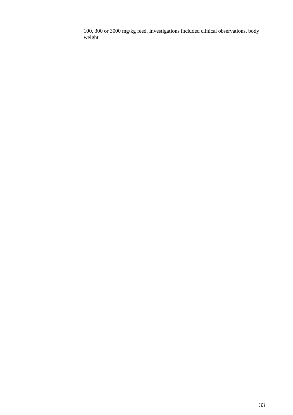100, 300 or 3000 mg/kg feed. Investigations included clinical observations, body weight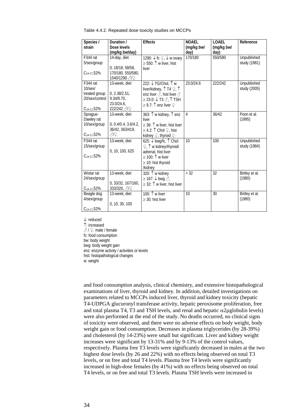| Species /<br>strain                                                               | Duration /<br>Dose levels<br>(mg/kg bw/day)                               | <b>Effects</b>                                                                                                                                                                                 | <b>NOAEL</b><br>(mg/kg bw/<br>day) | LOAEL<br>(mg/kg bw/<br>day) | Reference                   |
|-----------------------------------------------------------------------------------|---------------------------------------------------------------------------|------------------------------------------------------------------------------------------------------------------------------------------------------------------------------------------------|------------------------------------|-----------------------------|-----------------------------|
| F344 rat<br>5/sex/group<br>$C_{14-17}$ , 52%                                      | 14-day, diet<br>0, 18/18, 58/58,<br>170/180, 550/580,<br>1540/1290 3/2    | 1290: ↓ fc ♀, ↓ w ovary<br>≥ 550: $\uparrow$ w liver, hist<br>liver                                                                                                                            | 170/180                            | 550/580                     | Unpublished<br>study (1981) |
| F344 rat<br>$10$ /sex $/$<br>treated group<br>20/sex/control<br>$C_{14-17}$ , 52% | 13-week, diet<br>0, 2.38/2.51,<br>9.34/9.70.<br>23.0/24.6,<br>222/242 3/2 | 222: ↓TG/Chol, 1 w<br>liver/kidney, $\uparrow$ T4 $\lhd$ , $\uparrow$<br>enz liver $\mathcal{S}$ , hist liver $\mathcal{S}$<br>$\geq$ 23.0: ↓ T3 $\delta$ , ↑ TSH<br>$\geq$ 9.7: ↑ enz liver ♀ | 23.0/24.6                          | 222/242                     | Unpublished<br>study (2005) |
| Sprague-<br>Dawley rat<br>10/sex/group<br>$C_{14-17}$ , 52%                       | 13-week, diet<br>0, 0.4/0.4, 3.6/4.2,<br>36/42, 363/419,<br>312           | 363: ↑ w kidney, ↑ enz<br>liver<br>$\geq$ 36: $\uparrow$ w liver, hist liver<br>$\geq$ 4.2: ↑ Chol ♀, hist<br>kidney $\mathcal{Q}$ , thyroid $\mathcal{Q}$                                     | $\overline{4}$                     | 36/42                       | Poon et al.<br>(1995)       |
| F344 rat<br>15/sex/group<br>$C_{14-17.52\%}$                                      | 13-week, diet<br>0, 10, 100, 625                                          | 625: ↓ bwg/fc, ↑ Chol<br>$\mathcal{Q}$ , $\uparrow$ w kidney/thyroid/<br>adrenal, hist liver<br>$\geq$ 100: $\uparrow$ w liver<br>$\geq$ 10: hist thyroid<br>/kidney                           | 10                                 | 100                         | Unpublished<br>study (1984) |
| Wistar rat<br>24/sex/group<br>$C_{14-17}$ ,52%                                    | 13-week, diet<br>0, 33/32, 167/160,<br>333/320, 3/2                       | 320: 1 w kidney<br>$\geq$ 167: ↓ bwg $\delta$ ,<br>$\geq$ 32: $\uparrow$ w liver, hist liver                                                                                                   | $<$ 32                             | $\overline{32}$             | Birtley et al.<br>(1980)    |
| Beagle dog<br>4/sex/group<br>C <sub>14-17</sub> , 52%                             | 13-week, diet<br>0, 10, 30, 100                                           | 100: 1 w liver<br>$\geq$ 30: hist liver                                                                                                                                                        | 10                                 | 30                          | Birtley et al.<br>(1980)    |

Table 4.4.2. Repeated dose toxicity studies on MCCPs

↓: reduced ↑: increased ♂ / ♀: male / female fc: food consumption bw: body weight bwg: body weight gain enz: enzyme activity / activities or levels hist: histopathological changes w: weight

and food consumption analysis, clinical chemistry, and extensive histopathological examinations of liver, thyroid and kidney. In addition, detailed investigations on parameters related to MCCPs induced liver, thyroid and kidney toxicity (hepatic T4-UDPGA glucuronyl transferase activity, hepatic peroxisome proliferation, free and total plasma T4, T3 and TSH levels, and renal and hepatic  $\alpha$ 2µglobulin levels) were also performed at the end of the study. No deaths occurred, no clinical signs of toxicity were observed, and there were no adverse effects on body weight, body weight gain or food consumption. Decreases in plasma triglycerides (by 28-39%) and cholesterol (by 14-23%) were small but significant. Liver and kidney weight increases were significant by 13-31% and by 9-13% of the control values, respectively. Plasma free T3 levels were significantly decreased in males at the two highest dose levels (by 26 and 22%) with no effects being observed on total T3 levels, or on free and total T4 levels. Plasma free T4 levels were significantly increased in high-dose females (by 41%) with no effects being observed on total T4 levels, or on free and total T3 levels. Plasma TSH levels were increased in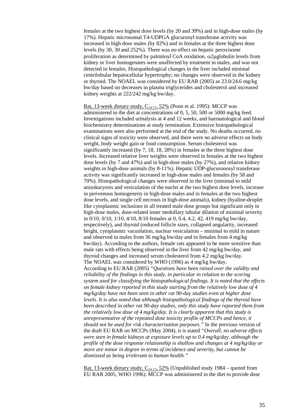females at the two highest dose levels (by 20 and 39%) and in high-dose males (by 17%). Hepatic microsomal T4-UDPGA glucuronyl transferase activity was increased in high-dose males (by 82%) and in females at the three highest dose levels (by 30, 30 and 252%). There was no effect on hepatic peroxisome proliferation as determined by palmitoyl CoA oxidation.  $\alpha$ 2µglobulin levels from kidney or liver homogenates were unaffected by treatment in males, and was not detected in females. Histopathological changes in the liver included minimal centrilobular hepatocellular hypertrophy; no changes were observed in the kidney or thyroid. The NOAEL was considered by EU RAR (2005) as 23.0/24.6 mg/kg bw/day based on decreases in plasma triglycerides and cholesterol and increased kidney weights at 222/242 mg/kg bw/day.

Rat, 13-week dietary study,  $C_{14-17}$ , 52% (Poon et al. 1995): MCCP was administered in the diet at concentrations of 0, 5, 50, 500 or 5000 mg/kg feed. Investigations included urinalysis at 4 and 12 weeks, and haematological and blood biochemistry determinations at study termination. Extensive histopathological examinations were also performed at the end of the study. No deaths occurred, no clinical signs of toxicity were observed, and there were no adverse effects on body weight, body weight gain or food consumption. Serum cholesterol was significantly increased (by 7, 18, 18, 28%) in females at the three highest dose levels. Increased relative liver weights were observed in females at the two highest dose levels (by 7 and 47%) and in high-dose males (by 27%), and relative kidney weights in high-dose animals (by 8-11%). Hepatic UDP-glucuronosyl transferase activity was significantly increased in high-dose males and females (by 58 and 70%). Histopathological changes were observed in the liver (minimal to mild anisokaryosis and vesiculation of the nuclei at the two highest dose levels, increase in perivenous homogeneity in high-dose males and in females at the two highest dose levels, and single cell necrosis in high-dose animals), kidney (hyaline-droplet like cytoplasmic inclusions in all treated male dose groups but significant only in high-dose males, dose-related inner medullary tubular dilation of minimal severity in 0/10, 0/10, 1/10, 4/10, 8/10 females at 0, 0.4, 4.2, 42, 419 mg/kg bw/day, respectively), and thyroid (reduced follicle sizes, collapsed angularity, increased height, cytoplasmic vacuolation, nuclear vesiculation – minimal to mild in nature and observed in males from 36 mg/kg bw/day and in females from 4 mg/kg bw/day). According to the authors, female rats appeared to be more sensitive than male rats with effects being observed in the liver from 42 mg/kg bw/day, and thyroid changes and increased serum cholesterol from 4.2 mg/kg bw/day. The NOAEL was considered by WHO (1996) as 4 mg/kg bw/day. According to EU RAR (2005) *"Questions have been raised over the validity and reliability of the findings in this study, in particular in relation to the scoring system used for classifying the histopathological findings. It is noted that the effects on female kidney reported in this study starting from the relatively low dose of 4 mg/kg/day have not been seen in other rat 90-day studies even at higher dose levels. It is also noted that although histopathological findings of the thyroid have been described in other rat 90-day studies, only this study have reported them from the relatively low dose of 4 mg/kg/day. It is clearly apparent that this study is unrepresentative of the repeated dose toxicity profile of MCCPs and hence, it should not be used for risk characterisation purposes."* In the previous version of the draft EU RAR on MCCPs (May 2004), it is stated *"Overall, no adverse effects were seen in female kidneys at exposure levels up to 0.4 mg/kg/day, although the profile of the dose response relationship is shallow and changes at 4 mg/kg/day or more are minor in degree in terms of incidence and severity, but cannot be dismissed as being irrelevant to human health."*

<u>Rat, 13-week dietary study, C<sub>14-17</sub>, 52%</u> (Unpublished study 1984 – quoted from EU RAR 2005, WHO 1996): MCCP was administered in the diet to provide dose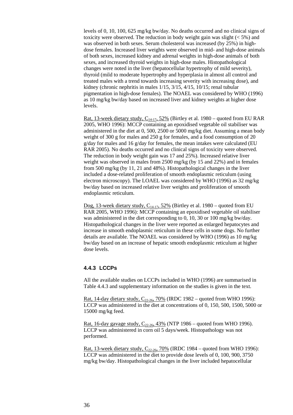levels of 0, 10, 100, 625 mg/kg bw/day. No deaths occurred and no clinical signs of toxicity were observed. The reduction in body weight gain was slight  $(< 5\%$ ) and was observed in both sexes. Serum cholesterol was increased (by 25%) in highdose females. Increased liver weights were observed in mid- and high-dose animals of both sexes, increased kidney and adrenal weights in high-dose animals of both sexes, and increased thyroid weights in high-dose males. Histopathological changes were noted in the liver (hepatocellular hypertrophy of mild severity), thyroid (mild to moderate hypertrophy and hyperplasia in almost all control and treated males with a trend towards increasing severity with increasing dose), and kidney (chronic nephritis in males 1/15, 3/15, 4/15, 10/15; renal tubular pigmentation in high-dose females). The NOAEL was considered by WHO (1996) as 10 mg/kg bw/day based on increased liver and kidney weights at higher dose levels.

Rat, 13-week dietary study,  $C_{14-17}$ , 52% (Birtley et al. 1980 – quoted from EU RAR 2005, WHO 1996): MCCP containing an epoxidised vegetable oil stabiliser was administered in the diet at 0, 500, 2500 or 5000 mg/kg diet. Assuming a mean body weight of 300 g for males and 250 g for females, and a food consumption of 20 g/day for males and 16 g/day for females, the mean intakes were calculated (EU RAR 2005). No deaths occurred and no clinical signs of toxicity were observed. The reduction in body weight gain was 17 and 25%). Increased relative liver weight was observed in males from 2500 mg/kg (by 15 and 22%) and in females from 500 mg/kg (by 11, 21 and 48%). Histopathological changes in the liver included a dose-related proliferation of smooth endoplasmic reticulum (using electron microscopy). The LOAEL was considered by WHO (1996) as 32 mg/kg bw/day based on increased relative liver weights and proliferation of smooth endoplasmic reticulum.

Dog, 13-week dietary study,  $C_{14-17}$ , 52% (Birtley et al. 1980 – quoted from EU RAR 2005, WHO 1996): MCCP containing an epoxidised vegetable oil stabiliser was administered in the diet corresponding to 0, 10, 30 or 100 mg/kg bw/day. Histopathological changes in the liver were reported as enlarged hepatocytes and increase in smooth endoplasmic reticulum in these cells in some dogs. No further details are available. The NOAEL was considered by WHO (1996) as 10 mg/kg bw/day based on an increase of hepatic smooth endoplasmic reticulum at higher dose levels.

## <span id="page-35-0"></span>**4.4.3 LCCPs**

All the available studies on LCCPs included in WHO (1996) are summarised in Table 4.4.3 and supplementary information on the studies is given in the text.

<u>Rat, 14-day dietary study, C<sub>22-26</sub>, 70%</u> (IRDC 1982 – quoted from WHO 1996): LCCP was administered in the diet at concentrations of 0, 150, 500, 1500, 5000 or 15000 mg/kg feed.

<u>Rat, 16-day gavage study, C<sub>22-26</sub>, 43%</u> (NTP 1986 – quoted from WHO 1996). LCCP was administered in corn oil 5 days/week. Histopathology was not performed.

Rat, 13-week dietary study,  $C_{22-26}$ , 70% (IRDC 1984 – quoted from WHO 1996): LCCP was administered in the diet to provide dose levels of 0, 100, 900, 3750 mg/kg bw/day. Histopathological changes in the liver included hepatocellular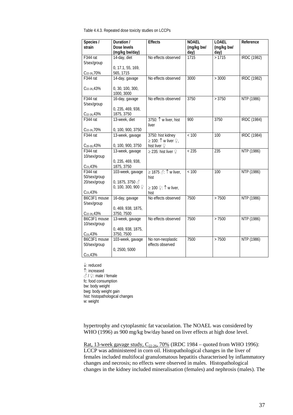Table 4.4.3. Repeated dose toxicity studies on LCCPs

| Species /                | Duration /                     | <b>Effects</b>                              | <b>NOAEL</b> | <b>LOAEL</b> | Reference          |
|--------------------------|--------------------------------|---------------------------------------------|--------------|--------------|--------------------|
| strain                   | Dose levels                    |                                             | (mg/kg bw/   | (mg/kg bw/   |                    |
|                          | (mg/kg bw/day)                 |                                             | day)         | day)         |                    |
| F <sub>344</sub> rat     | 14-day, diet                   | No effects observed                         | 1715         | >1715        | <b>IRDC</b> (1982) |
| 5/sex/group              |                                |                                             |              |              |                    |
|                          | 0, 17.1, 55, 169,              |                                             |              |              |                    |
| C <sub>22-26</sub> , 70% | 565, 1715                      |                                             |              |              |                    |
| F344 rat                 | 14-day, gavage                 | No effects observed                         | 3000         | > 3000       | <b>IRDC</b> (1982) |
| C <sub>22-26</sub> , 43% | 0, 30, 100, 300,               |                                             |              |              |                    |
|                          | 1000, 3000                     |                                             |              |              |                    |
| F <sub>344</sub> rat     | 16-day, gavage                 | No effects observed                         | 3750         | > 3750       | NTP (1986)         |
| 5/sex/group              |                                |                                             |              |              |                    |
|                          | 0, 235, 469, 938,              |                                             |              |              |                    |
| C <sub>22-26</sub> , 43% | 1875, 3750                     |                                             |              |              |                    |
| F344 rat                 | 13-week, diet                  | 3750: 1 w liver, hist                       | 900          | 3750         | <b>IRDC</b> (1984) |
|                          |                                | liver                                       |              |              |                    |
| C <sub>22-26</sub> , 70% | 0, 100, 900, 3750              |                                             |              |              |                    |
| F344 rat                 | 13-week, gavage                | 3750: hist kidney                           | < 100        | 100          | <b>IRDC</b> (1984) |
|                          |                                | $\geq$ 100: $\uparrow$ w liver $\varphi$ ,  |              |              |                    |
| C <sub>20-30</sub> , 43% | 0, 100, 900, 3750              | hist liver $\varphi$                        |              |              |                    |
| F <sub>344</sub> rat     | 13-week, gavage                | $\geq$ 235: hist liver $\mathcal{Q}$        | < 235        | 235          | NTP (1986)         |
| 10/sex/group             |                                |                                             |              |              |                    |
|                          | 0, 235, 469, 938,              |                                             |              |              |                    |
| $C_{23}$ ,43%            | 1875, 3750                     |                                             |              |              |                    |
| F344 rat                 | 103-week, gavage               | ≥ 1875 $\textcircled{?}: \uparrow$ w liver, | < 100        | 100          | NTP (1986)         |
| 50/sex/group             |                                | hist                                        |              |              |                    |
| 20/sex/group             | 0, 1875, 3750 $\sqrt{3}$       |                                             |              |              |                    |
|                          | 0, 100, 300, 900 $\mathcal{Q}$ | ≥ 100 $\mathcal{Q}$ : $\uparrow$ w liver,   |              |              |                    |
| $C_{23}$ , 43%           |                                | hist                                        |              |              |                    |
| B6C3F1 mouse             | 16-day, gavage                 | No effects observed                         | 7500         | > 7500       | NTP (1986)         |
| 5/sex/group              |                                |                                             |              |              |                    |
|                          | 0, 469, 938, 1875,             |                                             |              |              |                    |
| C <sub>22-26</sub> , 43% | 3750, 7500                     |                                             |              |              |                    |
| B6C3F1 mouse             | 13-week, gavage                | No effects observed                         | 7500         | > 7500       | NTP (1986)         |
| 10/sex/group             |                                |                                             |              |              |                    |
|                          | 0, 469, 938, 1875,             |                                             |              |              |                    |
| $C_{23}$ , 43%           | 3750, 7500                     |                                             |              |              |                    |
| B6C3F1 mouse             | 103-week, gavage               | No non-neoplastic                           | 7500         | > 7500       | NTP (1986)         |
| 50/sex/group             |                                | effects observed                            |              |              |                    |
|                          | 0, 2500, 5000                  |                                             |              |              |                    |
| $C_{23}$ , 43%           |                                |                                             |              |              |                    |

↓: reduced

↑: increased  $\textcircled{3}$  /  $\textcircled{2}$ : male / female

fc: food consumption bw: body weight bwg: body weight gain hist: histopathological changes w: weight

hypertrophy and cytoplasmic fat vacuolation. The NOAEL was considered by WHO (1996) as 900 mg/kg bw/day based on liver effects at high dose level.

Rat, 13-week gavage study,  $C_{22-26}$ , 70% (IRDC 1984 – quoted from WHO 1996): LCCP was administered in corn oil. Histopathological changes in the liver of females included multifocal granulomatous hepatitis characterised by inflammatory changes and necrosis; no effects were observed in males. Histopathological changes in the kidney included mineralisation (females) and nephrosis (males). The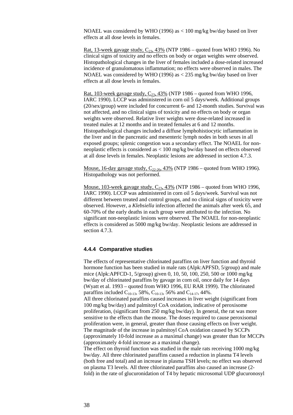NOAEL was considered by WHO (1996) as < 100 mg/kg bw/day based on liver effects at all dose levels in females.

Rat, 13-week gavage study,  $C_{23}$ , 43% (NTP 1986 – quoted from WHO 1996). No clinical signs of toxicity and no effects on body or organ weights were observed. Histopathological changes in the liver of females included a dose-related increased incidence of granulomatous inflammation; no effects were observed in males. The NOAEL was considered by WHO (1996) as  $\langle 235 \text{ mg/kg} \rangle$  bw/day based on liver effects at all dose levels in females.

Rat, 103-week gavage study,  $C_{23}$ , 43% (NTP 1986 – quoted from WHO 1996, IARC 1990). LCCP was administered in corn oil 5 days/week. Additional groups (20/sex/group) were included for concurrent 6- and 12-month studies. Survival was not affected, and no clinical signs of toxicity and no effects on body or organ weights were observed. Relative liver weights were dose-related increased in treated males at 12 months and in treated females at 6 and 12 months. Histopathological changes included a diffuse lymphohistiocytic inflammation in the liver and in the pancreatic and mesenteric lymph nodes in both sexes in all exposed groups; splenic congestion was a secondary effect. The NOAEL for nonneoplastic effects is considered as < 100 mg/kg bw/day based on effects observed at all dose levels in females. Neoplastic lesions are addressed in section 4.7.3.

Mouse, 16-day gavage study,  $C_{22-26}$ , 43% (NTP 1986 – quoted from WHO 1996). Histopathology was not performed.

Mouse, 103-week gavage study,  $C_{23}$ , 43% (NTP 1986 – quoted from WHO 1996, IARC 1990). LCCP was administered in corn oil 5 days/week. Survival was not different between treated and control groups, and no clinical signs of toxicity were observed. However, a *Klebsiella* infection affected the animals after week 65, and 60-70% of the early deaths in each group were attributed to the infection. No significant non-neoplastic lesions were observed. The NOAEL for non-neoplastic effects is considered as 5000 mg/kg bw/day. Neoplastic lesions are addressed in section 4.7.3.

## <span id="page-37-0"></span>**4.4.4 Comparative studies**

The effects of representative chlorinated paraffins on liver function and thyroid hormone function has been studied in male rats (Alpk:APFSD, 5/group) and male mice (Alpk:APFCD-1, 5/group) given 0, 10, 50, 100, 250, 500 or 1000 mg/kg bw/day of chlorinated paraffins by gavage in corn oil, once daily for 14 days (Wyatt et al. 1993 – quoted from WHO 1996, EU RAR 1999). The chlorinated paraffins included  $C_{10-13}$ , 58%,  $C_{10-13}$ , 56% and  $C_{14-17}$ , 44%. All three chlorinated paraffins caused increases in liver weight (significant from 100 mg/kg bw/day) and palmitoyl CoA oxidation, indicative of peroxisome proliferation, (significant from 250 mg/kg bw/day). In general, the rat was more sensitive to the effects than the mouse. The doses required to cause peroxisomal proliferation were, in general, greater than those causing effects on liver weight. The magnitude of the increase in palmitoyl CoA oxidation caused by SCCPs (approximately 10-fold increase as a maximal change) was greater than for MCCPs (approximately 4-fold increase as a maximal change).

The effect on thyroid function was studied in the male rats receiving 1000 mg/kg bw/day. All three chlorinated paraffins caused a reduction in plasma T4 levels (both free and total) and an increase in plasma TSH levels; no effect was observed on plasma T3 levels. All three chlorinated paraffins also caused an increase (2 fold) in the rate of glucuronidation of T4 by hepatic microsomal UDP glucuronosyl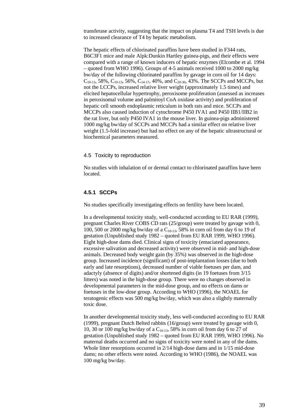transferase activity, suggesting that the impact on plasma T4 and TSH levels is due to increased clearance of T4 by hepatic metabolism.

The hepatic effects of chlorinated paraffins have been studied in F344 rats, B6C3F1 mice and male Alpk:Dunkin Hartley guinea-pigs, and their effects were compared with a range of known inducers of hepatic enzymes (Elcombe et al. 1994 – quoted from WHO 1996). Groups of 4-5 animals received 1000 to 2000 mg/kg bw/day of the following chlorinated paraffins by gavage in corn oil for 14 days:  $C_{10-13}$ , 58%,  $C_{10-13}$ , 56%,  $C_{14-17}$ , 40%, and  $C_{20-30}$ , 43%. The SCCPs and MCCPs, but not the LCCPs, increased relative liver weight (approximately 1.5 times) and elicited hepatocellular hypertrophy, peroxisome proliferation (assessed as increases in peroxisomal volume and palmitoyl CoA oxidase activity) and proliferation of hepatic cell smooth endoplasmic reticulum in both rats and mice. SCCPs and MCCPs also caused induction of cytochrome P450 IVA1 and P450 IIB1/IIB2 in the rat liver, but only P450 IVA1 in the mouse liver. In guinea-pigs administered 1000 mg/kg bw/day of SCCPs and MCCPs had a similar effect on relative liver weight (1.5-fold increase) but had no effect on any of the hepatic ultrastructural or biochemical parameters measured.

#### <span id="page-38-0"></span>4.5 Toxicity to reproduction

No studies with inhalation of or dermal contact to chlorinated paraffins have been located.

### <span id="page-38-1"></span>**4.5.1 SCCPs**

No studies specifically investigating effects on fertility have been located.

In a developmental toxicity study, well-conducted according to EU RAR (1999), pregnant Charles River COBS CD rats (25/group) were treated by gavage with 0, 100, 500 or 2000 mg/kg bw/day of a  $C_{10-13}$ , 58% in corn oil from day 6 to 19 of gestation (Unpublished study 1982 – quoted from EU RAR 1999, WHO 1996). Eight high-dose dams died. Clinical signs of toxicity (emaciated appearance, excessive salivation and decreased activity) were observed in mid- and high-dose animals. Decreased body weight gain (by 35%) was observed in the high-dose group. Increased incidence (significant) of post-implantation losses (due to both early and late resorptions), decreased number of viable foetuses per dam, and adactyly (absence of digits) and/or shortened digits (in 19 foetuses from 3/15 litters) was noted in the high-dose group. There were no changes observed in developmental parameters in the mid-dose group, and no effects on dams or foetuses in the low-dose group. According to WHO (1996), the NOAEL for teratogenic effects was 500 mg/kg bw/day, which was also a slightly maternally toxic dose.

In another developmental toxicity study, less well-conducted according to EU RAR (1999), pregnant Dutch Belted rabbits (16/group) were treated by gavage with 0, 10, 30 or 100 mg/kg bw/day of a  $C_{10-13}$ , 58% in corn oil from day 6 to 27 of gestation (Unpublished study 1982 – quoted from EU RAR 1999, WHO 1996). No maternal deaths occurred and no signs of toxicity were noted in any of the dams. Whole litter resorptions occurred in 2/14 high-dose dams and in 1/15 mid-dose dams; no other effects were noted. According to WHO (1986), the NOAEL was 100 mg/kg bw/day.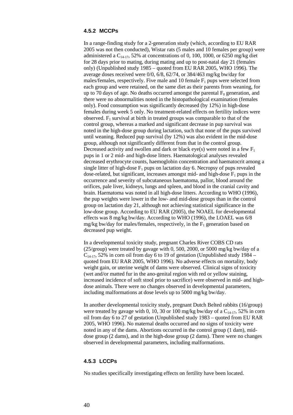## <span id="page-39-0"></span>**4.5.2 MCCPs**

In a range-finding study for a 2-generation study (which, according to EU RAR 2005 was not then conducted), Wistar rats (5 males and 10 females per group) were administered a  $C_{14-17}$ , 52% at concentrations of 0, 100, 1000, or 6250 mg/kg diet for 28 days prior to mating, during mating and up to post-natal day 21 (females only) (Unpublished study 1985 – quoted from EU RAR 2005, WHO 1996). The average doses received were 0/0, 6/8, 62/74, or 384/463 mg/kg bw/day for males/females, respectively. Five male and 10 female  $F_1$  pups were selected from each group and were retained, on the same diet as their parents from weaning, for up to 70 days of age. No deaths occurred amongst the parental  $F_0$  generation, and there were no abnormalities noted in the histopathological examination (females only). Food consumption was significantly decreased (by 12%) in high-dose females during week 5 only. No treatment-related effects on fertility indices were observed.  $F_1$  survival at birth in treated groups was comparable to that of the control group, whereas a marked and significant decrease in pup survival was noted in the high-dose group during lactation, such that none of the pups survived until weaning. Reduced pup survival (by 12%) was also evident in the mid-dose group, although not significantly different from that in the control group. Decreased activity and swollen and dark or black eye(s) were noted in a few  $F_1$ pups in 1 or 2 mid- and high-dose litters. Haematological analyses revealed decreased erythrocyte counts, haemoglobin concentration and haematocrit among a single litter of high-dose  $F_1$  pups on lactation day 6. Necropsy of pups revealed dose-related, but significant, increases amongst mid- and high-dose  $F_1$  pups in the occurrence and severity of subcutaneous haematoma, pallor, blood around the orifices, pale liver, kidneys, lungs and spleen, and blood in the cranial cavity and brain. Haematoma was noted in all high-dose litters. According to WHO (1996), the pup weights were lower in the low- and mid-dose groups than in the control group on lactation day 21, although not achieving statistical significance in the low-dose group. According to EU RAR (2005), the NOAEL for developmental effects was 8 mg/kg bw/day. According to WHO (1996), the LOAEL was 6/8 mg/kg bw/day for males/females, respectively, in the  $F_1$  generation based on decreased pup weight.

In a developmental toxicity study, pregnant Charles River COBS CD rats (25/group) were treated by gavage with 0, 500, 2000, or 5000 mg/kg bw/day of a  $C_{14-17}$ , 52% in corn oil from day 6 to 19 of gestation (Unpublished study 1984 – quoted from EU RAR 2005, WHO 1996). No adverse effects on mortality, body weight gain, or uterine weight of dams were observed. Clinical signs of toxicity (wet and/or matted fur in the ano-genital region with red or yellow staining, increased incidence of soft stool prior to sacrifice) were observed in mid- and highdose animals. There were no changes observed in developmental parameters, including malformations at dose levels up to 5000 mg/kg bw/day.

In another developmental toxicity study, pregnant Dutch Belted rabbits (16/group) were treated by gavage with 0, 10, 30 or 100 mg/kg bw/day of a  $C_{14-17}$ , 52% in corn oil from day 6 to 27 of gestation (Unpublished study 1983 – quoted from EU RAR 2005, WHO 1996). No maternal deaths occurred and no signs of toxicity were noted in any of the dams. Abortions occurred in the control group (1 dam), middose group (2 dams), and in the high-dose group (2 dams). There were no changes observed in developmental parameters, including malformations.

#### <span id="page-39-1"></span>**4.5.3 LCCPs**

No studies specifically investigating effects on fertility have been located.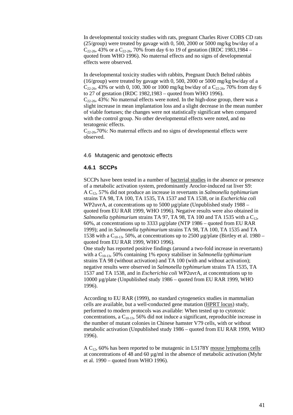In developmental toxicity studies with rats, pregnant Charles River COBS CD rats (25/group) were treated by gavage with 0, 500, 2000 or 5000 mg/kg bw/day of a  $C_{22-26}$ , 43% or a  $C_{22-26}$ , 70% from day 6 to 19 of gestation (IRDC 1983,1984 – quoted from WHO 1996). No maternal effects and no signs of developmental effects were observed.

In developmental toxicity studies with rabbits, Pregnant Dutch Belted rabbits (16/group) were treated by gavage with 0, 500, 2000 or 5000 mg/kg bw/day of a  $C_{22-26}$ , 43% or with 0, 100, 300 or 1000 mg/kg bw/day of a  $C_{22-26}$ , 70% from day 6 to 27 of gestation (IRDC 1982,1983 – quoted from WHO 1996).  $C_{22\cdot 26}$ , 43%: No maternal effects were noted. In the high-dose group, there was a slight increase in mean implantation loss and a slight decrease in the mean number of viable foetuses; the changes were not statistically significant when compared with the control group. No other developmental effects were noted, and no teratogenic effects.

 $C_{22-26}$ ,70%: No maternal effects and no signs of developmental effects were observed.

### <span id="page-40-0"></span>4.6 Mutagenic and genotoxic effects

## <span id="page-40-1"></span>**4.6.1 SCCPs**

SCCPs have been tested in a number of bacterial studies in the absence or presence of a metabolic activation system, predominantly Aroclor-induced rat liver S9: A C12, 57% did not produce an increase in revertants in *Salmonella typhimurium* strains TA 98, TA 100, TA 1535, TA 1537 and TA 1538, or in *Escherichia coli* WP2uvrA, at concentrations up to 5000  $\mu$ g/plate (Unpublished study 1988 – quoted from EU RAR 1999, WHO 1996). Negative results were also obtained in *Salmonella typhimurium* strains TA 97, TA 98, TA 100 and TA 1535 with a  $C_{12}$ , 60%, at concentrations up to 3333 µg/plate (NTP 1986 – quoted from EU RAR 1999); and in *Salmonella typhimurium* strains TA 98, TA 100, TA 1535 and TA 1538 with a  $C_{10-13}$ , 50%, at concentrations up to 2500  $\mu$ g/plate (Birtley et al. 1980 – quoted from EU RAR 1999, WHO 1996).

One study has reported positive findings (around a two-fold increase in revertants) with a C<sub>10-13</sub>, 50% containing 1% epoxy stabiliser in *Salmonella typhimurium* strains TA 98 (without activation) and TA 100 (with and without activation); negative results were observed in *Salmonella typhimurium* strains TA 1535, TA 1537 and TA 1538, and in *Escherichia coli* WP2uvrA, at concentrations up to 10000 µg/plate (Unpublished study 1986 – quoted from EU RAR 1999, WHO 1996).

According to EU RAR (1999), no standard cytogenetics studies in mammalian cells are available, but a well-conducted gene mutation (HPRT locus) study, performed to modern protocols was available: When tested up to cytotoxic concentrations, a  $C_{10-13}$ , 56% did not induce a significant, reproducible increase in the number of mutant colonies in Chinese hamster V79 cells, with or without metabolic activation (Unpublished study 1986 – quoted from EU RAR 1999, WHO 1996).

A  $C_{12}$ , 60% has been reported to be mutagenic in L5178Y mouse lymphoma cells at concentrations of 48 and 60  $\mu$ g/ml in the absence of metabolic activation (Myhr et al. 1990 – quoted from WHO 1996).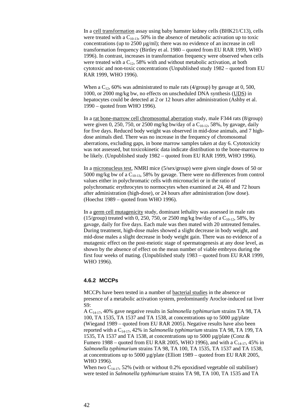In a cell transformation assay using baby hamster kidney cells (BHK21/C13), cells were treated with a  $C_{10-13}$ , 50% in the absence of metabolic activation up to toxic concentrations (up to  $2500 \mu g/ml$ ); there was no evidence of an increase in cell transformation frequency (Birtley et al. 1980 – quoted from EU RAR 1999, WHO 1996). In contrast, increases in transformation frequency were observed when cells were treated with a  $C_{12}$ , 58% with and without metabolic activation, at both cytotoxic and non-toxic concentrations (Unpublished study 1982 – quoted from EU RAR 1999, WHO 1996).

When a  $C_{12}$ , 60% was administrated to male rats (4/group) by gavage at 0, 500, 1000, or 2000 mg/kg bw, no effects on unscheduled DNA synthesis (UDS) in hepatocytes could be detected at 2 or 12 hours after administration (Ashby et al. 1990 – quoted from WHO 1996).

In a rat bone-marrow cell chromosomal aberration study, male F344 rats (8/group) were given 0, 250, 750, or 2500 mg/kg bw/day of a  $C_{10-12}$ , 58%, by gavage, daily for five days. Reduced body weight was observed in mid-dose animals, and 7 highdose animals died. There was no increase in the frequency of chromosomal aberrations, excluding gaps, in bone marrow samples taken at day 6. Cytotoxicity was not assessed, but toxicokinetic data indicate distribution to the bone-marrow to be likely. (Unpublished study 1982 – quoted from EU RAR 1999, WHO 1996).

In a micronucleus test, NMRI mice (5/sex/group) were given single doses of 50 or 5000 mg/kg bw of a  $C_{10-13}$ , 58% by gavage. There were no differences from control values either in polychromatic cells with micronuclei or in the ratio of polychromatic erythrocytes to normocytes when examined at 24, 48 and 72 hours after administration (high-dose), or 24 hours after administration (low dose). (Hoechst 1989 – quoted from WHO 1996).

In a germ cell mutagenicity study, dominant lethality was assessed in male rats (15/group) treated with 0, 250, 750, or 2500 mg/kg bw/day of a  $C_{10-12}$ , 58%, by gavage, daily for five days. Each male was then mated with 20 untreated females. During treatment, high-dose males showed a slight decrease in body weight, and mid-dose males a slight decrease in body weight gain. There was no evidence of a mutagenic effect on the post-meiotic stage of spermatogenesis at any dose level, as shown by the absence of effect on the mean number of viable embryos during the first four weeks of mating. (Unpublished study 1983 – quoted from EU RAR 1999, WHO 1996).

## <span id="page-41-0"></span>**4.6.2 MCCPs**

MCCPs have been tested in a number of bacterial studies in the absence or presence of a metabolic activation system, predominantly Aroclor-induced rat liver S9:

A C14-17, 40% gave negative results in *Salmonella typhimurium* strains TA 98, TA 100, TA 1535, TA 1537 and TA 1538, at concentrations up to 5000 µg/plate (Wiegand 1989 – quoted from EU RAR 2005). Negative results have also been reported with a C14-17, 42% in *Salmonella typhimurium* strains TA 98, TA 199, TA 1535, TA 1537 and TA 1538, at concentrations up to 5000 µg/plate (Conz & Fumero 1988 – quoted from EU RAR 2005, WHO 1996), and with a  $C_{14-17}$ , 45% in *Salmonella typhimurium* strains TA 98, TA 100, TA 1535, TA 1537 and TA 1538, at concentrations up to 5000 µg/plate (Elliott 1989 – quoted from EU RAR 2005, WHO 1996).

When two  $C_{14-17}$ , 52% (with or without 0.2% epoxidised vegetable oil stabiliser) were tested in *Salmonella typhimurium* strains TA 98, TA 100, TA 1535 and TA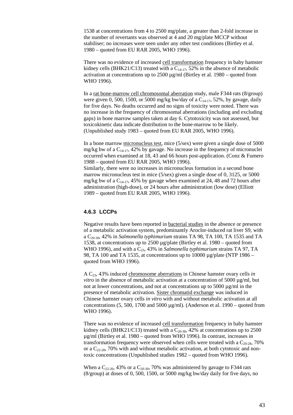1538 at concentrations from 4 to 2500 mg/plate, a greater than 2-fold increase in the number of revertants was observed at 4 and 20 mg/plate MCCP without stabiliser; no increases were seen under any other test conditions (Birtley et al. 1980 – quoted from EU RAR 2005, WHO 1996).

There was no evidence of increased cell transformation frequency in baby hamster kidney cells (BHK21/C13) treated with a  $C_{14-17}$ , 52% in the absence of metabolic activation at concentrations up to  $2500 \mu g/ml$  (Birtley et al. 1980 – quoted from WHO 1996).

In a rat bone-marrow cell chromosomal aberration study, male F344 rats (8/group) were given 0, 500, 1500, or 5000 mg/kg bw/day of a  $C_{14-17}$ , 52%, by gavage, daily for five days. No deaths occurred and no signs of toxicity were noted. There was no increase in the frequency of chromosomal aberrations (including and excluding gaps) in bone marrow samples taken at day 6. Cytotoxicity was not assessed, but toxicokinetic data indicate distribution to the bone-marrow to be likely. (Unpublished study 1983 – quoted from EU RAR 2005, WHO 1996).

In a bone marrow micronucleus test, mice (5/sex) were given a single dose of 5000 mg/kg bw of a  $C_{14-17}$ , 42% by gavage. No increase in the frequency of micronuclei occurred when examined at 18, 43 and 66 hours post-application. (Conz & Fumero 1988 – quoted from EU RAR 2005, WHO 1996).

Similarly, there were no increases in micronucleus formation in a second bone marrow micronucleus test in mice (5/sex) given a single dose of 0, 3125, or 5000 mg/kg bw of a  $C_{14-17}$ , 45% by gavage when examined at 24, 48 and 72 hours after administration (high-dose), or 24 hours after administration (low dose) (Elliott 1989 – quoted from EU RAR 2005, WHO 1996).

## <span id="page-42-0"></span>**4.6.3 LCCPs**

Negative results have been reported in bacterial studies in the absence or presence of a metabolic activation system, predominantly Aroclor-induced rat liver S9, with a C20-30, 42% in *Salmonella typhimurium* strains TA 98, TA 100, TA 1535 and TA 1538, at concentrations up to 2500 µg/plate (Birtley et al. 1980 – quoted from WHO 1996), and with a C<sub>23</sub>, 43% in *Salmonella typhimurium* strains TA 97, TA 98, TA 100 and TA 1535, at concentrations up to 10000 µg/plate (NTP 1986 – quoted from WHO 1996).

A C23, 43% induced chromosome aberrations in Chinese hamster ovary cells *in vitro* in the absence of metabolic activation at a concentration of 5000 µg/ml, but not at lower concentrations, and not at concentrations up to 5000 µg/ml in the presence of metabolic activation. Sister chromatid exchange was induced in Chinese hamster ovary cells *in vitro* with and without metabolic activation at all concentrations (5, 500, 1700 and 5000  $\mu$ g/ml). (Anderson et al. 1990 – quoted from WHO 1996).

There was no evidence of increased cell transformation frequency in baby hamster kidney cells (BHK21/C13) treated with a  $C_{20-30}$ , 42% at concentrations up to 2500 µg/ml (Birtley et al. 1980 – quoted from WHO 1996). In contrast, increases in transformation frequency were observed when cells were treated with a  $C_{20-28}$ , 70% or a  $C_{22-28}$ , 70% with and without metabolic activation, at both cytotoxic and nontoxic concentrations (Unpublished studies 1982 – quoted from WHO 1996).

When a  $C_{22\cdot 26}$ , 43% or a  $C_{20\cdot 30}$ , 70% was administered by gavage to F344 rats (8/group) at doses of 0, 500, 1500, or 5000 mg/kg bw/day daily for five days, no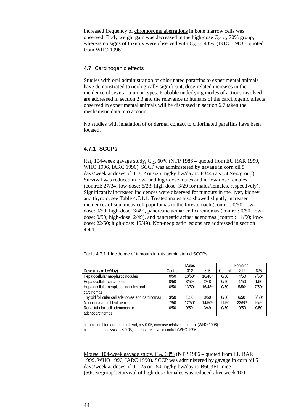increased frequency of chromosome aberrations in bone marrow cells was observed. Body weight gain was decreased in the high-dose  $C_{20-30}$ , 70% group, whereas no signs of toxicity were observed with  $C_{22-26}$ , 43%. (IRDC 1983 – quoted from WHO 1996).

## <span id="page-43-0"></span>4.7 Carcinogenic effects

Studies with oral administration of chlorinated paraffins to experimental animals have demonstrated toxicologically significant, dose-related increases in the incidence of several tumour types. Probable underlying modes of actions involved are addressed in section 2.3 and the relevance to humans of the carcinogenic effects observed in experimental animals will be discussed in section 6.7 taken the mechanistic data into account.

No studies with inhalation of or dermal contact to chlorinated paraffins have been located.

## <span id="page-43-1"></span>**4.7.1 SCCPs**

Rat, 104-week gavage study,  $C_{12}$ , 60% (NTP 1986 – quoted from EU RAR 1999, WHO 1996, IARC 1990). SCCP was administered by gavage in corn oil 5 days/week at doses of 0, 312 or 625 mg/kg bw/day to F344 rats (50/sex/group). Survival was reduced in low- and high-dose males and in low-dose females (control: 27/34; low-dose: 6/23; high-dose: 3/29 for males/females, respectively). Significantly increased incidences were observed for tumours in the liver, kidney and thyroid, see Table 4.7.1.1. Treated males also showed slightly increased incidences of squamous cell papillomas in the forestomach (control: 0/50; lowdose: 0/50; high-dose: 3/49), pancreatic acinar cell carcinomas (control: 0/50; lowdose: 0/50; high-dose: 2/49), and pancreatic acinar adenomas (control: 11/50; lowdose: 22/50; high-dose: 15/49). Non-neoplastic lesions are addressed in section 4.4.1.

|                                                 | Males   |                    |                    | Females |                    |                   |
|-------------------------------------------------|---------|--------------------|--------------------|---------|--------------------|-------------------|
| Dose (mg/kg bw/day)                             | Control | 312                | 625                | Control | 312                | 625               |
| Hepatocellular neoplastic nodules               | 0/50    | 10/50a             | 16/48 <sup>a</sup> | 0/50    | 4/50               | 7/50a             |
| Hepatocellular carcinomas                       | 0/50    | 3/50a              | 2/48               | 0/50    | 1/50               | 1/50              |
| Hepatocellular neoplastic nodules and           | 0/50    | 13/50a             | 16/48 <sup>a</sup> | 0/50    | 5/50a              | 7/50a             |
| carcinomas                                      |         |                    |                    |         |                    |                   |
| Thyroid follicular cell adenomas and carcinomas | 3/50    | 3/50               | 3/50               | 0/50    | 6/50 <sup>a</sup>  | 6/50 <sup>a</sup> |
| Mononuclear cell leukaemia                      | 7/50    | 12/50 <sup>b</sup> | 14/50 <sup>b</sup> | 11/50   | 22/50 <sup>b</sup> | 16/50             |
| Renal tubular-cell adenomas or                  | 0/50    | 9/50 <sup>b</sup>  | 3/49               | 0/50    | 0/50               | 0/50              |
| adenocarcinomas                                 |         |                    |                    |         |                    |                   |

Table 4.7.1.1 Incidence of tumours in rats administered SCCPs

a: Incidental tumour test for trend, p < 0.05, increase relative to control (WHO 1996) b: Life table analysis, p < 0.05, increase relative to control (WHO 1996)

Mouse, 104-week gavage study, C<sub>12</sub>, 60% (NTP 1986 – quoted from EU RAR 1999, WHO 1996, IARC 1990). SCCP was administered by gavage in corn oil 5 days/week at doses of 0, 125 or 250 mg/kg bw/day to B6C3F1 mice (50/sex/group). Survival of high-dose females was reduced after week 100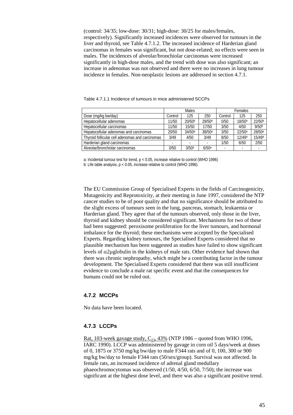(control: 34/35; low-dose: 30/31; high-dose: 30/25 for males/females, respectively). Significantly increased incidences were observed for tumours in the liver and thyroid, see Table 4.7.1.2. The increased incidence of Harderian gland carcinomas in females was significant, but not dose-related; no effects were seen in males. The incidences of alveolar/bronchiolar carcinomas were increased significantly in high-dose males, and the trend with dose was also significant; an increase in adenomas was not observed and there were no increases in lung tumour incidence in females. Non-neoplastic lesions are addressed in section 4.7.1.

|                                                 | Males   |                      |                    | Females |                    |                    |
|-------------------------------------------------|---------|----------------------|--------------------|---------|--------------------|--------------------|
| Dose (mg/kg bw/day)                             | Control | 125                  | 250                | Control | 125                | 250                |
| Hepatocellular adenomas                         | 11/50   | $20/50$ <sup>a</sup> | 29/50a             | 0/50    | 18/50 <sup>a</sup> | 22/50 <sup>a</sup> |
| Hepatocellular carcinomas                       | 11/50   | 15/50                | 17/50              | 3/50    | 4/50               | 9/50 <sup>b</sup>  |
| Hepatocellular adenomas and carcinomas          | 20/50   | 34/50 <sup>a</sup>   | 38/50 <sup>a</sup> | 3/50    | 22/50 <sup>a</sup> | 28/50 <sup>a</sup> |
| Thyroid follicular cell adenomas and carcinomas | 3/49    | 4/50                 | 3/49               | 8/50    | 12/49 <sup>a</sup> | 15/49 <sup>a</sup> |
| Harderian gland carcinomas                      |         |                      |                    | 1/50    | 6/50               | 2/50               |
| Alveolar/bronchiolar carcinomas                 | 0/50    | 3/50a                | 6/50a              |         |                    |                    |

Table 4.7.1.1 Incidence of tumours in mice administered SCCPs

a: Incidental tumour test for trend, p < 0.05, increase relative to control (WHO 1996) b: Life table analysis, p < 0.05, increase relative to control (WHO 1996)

The EU Commission Group of Specialised Experts in the fields of Carcinogenicity, Mutagenicity and Reprotoxicity, at their meeting in June 1997, considered the NTP cancer studies to be of poor quality and that no significance should be attributed to the slight excess of tumours seen in the lung, pancreas, stomach, leukaemia or Harderian gland. They agree that of the tumours observed, only those in the liver, thyroid and kidney should be considered significant. Mechanisms for two of these had been suggested: peroxisome proliferation for the liver tumours, and hormonal imbalance for the thyroid; these mechanisms were accepted by the Specialised Experts. Regarding kidney tumours, the Specialised Experts considered that no plausible mechanism has been suggested as studies have failed to show significant levels of α2µglobulin in the kidneys of male rats. Other evidence had shown that there was chronic nephropathy, which might be a contributing factor in the tumour development. The Specialised Experts considered that there was still insufficient evidence to conclude a male rat specific event and that the consequences for humans could not be ruled out.

## <span id="page-44-0"></span>**4.7.2 MCCPs**

No data have been located.

### <span id="page-44-1"></span>**4.7.3 LCCPs**

Rat, 103-week gavage study,  $C_{23}$ , 43% (NTP 1986 – quoted from WHO 1996, IARC 1990). LCCP was administered by gavage in corn oil 5 days/week at doses of 0, 1875 or 3750 mg/kg bw/day to male F344 rats and of 0, 100, 300 or 900 mg/kg bw/day to female F344 rats (50/sex/group). Survival was not affected. In female rats, an increased incidence of adrenal gland medullary phaeochromocytomas was observed (1/50, 4/50, 6/50, 7/50); the increase was significant at the highest dose level, and there was also a significant positive trend.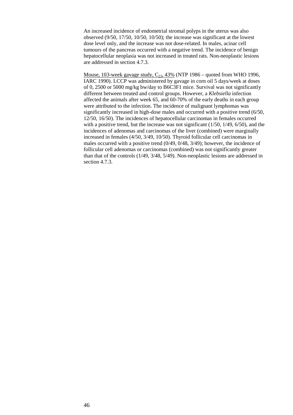An increased incidence of endometrial stromal polyps in the uterus was also observed (9/50, 17/50, 10/50, 10/50); the increase was significant at the lowest dose level only, and the increase was not dose-related. In males, acinar cell tumours of the pancreas occurred with a negative trend. The incidence of benign hepatocellular neoplasia was not increased in treated rats. Non-neoplastic lesions are addressed in section 4.7.3.

Mouse, 103-week gavage study,  $C_{23}$ , 43% (NTP 1986 – quoted from WHO 1996, IARC 1990). LCCP was administered by gavage in corn oil 5 days/week at doses of 0, 2500 or 5000 mg/kg bw/day to B6C3F1 mice. Survival was not significantly different between treated and control groups. However, a *Klebsiella* infection affected the animals after week 65, and 60-70% of the early deaths in each group were attributed to the infection. The incidence of malignant lymphomas was significantly increased in high-dose males and occurred with a positive trend (6/50, 12/50, 16/50). The incidences of hepatocellular carcinomas in females occurred with a positive trend, but the increase was not significant  $(1/50, 1/49, 6/50)$ , and the incidences of adenomas and carcinomas of the liver (combined) were marginally increased in females (4/50, 3/49, 10/50). Thyroid follicular cell carcinomas in males occurred with a positive trend (0/49, 0/48, 3/49); however, the incidence of follicular cell adenomas or carcinomas (combined) was not significantly greater than that of the controls (1/49, 3/48, 5/49). Non-neoplastic lesions are addressed in section 4.7.3.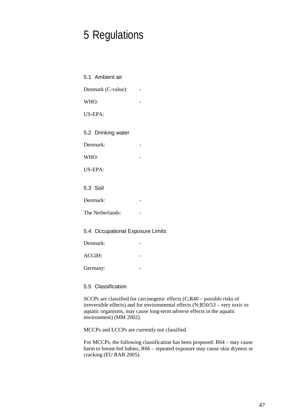# <span id="page-46-0"></span>5 Regulations

<span id="page-46-2"></span><span id="page-46-1"></span>

| 5.1 Ambient air                  |  |
|----------------------------------|--|
| Denmark (C-value):               |  |
| WHO:                             |  |
| US-EPA:                          |  |
| 5.2 Drinking water               |  |
| Denmark:                         |  |
| WHO:                             |  |
| US-EPA:                          |  |
| 5.3 Soil                         |  |
| Denmark:                         |  |
| The Netherlands:                 |  |
| 5.4 Occupational Exposure Limits |  |
| Denmark:                         |  |
| ACGIH:                           |  |
| Germany:                         |  |

<span id="page-46-5"></span><span id="page-46-4"></span><span id="page-46-3"></span>5.5 Classification

SCCPs are classified for carcinogenic effects (C;R40 – possible risks of irreversible effects) and for environmental effects (N;R50/53 – very toxic to aquatic organisms, may cause long-term adverse effects in the aquatic environment) (MM 2002).

MCCPs and LCCPs are currently not classified.

For MCCPs, the following classification has been proposed: R64 – may cause harm to breast-fed babies, R66 – repeated exposure may cause skin dryness or cracking (EU RAR 2005).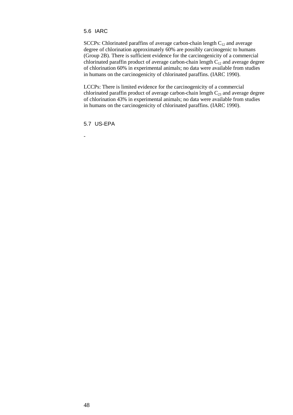## <span id="page-47-0"></span>5.6 IARC

SCCPs: Chlorinated paraffins of average carbon-chain length  $C_{12}$  and average degree of chlorination approximately 60% are possibly carcinogenic to humans (Group 2B). There is sufficient evidence for the carcinogenicity of a commercial chlorinated paraffin product of average carbon-chain length  $C_{12}$  and average degree of chlorination 60% in experimental animals; no data were available from studies in humans on the carcinogenicity of chlorinated paraffins. (IARC 1990).

LCCPs: There is limited evidence for the carcinogenicity of a commercial chlorinated paraffin product of average carbon-chain length  $C_{23}$  and average degree of chlorination 43% in experimental animals; no data were available from studies in humans on the carcinogenicity of chlorinated paraffins. (IARC 1990).

<span id="page-47-1"></span>5.7 US-EPA

-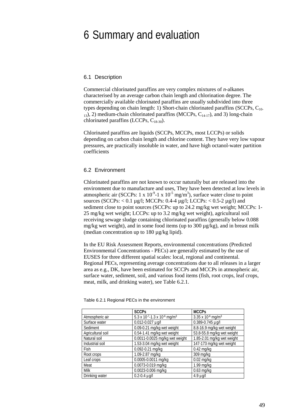## <span id="page-48-0"></span>6 Summary and evaluation

#### <span id="page-48-1"></span>6.1 Description

Commercial chlorinated paraffins are very complex mixtures of *n*-alkanes characterised by an average carbon chain length and chlorination degree. The commercially available chlorinated paraffins are usually subdivided into three types depending on chain length: 1) Short-chain chlorinated paraffins (SCCPs,  $C_{10}$  $13$ , 2) medium-chain chlorinated paraffins (MCCPs, C<sub>14-17</sub>), and 3) long-chain chlorinated paraffins (LCCPs,  $C_{18-30}$ ).

Chlorinated paraffins are liquids (SCCPs, MCCPs, most LCCPs) or solids depending on carbon chain length and chlorine content. They have very low vapour pressures, are practically insoluble in water, and have high octanol-water partition coefficients

#### <span id="page-48-2"></span>6.2 Environment

Chlorinated paraffins are not known to occur naturally but are released into the environment due to manufacture and uses, They have been detected at low levels in atmospheric air (SCCPs:  $1 \times 10^{-9}$ -1  $\times 10^{-5}$  mg/m<sup>3</sup>), surface water close to point sources (SCCPs: < 0.1 µg/l; MCCPs: 0.4-4 µg/l; LCCPs: < 0.5-2 µg/l) and sediment close to point sources (SCCPs: up to 24.2 mg/kg wet weight; MCCPs: 1- 25 mg/kg wet weight; LCCPs: up to 3.2 mg/kg wet weight), agricultural soil receiving sewage sludge containing chlorinated paraffins (generally below 0.088 mg/kg wet weight), and in some food items (up to 300 µg/kg), and in breast milk (median concentration up to 180 µg/kg lipid).

In the EU Risk Assessment Reports, environmental concentrations (Predicted Environmental Concentrations - PECs) are generally estimated by the use of EUSES for three different spatial scales: local, regional and continental. Regional PECs, representing average concentrations due to all releases in a larger area as e.g., DK, have been estimated for SCCPs and MCCPs in atmospheric air, surface water, sediment, soil, and various food items (fish, root crops, leaf crops, meat, milk, and drinking water), see Table 6.2.1.

|                   | <b>SCCPs</b>                            | <b>MCCPs</b>                 |
|-------------------|-----------------------------------------|------------------------------|
| Atmospheric air   | 5.3 x 10-7-1.3 x 10-6 mg/m <sup>3</sup> | 3.35 x 10 $\cdot$ 6 mg/m $3$ |
| Surface water     | 0.012-0.027 µg/l                        | 0.389-0.745 µg/l             |
| Sediment          | 0.09-0.21 mg/kg wet weight              | 8.8-16.9 mg/kg wet weight    |
| Agricultural soil | 0.54-1.41 mg/kg wet weight              | 53.8-55.8 mg/kg wet weight   |
| Natural soil      | 0.0011-0.0025 mg/kg wet weight          | 1.85-2.01 mg/kg wet weight   |
| Industrial soil   | 1.53-3.04 mg/kg wet weight              | 147-173 mg/kg wet weight     |
| Fish              | 0.092-0.21 mg/kg                        | $0.42$ mg/kg                 |
| Root crops        | 1.09-2.87 mg/kg                         | 309 mg/kg                    |
| Leaf crops        | 0.0005-0.0011 mg/kg                     | $0.02$ mg/kg                 |
| Meat              | $0.0073 - 0.019$ mg/kg                  | 1.99 mg/kg                   |
| <b>Milk</b>       | 0.0023-0.006 mg/kg                      | $0.63$ mg/kg                 |
| Drinking water    | $0.2 - 0.4$ µg/l                        | $4.9 \mu g/l$                |

Table 6.2.1 Regional PECs in the environment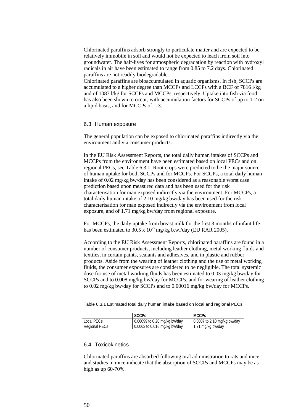Chlorinated paraffins adsorb strongly to particulate matter and are expected to be relatively immobile in soil and would not be expected to leach from soil into groundwater. The half-lives for atmospheric degradation by reaction with hydroxyl radicals in air have been estimated to range from 0.85 to 7.2 days. Chlorinated paraffins are not readily biodegradable.

Chlorinated paraffins are bioaccumulated in aquatic organisms. In fish, SCCPs are accumulated to a higher degree than MCCPs and LCCPs with a BCF of 7816 l/kg and of 1087 l/kg for SCCPs and MCCPs, respectively. Uptake into fish via food has also been shown to occur, with accumulation factors for SCCPs of up to 1-2 on a lipid basis, and for MCCPs of 1-3.

#### <span id="page-49-0"></span>6.3 Human exposure

The general population can be exposed to chlorinated paraffins indirectly via the environment and via consumer products.

In the EU Risk Assessment Reports, the total daily human intakes of SCCPs and MCCPs from the environment have been estimated based on local PECs and on regional PECs, see Table 6.3.1. Root crops were predicted to be the major source of human uptake for both SCCPs and for MCCPs. For SCCPs, a total daily human intake of 0.02 mg/kg bw/day has been considered as a reasonable worst case prediction based upon measured data and has been used for the risk characterisation for man exposed indirectly via the environment. For MCCPs, a total daily human intake of 2.10 mg/kg bw/day has been used for the risk characterisation for man exposed indirectly via the environment from local exposure, and of 1.71 mg/kg bw/day from regional exposure.

For MCCPs, the daily uptake from breast milk for the first 3 months of infant life has been estimated to  $30.5 \times 10^{-5}$  mg/kg b.w./day (EU RAR 2005).

According to the EU Risk Assessment Reports, chlorinated paraffins are found in a number of consumer products, including leather clothing, metal working fluids and textiles, in certain paints, sealants and adhesives, and in plastic and rubber products. Aside from the wearing of leather clothing and the use of metal working fluids, the consumer exposures are considered to be negligible. The total systemic dose for use of metal working fluids has been estimated to 0.03 mg/kg bw/day for SCCPs and to 0.008 mg/kg bw/day for MCCPs, and for wearing of leather clothing to 0.02 mg/kg bw/day for SCCPs and to 0.00016 mg/kg bw/day for MCCPs.

Table 6.3.1 Estimated total daily human intake based on local and regional PECs

|               | <b>SCCPs</b>                 | <b>MCCPs</b>                |
|---------------|------------------------------|-----------------------------|
| Local PECs    | 0.00099 to 0.20 mg/kg bw/day | 0.0007 to 2.10 mg/kg bw/day |
| Regional PECs | 0.0062 to 0.016 mg/kg bw/day | 1.71 mg/kg bw/day           |

#### <span id="page-49-1"></span>6.4 Toxicokinetics

Chlorinated paraffins are absorbed following oral administration to rats and mice and studies in mice indicate that the absorption of SCCPs and MCCPs may be as high as up 60-70%.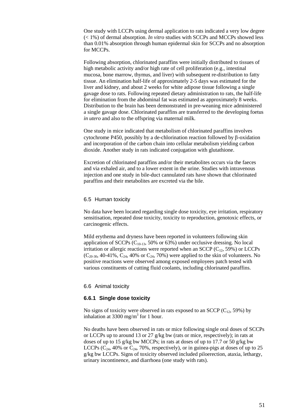One study with LCCPs using dermal application to rats indicated a very low degree (< 1%) of dermal absorption. *In vitro* studies with SCCPs and MCCPs showed less than 0.01% absorption through human epidermal skin for SCCPs and no absorption for MCCPs.

Following absorption, chlorinated paraffins were initially distributed to tissues of high metabolic activity and/or high rate of cell proliferation (e.g., intestinal mucosa, bone marrow, thymus, and liver) with subsequent re-distribution to fatty tissue. An elimination half-life of approximately 2-5 days was estimated for the liver and kidney, and about 2 weeks for white adipose tissue following a single gavage dose to rats. Following repeated dietary administration to rats, the half-life for elimination from the abdominal fat was estimated as approximately 8 weeks. Distribution to the brain has been demonstrated in pre-weaning mice administered a single gavage dose. Chlorinated paraffins are transferred to the developing foetus *in utero* and also to the offspring via maternal milk.

One study in mice indicated that metabolism of chlorinated paraffins involves cytochrome P450, possibly by a de-chlorination reaction followed by β-oxidation and incorporation of the carbon chain into cellular metabolism yielding carbon dioxide. Another study in rats indicated conjugation with glutathione.

Excretion of chlorinated paraffins and/or their metabolites occurs via the faeces and via exhaled air, and to a lower extent in the urine. Studies with intravenous injection and one study in bile-duct cannulated rats have shown that chlorinated paraffins and their metabolites are excreted via the bile.

#### <span id="page-50-0"></span>6.5 Human toxicity

No data have been located regarding single dose toxicity, eye irritation, respiratory sensitisation, repeated dose toxicity, toxicity to reproduction, genotoxic effects, or carcinogenic effects.

Mild erythema and dryness have been reported in volunteers following skin application of SCCPs  $(C_{10-13}, 50\% \text{ or } 63\%)$  under occlusive dressing. No local irritation or allergic reactions were reported when an SCCP  $(C_{12}, 59\%)$  or LCCPs  $(C_{20-30}, 40-41\%, C_{24}, 40\% \text{ or } C_{24}, 70\%)$  were applied to the skin of volunteers. No positive reactions were observed among exposed employees patch tested with various constituents of cutting fluid coolants, including chlorinated paraffins.

## <span id="page-50-1"></span>6.6 Animal toxicity

#### <span id="page-50-2"></span>**6.6.1 Single dose toxicity**

No signs of toxicity were observed in rats exposed to an SCCP  $(C_{12}, 59\%)$  by inhalation at 3300 mg/m<sup>3</sup> for 1 hour.

No deaths have been observed in rats or mice following single oral doses of SCCPs or LCCPs up to around 13 or 27 g/kg bw (rats or mice, respectively); in rats at doses of up to 15 g/kg bw MCCPs; in rats at doses of up to 17.7 or 50 g/kg bw LCCPs  $(C_{24}$ , 40% or  $C_{24}$ , 70%, respectively), or in guinea-pigs at doses of up to 25 g/kg bw LCCPs. Signs of toxicity observed included piloerection, ataxia, lethargy, urinary incontinence, and diarrhoea (one study with rats).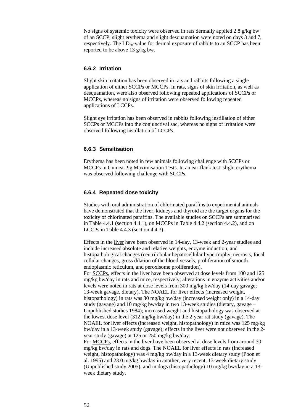No signs of systemic toxicity were observed in rats dermally applied 2.8 g/kg bw of an SCCP; slight erythema and slight desquamation were noted on days 3 and 7, respectively. The  $LD_{50}$ -value for dermal exposure of rabbits to an SCCP has been reported to be above 13 g/kg bw.

## <span id="page-51-0"></span>**6.6.2 Irritation**

Slight skin irritation has been observed in rats and rabbits following a single application of either SCCPs or MCCPs. In rats, signs of skin irritation, as well as desquamation, were also observed following repeated applications of SCCPs or MCCPs, whereas no signs of irritation were observed following repeated applications of LCCPs.

Slight eye irritation has been observed in rabbits following instillation of either SCCPs or MCCPs into the conjunctival sac, whereas no signs of irritation were observed following instillation of LCCPs.

## <span id="page-51-1"></span>**6.6.3 Sensitisation**

Erythema has been noted in few animals following challenge with SCCPs or MCCPs in Guinea-Pig Maximisation Tests. In an ear-flank test, slight erythema was observed following challenge with SCCPs.

## <span id="page-51-2"></span>**6.6.4 Repeated dose toxicity**

Studies with oral administration of chlorinated paraffins to experimental animals have demonstrated that the liver, kidneys and thyroid are the target organs for the toxicity of chlorinated paraffins. The available studies on SCCPs are summarised in Table 4.4.1 (section 4.4.1), on MCCPs in Table 4.4.2 (section 4.4.2), and on LCCPs in Table 4.4.3 (section 4.4.3).

Effects in the liver have been observed in 14-day, 13-week and 2-year studies and include increased absolute and relative weights, enzyme induction, and histopathological changes (centrilobular hepatocellular hypertrophy, necrosis, focal cellular changes, gross dilation of the blood vessels, proliferation of smooth endoplasmic reticulum, and peroxisome proliferation).

For SCCPs, effects in the liver have been observed at dose levels from 100 and 125 mg/kg bw/day in rats and mice, respectively; alterations in enzyme activities and/or levels were noted in rats at dose levels from 300 mg/kg bw/day (14-day gavage; 13-week gavage, dietary). The NOAEL for liver effects (increased weight, histopathology) in rats was 30 mg/kg bw/day (increased weight only) in a 14-day study (gavage) and 10 mg/kg bw/day in two 13-week studies (dietary, gavage – Unpublished studies 1984); increased weight and histopathology was observed at the lowest dose level (312 mg/kg bw/day) in the 2-year rat study (gavage). The NOAEL for liver effects (increased weight, histopathology) in mice was 125 mg/kg bw/day in a 13-week study (gavage); effects in the liver were not observed in the 2 year study (gavage) at 125 or 250 mg/kg bw/day.

For MCCPs, effects in the liver have been observed at dose levels from around 30 mg/kg bw/day in rats and dogs. The NOAEL for liver effects in rats (increased weight, histopathology) was 4 mg/kg bw/day in a 13-week dietary study (Poon et al. 1995) and 23.0 mg/kg bw/day in another, very recent, 13-week dietary study (Unpublished study 2005), and in dogs (histopathology) 10 mg/kg bw/day in a 13 week dietary study.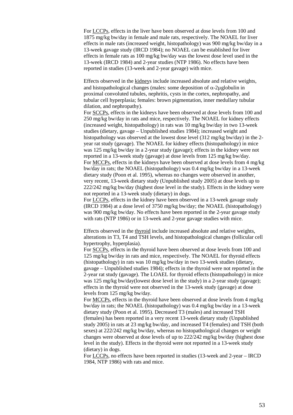For LCCPs, effects in the liver have been observed at dose levels from 100 and 1875 mg/kg bw/day in female and male rats, respectively. The NOAEL for liver effects in male rats (increased weight, histopathology) was 900 mg/kg bw/day in a 13-week gavage study (IRCD 1984); no NOAEL can be established for liver effects in female rats as 100 mg/kg bw/day was the lowest dose level used in the 13-week (IRCD 1984) and 2-year studies (NTP 1986). No effects have been reported in studies (13-week and 2-year gavage) with mice.

Effects observed in the kidneys include increased absolute and relative weights, and histopathological changes (males: some deposition of  $\alpha$ -2µglobulin in proximal convoluted tubules, nephritis, cysts in the cortex, nephropathy, and tubular cell hyperplasia; females: brown pigmentation, inner medullary tubular dilation, and nephropathy).

For SCCPs, effects in the kidneys have been observed at dose levels from 100 and 250 mg/kg bw/day in rats and mice, respectively. The NOAEL for kidney effects (increased weight, histopathology) in rats was 10 mg/kg bw/day in two 13-week studies (dietary, gavage – Unpublished studies 1984); increased weight and histopathology was observed at the lowest dose level (312 mg/kg bw/day) in the 2 year rat study (gavage). The NOAEL for kidney effects (histopathology) in mice was 125 mg/kg bw/day in a 2-year study (gavage); effects in the kidney were not reported in a 13-week study (gavage) at dose levels from 125 mg/kg bw/day. For MCCPs, effects in the kidneys have been observed at dose levels from 4 mg/kg bw/day in rats; the NOAEL (histopathology) was 0.4 mg/kg bw/day in a 13-week dietary study (Poon et al. 1995), whereas no changes were observed in another, very recent, 13-week dietary study (Unpublished study 2005) at dose levels up to 222/242 mg/kg bw/day (highest dose level in the study). Effects in the kidney were not reported in a 13-week study (dietary) in dogs.

For LCCPs, effects in the kidney have been observed in a 13-week gavage study (IRCD 1984) at a dose level of 3750 mg/kg bw/day; the NOAEL (histopathology) was 900 mg/kg bw/day. No effects have been reported in the 2-year gavage study with rats (NTP 1986) or in 13-week and 2-year gavage studies with mice.

Effects observed in the thyroid include increased absolute and relative weights, alterations in T3, T4 and TSH levels, and histopathological changes (follicular cell hypertrophy, hyperplasia).

For SCCPs, effects in the thyroid have been observed at dose levels from 100 and 125 mg/kg bw/day in rats and mice, respectively. The NOAEL for thyroid effects (histopathology) in rats was 10 mg/kg bw/day in two 13-week studies (dietary, gavage – Unpublished studies 1984); effects in the thyroid were not reported in the 2-year rat study (gavage). The LOAEL for thyroid effects (histopathology) in mice was 125 mg/kg bw/day(lowest dose level in the study) in a 2-year study (gavage); effects in the thyroid were not observed in the 13-week study (gavage) at dose levels from 125 mg/kg bw/day.

For MCCPs, effects in the thyroid have been observed at dose levels from 4 mg/kg bw/day in rats; the NOAEL (histopathology) was 0.4 mg/kg bw/day in a 13-week dietary study (Poon et al. 1995). Decreased T3 (males) and increased TSH (females) has been reported in a very recent 13-week dietary study (Unpublished study 2005) in rats at 23 mg/kg bw/day, and increased T4 (females) and TSH (both sexes) at 222/242 mg/kg bw/day, whereas no histopathological changes or weight changes were observed at dose levels of up to 222/242 mg/kg bw/day (highest dose level in the study). Effects in the thyroid were not reported in a 13-week study (dietary) in dogs.

For LCCPs, no effects have been reported in studies (13-week and 2-year – IRCD 1984, NTP 1986) with rats and mice.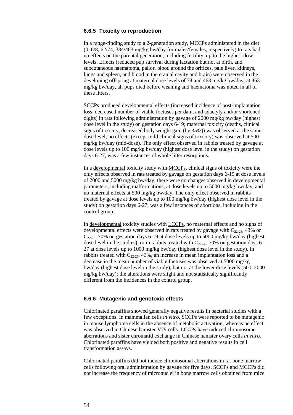## <span id="page-53-0"></span>**6.6.5 Toxicity to reproduction**

In a range-finding study to a 2-generation study, MCCPs administered in the diet (0, 6/8, 62/74, 384/463 mg/kg bw/day for males/females, respectively) to rats had no effects on the parental generation, including fertility, up to the highest dose levels. Effects (reduced pup survival during lactation but not at birth, and subcutaneous haematoma, pallor, blood around the orifices, pale liver, kidneys, lungs and spleen, and blood in the cranial cavity and brain) were observed in the developing offspring at maternal dose levels of 74 and 463 mg/kg bw/day; at 463 mg/kg bw/day, all pups died before weaning and haematoma was noted in all of these litters.

SCCPs produced developmental effects (increased incidence of post-implantation loss, decreased number of viable foetuses per dam, and adactyly and/or shortened digits) in rats following administration by gavage of 2000 mg/kg bw/day (highest dose level in the study) on gestation days 6-19; maternal toxicity (deaths, clinical signs of toxicity, decreased body weight gain (by 35%)) was observed at the same dose level; no effects (except mild clinical signs of toxicity) was observed at 500 mg/kg bw/day (mid-dose). The only effect observed in rabbits treated by gavage at dose levels up to 100 mg/kg bw/day (highest dose level in the study) on gestation days 6-27, was a few instances of whole litter resorptions.

In a developmental toxicity study with MCCPs, clinical signs of toxicity were the only effects observed in rats treated by gavage on gestation days 6-19 at dose levels of 2000 and 5000 mg/kg bw/day; there were no changes observed in developmental parameters, including malformations, at dose levels up to 5000 mg/kg bw/day, and no maternal effects at 500 mg/kg bw/day. The only effect observed in rabbits treated by gavage at dose levels up to 100 mg/kg bw/day (highest dose level in the study) on gestation days 6-27, was a few instances of abortions, including in the control group.

In developmental toxicity studies with LCCPs, no maternal effects and no signs of developmental effects were observed in rats treated by gavage with  $C_{22-26}$ , 43% or  $C_{22-26}$ , 70% on gestation days 6-19 at dose levels up to 5000 mg/kg bw/day (highest dose level in the studies), or in rabbits treated with  $C_{22-26}$ , 70% on gestation days 6-27 at dose levels up to 1000 mg/kg bw/day (highest dose level in the study). In rabbits treated with  $C_{22-26}$ , 43%, an increase in mean implantation loss and a decrease in the mean number of viable foetuses was observed at 5000 mg/kg bw/day (highest dose level in the study), but not at the lower dose levels (500, 2000 mg/kg bw/day); the alterations were slight and not statistically significantly different from the incidences in the control group.

## <span id="page-53-1"></span>**6.6.6 Mutagenic and genotoxic effects**

Chlorinated paraffins showed generally negative results in bacterial studies with a few exceptions. In mammalian cells *in vitro*, SCCPs were reported to be mutagenic in mouse lymphoma cells in the absence of metabolic activation, whereas no effect was observed in Chinese hamster V79 cells. LCCPs have induced chromosome aberrations and sister chromatid exchange in Chinese hamster ovary cells *in vitro*. Chlorinated paraffins have yielded both positive and negative results in cell transformation assays.

Chlorinated paraffins did not induce chromosomal aberrations in rat bone marrow cells following oral administration by gavage for five days. SCCPs and MCCPs did not increase the frequency of micronuclei in bone marrow cells obtained from mice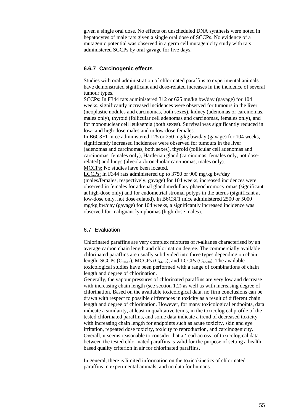given a single oral dose. No effects on unscheduled DNA synthesis were noted in hepatocytes of male rats given a single oral dose of SCCPs. No evidence of a mutagenic potential was observed in a germ cell mutagenicity study with rats administered SCCPs by oral gavage for five days.

## <span id="page-54-0"></span>**6.6.7 Carcinogenic effects**

Studies with oral administration of chlorinated paraffins to experimental animals have demonstrated significant and dose-related increases in the incidence of several tumour types.

SCCPs: In F344 rats administered 312 or 625 mg/kg bw/day (gavage) for 104 weeks, significantly increased incidences were observed for tumours in the liver (neoplastic nodules and carcinomas, both sexes), kidney (adenomas or carcinomas, males only), thyroid (follicular cell adenomas and carcinomas, females only), and for mononuclear cell leukaemia (both sexes). Survival was significantly reduced in low- and high-dose males and in low-dose females.

In B6C3F1 mice administered 125 or 250 mg/kg bw/day (gavage) for 104 weeks, significantly increased incidences were observed for tumours in the liver (adenomas and carcinomas, both sexes), thyroid (follicular cell adenomas and carcinomas, females only), Harderian gland (carcinomas, females only, not doserelated) and lungs (alveolar/bronchiolar carcinomas, males only). MCCPs: No studies have been located.

LCCPs: In F344 rats administered up to 3750 or 900 mg/kg bw/day (males/females, respectively, gavage) for 104 weeks, increased incidences were observed in females for adrenal gland medullary phaeochromocytomas (significant at high-dose only) and for endometrial stromal polyps in the uterus (significant at low-dose only, not dose-related). In B6C3F1 mice administered 2500 or 5000 mg/kg bw/day (gavage) for 104 weeks, a significantly increased incidence was observed for malignant lymphomas (high-dose males).

## <span id="page-54-1"></span>6.7 Evaluation

Chlorinated paraffins are very complex mixtures of *n*-alkanes characterised by an average carbon chain length and chlorination degree. The commercially available chlorinated paraffins are usually subdivided into three types depending on chain length: SCCPs ( $C_{10-13}$ ), MCCPs ( $C_{14-17}$ ), and LCCPs ( $C_{18-30}$ ). The available toxicological studies have been performed with a range of combinations of chain length and degree of chlorination.

Generally, the vapour pressures of chlorinated paraffins are very low and decrease with increasing chain length (see section 1.2) as well as with increasing degree of chlorination. Based on the available toxicological data, no firm conclusions can be drawn with respect to possible differences in toxicity as a result of different chain length and degree of chlorination. However, for many toxicological endpoints, data indicate a similarity, at least in qualitative terms, in the toxicological profile of the tested chlorinated paraffins, and some data indicate a trend of decreased toxicity with increasing chain length for endpoints such as acute toxicity, skin and eye irritation, repeated dose toxicity, toxicity to reproduction, and carcinogenicity. Overall, it seems reasonable to consider that a 'read-across' of toxicological data between the tested chlorinated paraffins is valid for the purpose of setting a health based quality criterion in air for chlorinated paraffins.

In general, there is limited information on the toxicokinetics of chlorinated paraffins in experimental animals, and no data for humans.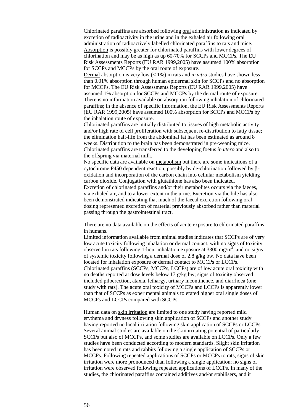Chlorinated paraffins are absorbed following oral administration as indicated by excretion of radioactivity in the urine and in the exhaled air following oral administration of radioactively labelled chlorinated paraffins to rats and mice. Absorption is possibly greater for chlorinated paraffins with lower degrees of chlorination and may be as high as up 60-70% for SCCPs and MCCPs. The EU Risk Assessments Reports (EU RAR 1999,2005) have assumed 100% absorption for SCCPs and MCCPs by the oral route of exposure.

Dermal absorption is very low (< 1%) in rats and *in vitro* studies have shown less than 0.01% absorption through human epidermal skin for SCCPs and no absorption for MCCPs. The EU Risk Assessments Reports (EU RAR 1999,2005) have assumed 1% absorption for SCCPs and MCCPs by the dermal route of exposure. There is no information available on absorption following inhalation of chlorinated paraffins; in the absence of specific information, the EU Risk Assessments Reports (EU RAR 1999,2005) have assumed 100% absorption for SCCPs and MCCPs by the inhalation route of exposure.

Chlorinated paraffins are initially distributed to tissues of high metabolic activity and/or high rate of cell proliferation with subsequent re-distribution to fatty tissue; the elimination half-life from the abdominal fat has been estimated as around 8 weeks. Distribution to the brain has been demonstrated in pre-weaning mice. Chlorinated paraffins are transferred to the developing foetus *in utero* and also to the offspring via maternal milk.

No specific data are available on metabolism but there are some indications of a cytochrome P450 dependent reaction, possibly by de-chlorination followed by βoxidation and incorporation of the carbon chain into cellular metabolism yielding carbon dioxide. Conjugation with glutathione has also been indicated. Excretion of chlorinated paraffins and/or their metabolites occurs via the faeces,

via exhaled air, and to a lower extent in the urine. Excretion via the bile has also been demonstrated indicating that much of the faecal excretion following oral dosing represented excretion of material previously absorbed rather than material passing through the gastrointestinal tract.

There are no data available on the effects of acute exposure to chlorinated paraffins in humans.

Limited information available from animal studies indicates that SCCPs are of very low acute toxicity following inhalation or dermal contact, with no signs of toxicity observed in rats following 1-hour inhalation exposure at  $3300 \text{ mg/m}^3$ , and no signs of systemic toxicity following a dermal dose of 2.8 g/kg bw. No data have been located for inhalation exposure or dermal contact to MCCPs or LCCPs. Chlorinated paraffins (SCCPs, MCCPs, LCCPs) are of low acute oral toxicity with no deaths reported at dose levels below 13 g/kg bw; signs of toxicity observed included piloerection, ataxia, lethargy, urinary incontinence, and diarrhoea (one study with rats). The acute oral toxicity of MCCPs and LCCPs is apparently lower than that of SCCPs as experimental animals tolerated higher oral single doses of MCCPs and LCCPs compared with SCCPs.

Human data on skin irritation are limited to one study having reported mild erythema and dryness following skin application of SCCPs and another study having reported no local irritation following skin application of SCCPs or LCCPs. Several animal studies are available on the skin irritating potential of particularly SCCPs but also of MCCPs, and some studies are available on LCCPs. Only a few studies have been conducted according to modern standards. Slight skin irritation has been noted in rats and rabbits following a single application of SCCPs or MCCPs. Following repeated applications of SCCPs or MCCPs to rats, signs of skin irritation were more pronounced than following a single application; no signs of irritation were observed following repeated applications of LCCPs. In many of the studies, the chlorinated paraffins contained additives and/or stabilisers, and it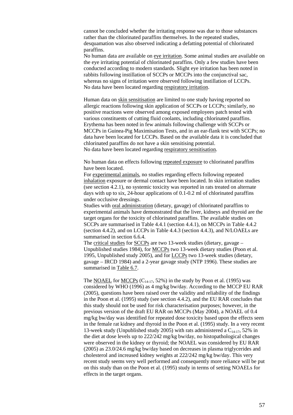cannot be concluded whether the irritating response was due to those substances rather than the chlorinated paraffins themselves. In the repeated studies, desquamation was also observed indicating a defatting potential of chlorinated paraffins.

No human data are available on eye irritation. Some animal studies are available on the eye irritating potential of chlorinated paraffins. Only a few studies have been conducted according to modern standards. Slight eye irritation has been noted in rabbits following instillation of SCCPs or MCCPs into the conjunctival sac, whereas no signs of irritation were observed following instillation of LCCPs. No data have been located regarding respiratory irritation.

Human data on skin sensitisation are limited to one study having reported no allergic reactions following skin application of SCCPs or LCCPs; similarly, no positive reactions were observed among exposed employees patch tested with various constituents of cutting fluid coolants, including chlorinated paraffins. Erythema has been noted in few animals following challenge with SCCPs or MCCPs in Guinea-Pig Maximisation Tests, and in an ear-flank test with SCCPs; no data have been located for LCCPs. Based on the available data it is concluded that chlorinated paraffins do not have a skin sensitising potential. No data have been located regarding respiratory sensitisation.

No human data on effects following repeated exposure to chlorinated paraffins have been located.

For experimental animals, no studies regarding effects following repeated inhalation exposure or dermal contact have been located. In skin irritation studies (see section 4.2.1), no systemic toxicity was reported in rats treated on alternate days with up to six, 24-hour applications of 0.1-0.2 ml of chlorinated paraffins under occlusive dressings.

Studies with oral administration (dietary, gavage) of chlorinated paraffins to experimental animals have demonstrated that the liver, kidneys and thyroid are the target organs for the toxicity of chlorinated paraffins. The available studies on SCCPs are summarised in Table 4.4.1 (section 4.4.1), on MCCPs in Table 4.4.2 (section 4.4.2), and on LCCPs in Table 4.4.3 (section 4.4.3), and N/LOAELs are summarised in section 6.6.4.

The critical studies for SCCPs are two 13-week studies (dietary, gavage – Unpublished studies 1984), for MCCPs two 13-week dietary studies (Poon et al. 1995, Unpublished study 2005), and for LCCPs two 13-week studies (dietary, gavage – IRCD 1984) and a 2-year gavage study (NTP 1996). These studies are summarised in Table 6.7.

The NOAEL for MCCPs  $(C_{14-17}, 52\%)$  in the study by Poon et al. (1995) was considered by WHO (1996) as 4 mg/kg bw/day. According to the MCCP EU RAR (2005), questions have been raised over the validity and reliability of the findings in the Poon et al. (1995) study (see section 4.4.2), and the EU RAR concludes that this study should not be used for risk characterisation purposes; however, in the previous version of the draft EU RAR on MCCPs (May 2004), a NOAEL of 0.4 mg/kg bw/day was identified for repeated dose toxicity based upon the effects seen in the female rat kidney and thyroid in the Poon et al. (1995) study. In a very recent 13-week study (Unpublished study 2005) with rats administered a  $C_{14-17}$ , 52% in the diet at dose levels up to 222/242 mg/kg bw/day, no histopathological changes were observed in the kidney or thyroid; the NOAEL was considered by EU RAR (2005) as 23.0/24.6 mg/kg bw/day based on decreases in plasma triglycerides and cholesterol and increased kidney weights at 222/242 mg/kg bw/day. This very recent study seems very well performed and consequently more reliance will be put on this study than on the Poon et al. (1995) study in terms of setting NOAELs for effects in the target organs.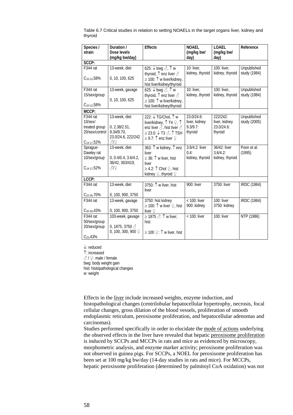| Species /                                                                         | Duration /                                                                       | <b>Effects</b>                                                                                                                                                                                                       | <b>NOAEL</b>                                          | <b>LOAEL</b>                                       | Reference                   |
|-----------------------------------------------------------------------------------|----------------------------------------------------------------------------------|----------------------------------------------------------------------------------------------------------------------------------------------------------------------------------------------------------------------|-------------------------------------------------------|----------------------------------------------------|-----------------------------|
| strain                                                                            | Dose levels<br>(mg/kg bw/day)                                                    |                                                                                                                                                                                                                      | (mg/kg bw/<br>day)                                    | (mg/kg bw/<br>day)                                 |                             |
| SCCP:                                                                             |                                                                                  |                                                                                                                                                                                                                      |                                                       |                                                    |                             |
| F344 rat<br>$C_{10-12}$ , 58%                                                     | 13-week, diet<br>0, 10, 100, 625                                                 | 625: $\downarrow$ bwg $\oslash$ , $\uparrow$ w<br>thyroid, $\uparrow$ enz liver $\triangle$<br>$\geq$ 100: $\uparrow$ w liver/kidney,                                                                                | 10: liver,<br>kidney, thyroid                         | $100$ : liver,<br>kidney, thyroid                  | Unpublished<br>study (1984) |
|                                                                                   |                                                                                  | hist liver/kidney/thyroid                                                                                                                                                                                            |                                                       |                                                    |                             |
| F344 rat<br>15/sex/group<br>$C_{10-12}$ , 58%                                     | 13-week, gavage<br>0, 10, 100, 625                                               | 625: $\overline{\downarrow}$ bwg $\triangle$ , $\uparrow$ w<br>thyroid, $\uparrow$ enz liver $\triangle$<br>$\geq$ 100: $\uparrow$ w liver/kidney,<br>hist liver/kidney/thyroid                                      | 10: liver,<br>kidney, thyroid                         | 100: liver,<br>kidney, thyroid                     | Unpublished<br>study (1984) |
| MCCP:                                                                             |                                                                                  |                                                                                                                                                                                                                      |                                                       |                                                    |                             |
| F344 rat<br>$10$ /sex $/$<br>treated group<br>20/sex/control<br>$C_{14-17}$ , 52% | 13-week, diet<br>0, 2.38/2.51,<br>9.34/9.70,<br>23.0/24.6, 222/242<br>819        | 222: ↓TG/Chol, ↑ w<br>liver/kidney, ↑ T4 ♀, ↑<br>enz liver $\hat{\mathcal{S}}$ , hist liver $\hat{\mathcal{S}}$<br>$\geq$ 23.0: $\downarrow$ T3 $\triangle$ , $\uparrow$ TSH<br>$≥$ 9.7: $↑$ enz liver $\mathcal{Q}$ | 23.0/24.6:<br>liver, kidney<br>$9.3/9.7$ :<br>thyroid | 222/242:<br>liver, kidney<br>23.0/24.6:<br>thyroid | Unpublished<br>study (2005) |
| Sprague-<br>Dawley rat<br>10/sex/group<br>$C_{14-17}$ , 52%                       | 13-week, diet<br>0, 0.4/0.4, 3.6/4.2,<br>36/42, 363/419,<br>312                  | 363: 1 w kidney, 1 enz<br>liver<br>$\geq$ 36: $\uparrow$ w liver, hist<br>liver<br>$\geq$ 4.2: $\uparrow$ Chol $\lhd$ , hist<br>kidney $\mathcal{Q}$ , thyroid $\mathcal{Q}$                                         | 3.6/4.2: liver<br>0.4:<br>kidney, thyroid             | 36/42: liver<br>$3.6/4.2$ :<br>kidney, thyroid     | Poon et al.<br>(1995)       |
| LCCP:                                                                             |                                                                                  |                                                                                                                                                                                                                      |                                                       |                                                    |                             |
| F344 rat<br>C <sub>22-26</sub> , 70%                                              | 13-week, diet<br>0, 100, 900, 3750                                               | 3750: 1 w liver, hist<br>liver                                                                                                                                                                                       | 900: liver                                            | 3750: liver                                        | <b>IRDC</b> (1984)          |
| F344 rat<br>$C_{20-30}$ , 43%                                                     | 13-week, gavage<br>0, 100, 900, 3750                                             | 3750: hist kidney<br>≥ 100: $\uparrow$ w liver $\varphi$ , hist<br>liver $\mathcal{Q}$                                                                                                                               | < 100: liver<br>900: kidney                           | 100: liver<br>3750: kidney                         | <b>IRDC</b> (1984)          |
| F344 rat<br>50/sex/group<br>20/sex/group<br>$C_{23}$ , 43%                        | 103-week, gavage<br>0, 1875, 3750 $\triangle$<br>0, 100, 300, 900 $\circledcirc$ | ≥ 1875 $\textcircled{?}: \uparrow$ w liver,<br>hist<br>$\geq$ 100 $\mathcal{Q}$ : $\uparrow$ w liver, hist                                                                                                           | $<$ 100: liver                                        | 100: liver                                         | NTP (1986)                  |

Table 6.7 Critical studies in relation to setting NOAELs in the target organs liver, kidney and thyroid

↓: reduced

↑: increased

♂ / ♀: male / female

bwg: body weight gain hist: histopathological changes

w: weight

Effects in the liver include increased weights, enzyme induction, and histopathological changes (centrilobular hepatocellular hypertrophy, necrosis, focal cellular changes, gross dilation of the blood vessels, proliferation of smooth endoplasmic reticulum, peroxisome proliferation, and hepatocellular adenomas and carcinomas).

Studies performed specifically in order to elucidate the mode of actions underlying the observed effects in the liver have revealed that hepatic peroxisome proliferation is induced by SCCPs and MCCPs in rats and mice as evidenced by microscopy, morphometric analysis, and enzyme marker activity; peroxisome proliferation was not observed in guinea pigs. For SCCPs, a NOEL for peroxisome proliferation has been set at 100 mg/kg bw/day (14-day studies in rats and mice). For MCCPs, hepatic peroxisome proliferation (determined by palmitoyl CoA oxidation) was not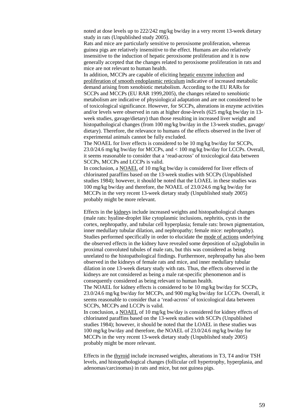noted at dose levels up to 222/242 mg/kg bw/day in a very recent 13-week dietary study in rats (Unpublished study 2005).

Rats and mice are particularly sensitive to peroxisome proliferation, whereas guinea pigs are relatively insensitive to the effect. Humans are also relatively insensitive to the induction of hepatic peroxisome proliferation and it is now generally accepted that the changes related to peroxisome proliferation in rats and mice are not relevant to human health.

In addition, MCCPs are capable of eliciting hepatic enzyme induction and proliferation of smooth endoplasmic reticulum indicative of increased metabolic demand arising from xenobiotic metabolism. According to the EU RARs for SCCPs and MCCPs (EU RAR 1999,2005), the changes related to xenobiotic metabolism are indicative of physiological adaptation and are not considered to be of toxicological significance. However, for SCCPs, alterations in enzyme activities and/or levels were observed in rats at higher dose-levels (625 mg/kg bw/day in 13 week studies, gavage/dietary) than those resulting in increased liver weight and histopathological changes (from 100 mg/kg bw/day in the 13-week studies, gavage/ dietary). Therefore, the relevance to humans of the effects observed in the liver of experimental animals cannot be fully excluded.

The NOAEL for liver effects is considered to be 10 mg/kg bw/day for SCCPs, 23.0/24.6 mg/kg bw/day for MCCPs, and < 100 mg/kg bw/day for LCCPs. Overall, it seems reasonable to consider that a 'read-across' of toxicological data between SCCPs, MCCPs and LCCPs is valid.

In conclusion, a NOAEL of 10 mg/kg bw/day is considered for liver effects of chlorinated paraffins based on the 13-week studies with SCCPs (Unpublished studies 1984); however, it should be noted that the LOAEL in these studies was 100 mg/kg bw/day and therefore, the NOAEL of 23.0/24.6 mg/kg bw/day for MCCPs in the very recent 13-week dietary study (Unpublished study 2005) probably might be more relevant.

Effects in the kidneys include increased weights and histopathological changes (male rats: hyaline-droplet like cytoplasmic inclusions, nephritis, cysts in the cortex, nephropathy, and tubular cell hyperplasia; female rats: brown pigmentation, inner medullary tubular dilation, and nephropathy; female mice: nephropathy). Studies performed specifically in order to elucidate the mode of actions underlying the observed effects in the kidney have revealed some deposition of  $\alpha$ 2µglobulin in proximal convoluted tubules of male rats, but this was considered as being unrelated to the histopathological findings. Furthermore, nephropathy has also been observed in the kidneys of female rats and mice, and inner medullary tubular dilation in one 13-week dietary study with rats. Thus, the effects observed in the kidneys are not considered as being a male rat-specific phenomenon and is consequently considered as being relevant to human health.

The NOAEL for kidney effects is considered to be 10 mg/kg bw/day for SCCPs, 23.0/24.6 mg/kg bw/day for MCCPs, and 900 mg/kg bw/day for LCCPs. Overall, it seems reasonable to consider that a 'read-across' of toxicological data between SCCPs, MCCPs and LCCPs is valid.

In conclusion, a NOAEL of 10 mg/kg bw/day is considered for kidney effects of chlorinated paraffins based on the 13-week studies with SCCPs (Unpublished studies 1984); however, it should be noted that the LOAEL in these studies was 100 mg/kg bw/day and therefore, the NOAEL of 23.0/24.6 mg/kg bw/day for MCCPs in the very recent 13-week dietary study (Unpublished study 2005) probably might be more relevant.

Effects in the thyroid include increased weights, alterations in T3, T4 and/or TSH levels, and histopathological changes (follicular cell hypertrophy, hyperplasia, and adenomas/carcinomas) in rats and mice, but not guinea pigs.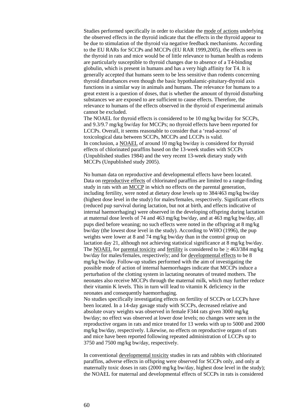Studies performed specifically in order to elucidate the mode of actions underlying the observed effects in the thyroid indicate that the effects in the thyroid appear to be due to stimulation of the thyroid via negative feedback mechanisms. According to the EU RARs for SCCPs and MCCPs (EU RAR 1999,2005), the effects seen in the thyroid in rats and mice would be of little relevance to human health as rodents are particularly susceptible to thyroid changes due to absence of a T4-binding globulin, which is present in humans and has a very high affinity for T4. It is generally accepted that humans seem to be less sensitive than rodents concerning thyroid disturbances even though the basic hypothalamic-pituitary-thyroid axis functions in a similar way in animals and humans. The relevance for humans to a great extent is a question of doses, that is whether the amount of thyroid disturbing substances we are exposed to are sufficient to cause effects. Therefore, the relevance to humans of the effects observed in the thyroid of experimental animals cannot be excluded.

The NOAEL for thyroid effects is considered to be 10 mg/kg bw/day for SCCPs, and 9.3/9.7 mg/kg bw/day for MCCPs; no thyroid effects have been reported for LCCPs. Overall, it seems reasonable to consider that a 'read-across' of toxicological data between SCCPs, MCCPs and LCCPs is valid. In conclusion, a NOAEL of around 10 mg/kg bw/day is considered for thyroid effects of chlorinated paraffins based on the 13-week studies with SCCPs (Unpublished studies 1984) and the very recent 13-week dietary study with MCCPs (Unpublished study 2005).

No human data on reproductive and developmental effects have been located. Data on reproductive effects of chlorinated paraffins are limited to a range-finding study in rats with an MCCP in which no effects on the parental generation, including fertility, were noted at dietary dose levels up to 384/463 mg/kg bw/day (highest dose level in the study) for males/females, respectively. Significant effects (reduced pup survival during lactation, but not at birth, and effects indicative of internal haemorrhaging) were observed in the developing offspring during lactation at maternal dose levels of 74 and 463 mg/kg bw/day, and at 463 mg/kg bw/day, all pups died before weaning; no such effects were noted in the offspring at 8 mg/kg bw/day (the lowest dose level in the study). According to WHO (1996), the pup weights were lower at 8 and 74 mg/kg bw/day than in the control group on lactation day 21, although not achieving statistical significance at 8 mg/kg bw/day. The NOAEL for parental toxicity and fertility is considered to be  $> 463/384$  mg/kg bw/day for males/females, respectively; and for developmental effects to be 8 mg/kg bw/day. Follow-up studies performed with the aim of investigating the possible mode of action of internal haemorrhages indicate that MCCPs induce a perturbation of the clotting system in lactating neonates of treated mothers. The neonates also receive MCCPs through the maternal milk, which may further reduce their vitamin K levels. This in turn will lead to vitamin K deficiency in the neonates and consequently haemorrhaging.

No studies specifically investigating effects on fertility of SCCPs or LCCPs have been located. In a 14-day gavage study with SCCPs, decreased relative and absolute ovary weights was observed in female F344 rats given 3000 mg/kg bw/day; no effect was observed at lower dose levels; no changes were seen in the reproductive organs in rats and mice treated for 13 weeks with up to 5000 and 2000 mg/kg bw/day, respectively. Likewise, no effects on reproductive organs of rats and mice have been reported following repeated administration of LCCPs up to 3750 and 7500 mg/kg bw/day, respectively.

In conventional developmental toxicity studies in rats and rabbits with chlorinated paraffins, adverse effects in offspring were observed for SCCPs only, and only at maternally toxic doses in rats (2000 mg/kg bw/day, highest dose level in the study); the NOAEL for maternal and developmental effects of SCCPs in rats is considered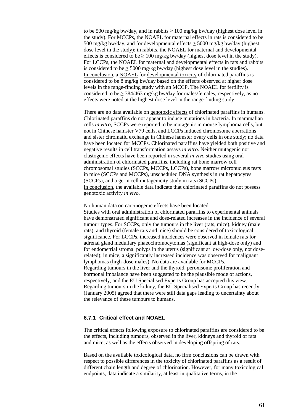to be 500 mg/kg bw/day, and in rabbits  $\geq 100$  mg/kg bw/day (highest dose level in the study). For MCCPs, the NOAEL for maternal effects in rats is considered to be 500 mg/kg bw/day, and for developmental effects  $\geq$  5000 mg/kg bw/day (highest dose level in the study); in rabbits, the NOAEL for maternal and developmental effects is considered to be  $\geq 100$  mg/kg bw/day (highest dose level in the study). For LCCPs, the NOAEL for maternal and developmental effects in rats and rabbits is considered to be  $\geq$  5000 mg/kg bw/day (highest dose level in the studies). In conclusion, a NOAEL for developmental toxicity of chlorinated paraffins is considered to be 8 mg/kg bw/day based on the effects observed at higher dose levels in the range-finding study with an MCCP. The NOAEL for fertility is considered to be  $\geq$  384/463 mg/kg bw/day for males/females, respectively, as no effects were noted at the highest dose level in the range-finding study.

There are no data available on genotoxic effects of chlorinated paraffins in humans. Chlorinated paraffins do not appear to induce mutations in bacteria. In mammalian cells *in vitro*, SCCPs were reported to be mutagenic in mouse lymphoma cells, but not in Chinese hamster V79 cells, and LCCPs induced chromosome aberrations and sister chromatid exchange in Chinese hamster ovary cells in one study; no data have been located for MCCPs. Chlorinated paraffins have yielded both positive and negative results in cell transformation assays *in vitro*. Neither mutagenic nor clastogenic effects have been reported in several *in vivo* studies using oral administration of chlorinated paraffins, including rat bone marrow cell chromosomal studies (SCCPs, MCCPs, LCCPs), bone marrow micronucleus tests in mice (SCCPs and MCCPs), unscheduled DNA synthesis in rat hepatocytes (SCCPs), and a germ cell mutagenicity study in rats (SCCPs). In conclusion, the available data indicate that chlorinated paraffins do not possess genotoxic activity *in vivo*.

No human data on carcinogenic effects have been located. Studies with oral administration of chlorinated paraffins to experimental animals have demonstrated significant and dose-related increases in the incidence of several tumour types. For SCCPs, only the tumours in the liver (rats, mice), kidney (male rats), and thyroid (female rats and mice) should be considered of toxicological significance. For LCCPs, increased incidences were observed in female rats for adrenal gland medullary phaeochromocytomas (significant at high-dose only) and for endometrial stromal polyps in the uterus (significant at low-dose only, not doserelated); in mice, a significantly increased incidence was observed for malignant lymphomas (high-dose males). No data are available for MCCPs. Regarding tumours in the liver and the thyroid, peroxisome proliferation and hormonal imbalance have been suggested to be the plausible mode of actions, respectively, and the EU Specialised Experts Group has accepted this view. Regarding tumours in the kidney, the EU Specialised Experts Group has recently (January 2005) agreed that there were still data gaps leading to uncertainty about the relevance of these tumours to humans.

## <span id="page-60-0"></span>**6.7.1 Critical effect and NOAEL**

The critical effects following exposure to chlorinated paraffins are considered to be the effects, including tumours, observed in the liver, kidneys and thyroid of rats and mice, as well as the effects observed in developing offspring of rats.

Based on the available toxicological data, no firm conclusions can be drawn with respect to possible differences in the toxicity of chlorinated paraffins as a result of different chain length and degree of chlorination. However, for many toxicological endpoints, data indicate a similarity, at least in qualitative terms, in the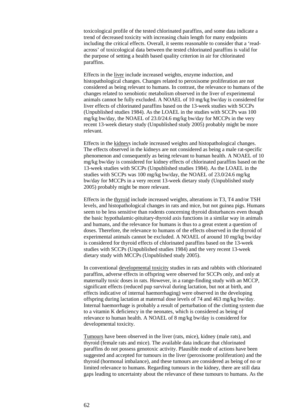toxicological profile of the tested chlorinated paraffins, and some data indicate a trend of decreased toxicity with increasing chain length for many endpoints including the critical effects. Overall, it seems reasonable to consider that a 'readacross' of toxicological data between the tested chlorinated paraffins is valid for the purpose of setting a health based quality criterion in air for chlorinated paraffins.

Effects in the liver include increased weights, enzyme induction, and histopathological changes. Changes related to peroxisome proliferation are not considered as being relevant to humans. In contrast, the relevance to humans of the changes related to xenobiotic metabolism observed in the liver of experimental animals cannot be fully excluded. A NOAEL of 10 mg/kg bw/day is considered for liver effects of chlorinated paraffins based on the 13-week studies with SCCPs (Unpublished studies 1984). As the LOAEL in the studies with SCCPs was 100 mg/kg bw/day, the NOAEL of 23.0/24.6 mg/kg bw/day for MCCPs in the very recent 13-week dietary study (Unpublished study 2005) probably might be more relevant.

Effects in the kidneys include increased weights and histopathological changes. The effects observed in the kidneys are not considered as being a male rat-specific phenomenon and consequently as being relevant to human health. A NOAEL of 10 mg/kg bw/day is considered for kidney effects of chlorinated paraffins based on the 13-week studies with SCCPs (Unpublished studies 1984). As the LOAEL in the studies with SCCPs was 100 mg/kg bw/day, the NOAEL of 23.0/24.6 mg/kg bw/day for MCCPs in a very recent 13-week dietary study (Unpublished study 2005) probably might be more relevant.

Effects in the thyroid include increased weights, alterations in T3, T4 and/or TSH levels, and histopathological changes in rats and mice, but not guinea pigs. Humans seem to be less sensitive than rodents concerning thyroid disturbances even though the basic hypothalamic-pituitary-thyroid axis functions in a similar way in animals and humans, and the relevance for humans is thus to a great extent a question of doses. Therefore, the relevance to humans of the effects observed in the thyroid of experimental animals cannot be excluded. A NOAEL of around 10 mg/kg bw/day is considered for thyroid effects of chlorinated paraffins based on the 13-week studies with SCCPs (Unpublished studies 1984) and the very recent 13-week dietary study with MCCPs (Unpublished study 2005).

In conventional developmental toxicity studies in rats and rabbits with chlorinated paraffins, adverse effects in offspring were observed for SCCPs only, and only at maternally toxic doses in rats. However, in a range-finding study with an MCCP, significant effects (reduced pup survival during lactation, but not at birth, and effects indicative of internal haemorrhaging) were observed in the developing offspring during lactation at maternal dose levels of 74 and 463 mg/kg bw/day. Internal haemorrhage is probably a result of perturbation of the clotting system due to a vitamin K deficiency in the neonates, which is considered as being of relevance to human health. A NOAEL of 8 mg/kg bw/day is considered for developmental toxicity.

Tumours have been observed in the liver (rats, mice), kidney (male rats), and thyroid (female rats and mice). The available data indicate that chlorinated paraffins do not possess genotoxic activity. Plausible mode of actions have been suggested and accepted for tumours in the liver (peroxisome proliferation) and the thyroid (hormonal imbalance), and these tumours are considered as being of no or limited relevance to humans. Regarding tumours in the kidney, there are still data gaps leading to uncertainty about the relevance of these tumours to humans. As the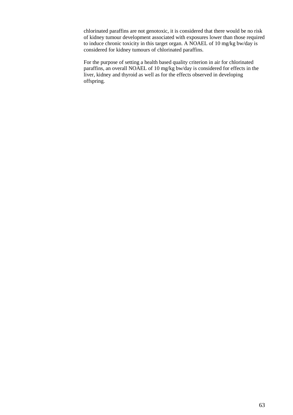chlorinated paraffins are not genotoxic, it is considered that there would be no risk of kidney tumour development associated with exposures lower than those required to induce chronic toxicity in this target organ. A NOAEL of 10 mg/kg bw/day is considered for kidney tumours of chlorinated paraffins.

For the purpose of setting a health based quality criterion in air for chlorinated paraffins, an overall NOAEL of 10 mg/kg bw/day is considered for effects in the liver, kidney and thyroid as well as for the effects observed in developing offspring.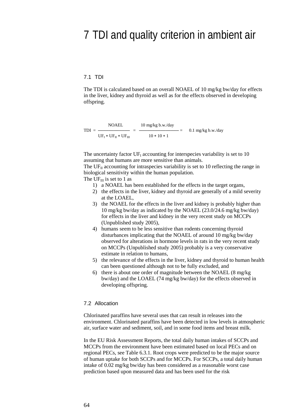## <span id="page-63-0"></span>7 TDI and quality criterion in ambient air

### <span id="page-63-1"></span>7.1 TDI

The TDI is calculated based on an overall NOAEL of 10 mg/kg bw/day for effects in the liver, kidney and thyroid as well as for the effects observed in developing offspring.

NOAEL 10 mg/kg b.w./day TDI = ──────────── = ─────────────── = 0.1 mg/kg b.w./day  $UF_I * UF_{II} * UF_{III}$  10 \* 10 \* 1

The uncertainty factor  $UF<sub>I</sub>$  accounting for interspecies variability is set to 10 assuming that humans are more sensitive than animals.

The  $UF<sub>II</sub>$  accounting for intraspecies variability is set to 10 reflecting the range in biological sensitivity within the human population.

The UF $_{III}$  is set to 1 as

- 1) a NOAEL has been established for the effects in the target organs,
- 2) the effects in the liver, kidney and thyroid are generally of a mild severity at the LOAEL,
- 3) the NOAEL for the effects in the liver and kidney is probably higher than 10 mg/kg bw/day as indicated by the NOAEL (23.0/24.6 mg/kg bw/day) for effects in the liver and kidney in the very recent study on MCCPs (Unpublished study 2005),
- 4) humans seem to be less sensitive than rodents concerning thyroid disturbances implicating that the NOAEL of around 10 mg/kg bw/day observed for alterations in hormone levels in rats in the very recent study on MCCPs (Unpublished study 2005) probably is a very conservative estimate in relation to humans,
- 5) the relevance of the effects in the liver, kidney and thyroid to human health can been questioned although not to be fully excluded, and
- 6) there is about one order of magnitude between the NOAEL (8 mg/kg bw/day) and the LOAEL (74 mg/kg bw/day) for the effects observed in developing offspring.

#### <span id="page-63-2"></span>7.2 Allocation

Chlorinated paraffins have several uses that can result in releases into the environment. Chlorinated paraffins have been detected in low levels in atmospheric air, surface water and sediment, soil, and in some food items and breast milk.

In the EU Risk Assessment Reports, the total daily human intakes of SCCPs and MCCPs from the environment have been estimated based on local PECs and on regional PECs, see Table 6.3.1. Root crops were predicted to be the major source of human uptake for both SCCPs and for MCCPs. For SCCPs, a total daily human intake of 0.02 mg/kg bw/day has been considered as a reasonable worst case prediction based upon measured data and has been used for the risk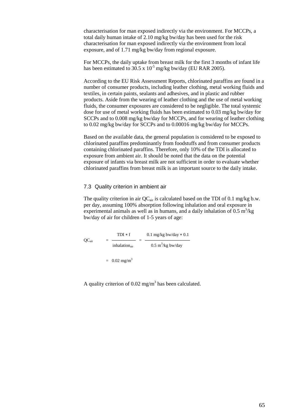characterisation for man exposed indirectly via the environment. For MCCPs, a total daily human intake of 2.10 mg/kg bw/day has been used for the risk characterisation for man exposed indirectly via the environment from local exposure, and of 1.71 mg/kg bw/day from regional exposure.

For MCCPs, the daily uptake from breast milk for the first 3 months of infant life has been estimated to  $30.5 \times 10^{-5}$  mg/kg bw/day (EU RAR 2005).

According to the EU Risk Assessment Reports, chlorinated paraffins are found in a number of consumer products, including leather clothing, metal working fluids and textiles, in certain paints, sealants and adhesives, and in plastic and rubber products. Aside from the wearing of leather clothing and the use of metal working fluids, the consumer exposures are considered to be negligible. The total systemic dose for use of metal working fluids has been estimated to 0.03 mg/kg bw/day for SCCPs and to 0.008 mg/kg bw/day for MCCPs, and for wearing of leather clothing to 0.02 mg/kg bw/day for SCCPs and to 0.00016 mg/kg bw/day for MCCPs.

Based on the available data, the general population is considered to be exposed to chlorinated paraffins predominantly from foodstuffs and from consumer products containing chlorinated paraffins. Therefore, only 10% of the TDI is allocated to exposure from ambient air. It should be noted that the data on the potential exposure of infants via breast milk are not sufficient in order to evaluate whether chlorinated paraffins from breast milk is an important source to the daily intake.

### <span id="page-64-0"></span>7.3 Quality criterion in ambient air

The quality criterion in air  $QC_{air}$  is calculated based on the TDI of 0.1 mg/kg b.w. per day, assuming 100% absorption following inhalation and oral exposure in experimental animals as well as in humans, and a daily inhalation of  $0.5 \text{ m}^3/\text{kg}$ bw/day of air for children of 1-5 years of age:

 $QC_{air}$  =  $\frac{TDI * f}{TDI * f}$  =  $\frac{0.1 \text{ mg/kg bw/day} * 0.1}{TDI * f}$ QCair = ───────── = ───────────────── inhalation<sub>air</sub> 0.5 m<sup>3</sup>/kg bw/day  $= 0.02$  mg/m<sup>3</sup>

A quality criterion of  $0.02$  mg/m<sup>3</sup> has been calculated.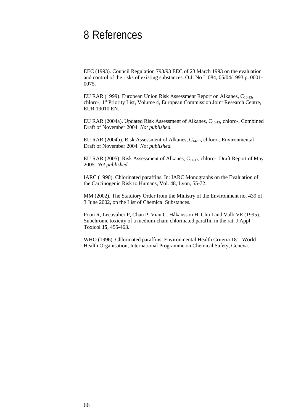## <span id="page-65-0"></span>8 References

EEC (1993). Council Regulation 793/93 EEC of 23 March 1993 on the evaluation and control of the risks of existing substances. O.J. No L 084, 05/04/1993 p. 0001- 0075.

EU RAR (1999). European Union Risk Assessment Report on Alkanes,  $C_{10-13}$ , chloro-, 1st Priority List, Volume 4, European Commission Joint Research Centre, EUR 19010 EN.

EU RAR (2004a). Updated Risk Assessment of Alkanes,  $C_{10-13}$ , chloro-, Combined Draft of November 2004. *Not published.*

EU RAR (2004b). Risk Assessment of Alkanes,  $C_{14-17}$ , chloro-, Environmental Draft of November 2004. *Not published.*

EU RAR (2005). Risk Assessment of Alkanes, C<sub>14-17</sub>, chloro-, Draft Report of May 2005. *Not published.*

IARC (1990). Chlorinated paraffins. In: IARC Monographs on the Evaluation of the Carcinogenic Risk to Humans, Vol. 48, Lyon, 55-72.

MM (2002). The Statutory Order from the Ministry of the Environment no. 439 of 3 June 2002, on the List of Chemical Substances.

Poon R, Lecavalier P, Chan P, Viau C; Håkansson H, Chu I and Valli VE (1995). Subchronic toxicity of a medium-chain chlorinated paraffin in the rat. J Appl Toxicol **15**, 455-463.

WHO (1996). Chlorinated paraffins. Environmental Health Criteria 181. World Health Organisation, International Programme on Chemical Safety, Geneva.